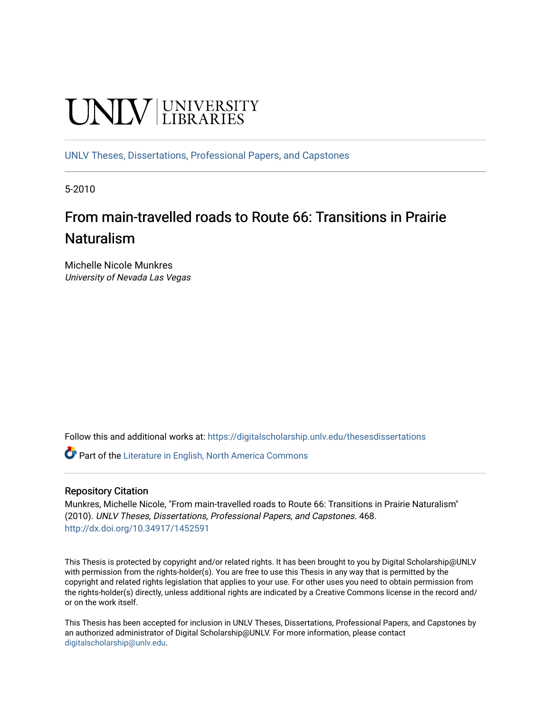# **UNIVERSITY**

[UNLV Theses, Dissertations, Professional Papers, and Capstones](https://digitalscholarship.unlv.edu/thesesdissertations)

5-2010

# From main-travelled roads to Route 66: Transitions in Prairie Naturalism

Michelle Nicole Munkres University of Nevada Las Vegas

Follow this and additional works at: [https://digitalscholarship.unlv.edu/thesesdissertations](https://digitalscholarship.unlv.edu/thesesdissertations?utm_source=digitalscholarship.unlv.edu%2Fthesesdissertations%2F468&utm_medium=PDF&utm_campaign=PDFCoverPages)

Part of the [Literature in English, North America Commons](http://network.bepress.com/hgg/discipline/458?utm_source=digitalscholarship.unlv.edu%2Fthesesdissertations%2F468&utm_medium=PDF&utm_campaign=PDFCoverPages) 

#### Repository Citation

Munkres, Michelle Nicole, "From main-travelled roads to Route 66: Transitions in Prairie Naturalism" (2010). UNLV Theses, Dissertations, Professional Papers, and Capstones. 468. <http://dx.doi.org/10.34917/1452591>

This Thesis is protected by copyright and/or related rights. It has been brought to you by Digital Scholarship@UNLV with permission from the rights-holder(s). You are free to use this Thesis in any way that is permitted by the copyright and related rights legislation that applies to your use. For other uses you need to obtain permission from the rights-holder(s) directly, unless additional rights are indicated by a Creative Commons license in the record and/ or on the work itself.

This Thesis has been accepted for inclusion in UNLV Theses, Dissertations, Professional Papers, and Capstones by an authorized administrator of Digital Scholarship@UNLV. For more information, please contact [digitalscholarship@unlv.edu](mailto:digitalscholarship@unlv.edu).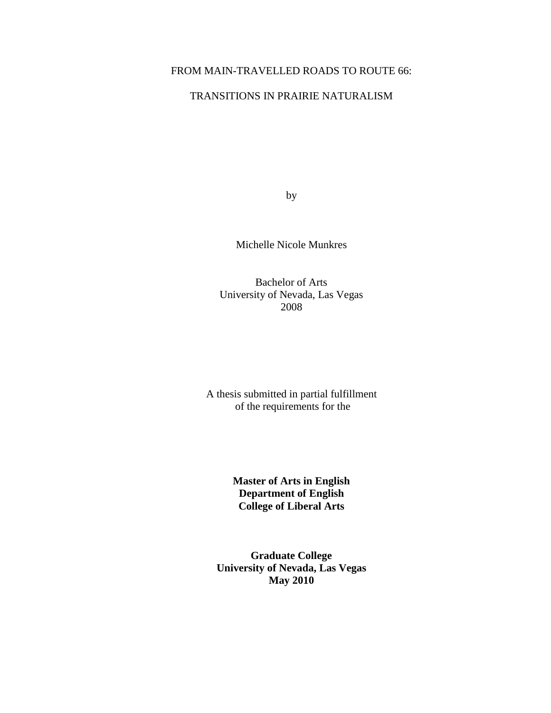## FROM MAIN-TRAVELLED ROADS TO ROUTE 66:

## TRANSITIONS IN PRAIRIE NATURALISM

by

Michelle Nicole Munkres

Bachelor of Arts University of Nevada, Las Vegas 2008

A thesis submitted in partial fulfillment of the requirements for the

> **Master of Arts in English Department of English College of Liberal Arts**

**Graduate College University of Nevada, Las Vegas May 2010**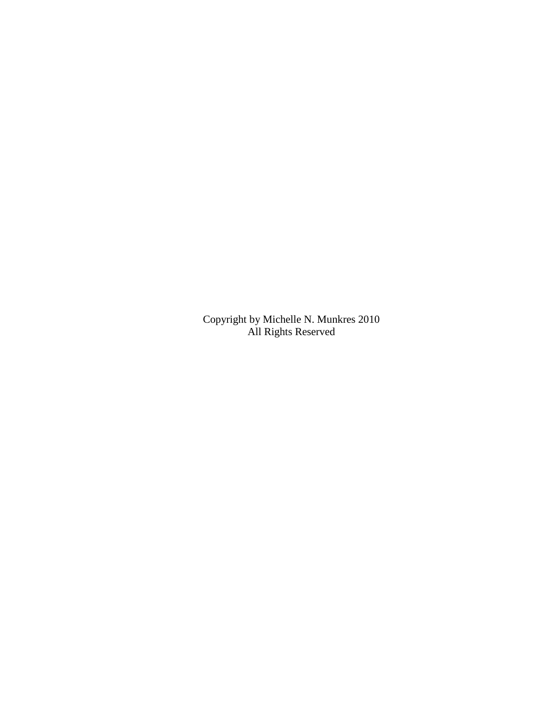Copyright by Michelle N. Munkres 2010 All Rights Reserved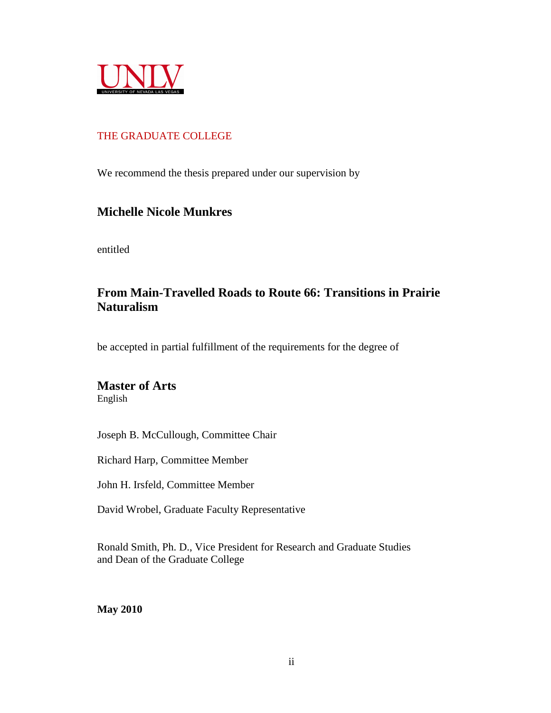

## THE GRADUATE COLLEGE

We recommend the thesis prepared under our supervision by

## **Michelle Nicole Munkres**

entitled

# **From Main-Travelled Roads to Route 66: Transitions in Prairie Naturalism**

be accepted in partial fulfillment of the requirements for the degree of

# **Master of Arts**

English

Joseph B. McCullough, Committee Chair

Richard Harp, Committee Member

John H. Irsfeld, Committee Member

David Wrobel, Graduate Faculty Representative

Ronald Smith, Ph. D., Vice President for Research and Graduate Studies and Dean of the Graduate College

**May 2010**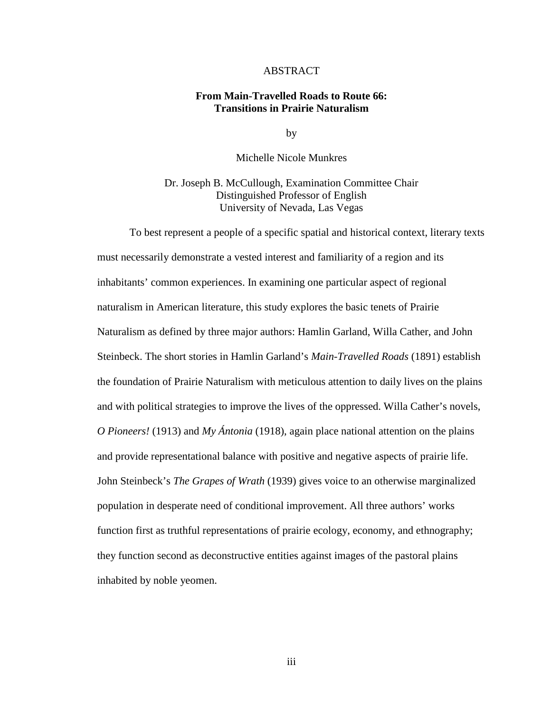#### ABSTRACT

#### **From Main-Travelled Roads to Route 66: Transitions in Prairie Naturalism**

by

Michelle Nicole Munkres

Dr. Joseph B. McCullough, Examination Committee Chair Distinguished Professor of English University of Nevada, Las Vegas

 To best represent a people of a specific spatial and historical context, literary texts must necessarily demonstrate a vested interest and familiarity of a region and its inhabitants' common experiences. In examining one particular aspect of regional naturalism in American literature, this study explores the basic tenets of Prairie Naturalism as defined by three major authors: Hamlin Garland, Willa Cather, and John Steinbeck. The short stories in Hamlin Garland's *Main-Travelled Roads* (1891) establish the foundation of Prairie Naturalism with meticulous attention to daily lives on the plains and with political strategies to improve the lives of the oppressed. Willa Cather's novels, *O Pioneers!* (1913) and *My Ántonia* (1918), again place national attention on the plains and provide representational balance with positive and negative aspects of prairie life. John Steinbeck's *The Grapes of Wrath* (1939) gives voice to an otherwise marginalized population in desperate need of conditional improvement. All three authors' works function first as truthful representations of prairie ecology, economy, and ethnography; they function second as deconstructive entities against images of the pastoral plains inhabited by noble yeomen.

iii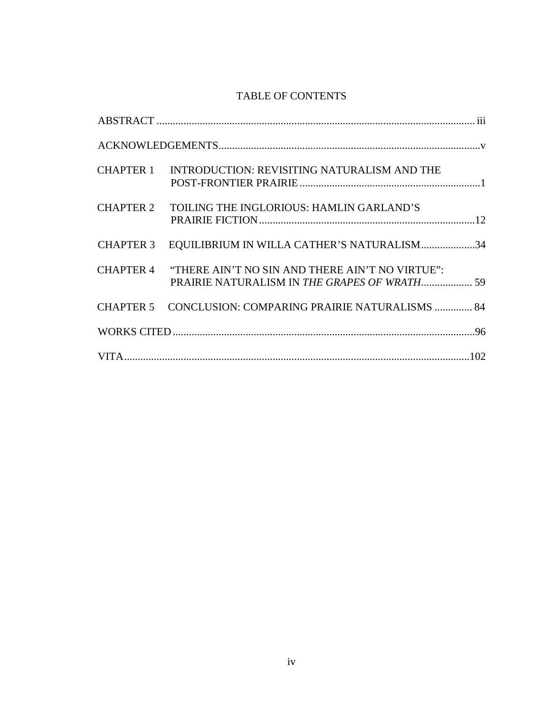# TABLE OF CONTENTS

|                  | CHAPTER 1 INTRODUCTION: REVISITING NATURALISM AND THE                                                     |  |
|------------------|-----------------------------------------------------------------------------------------------------------|--|
| <b>CHAPTER 2</b> | TOILING THE INGLORIOUS: HAMLIN GARLAND'S                                                                  |  |
|                  | CHAPTER 3 EQUILIBRIUM IN WILLA CATHER'S NATURALISM34                                                      |  |
|                  | CHAPTER 4 "THERE AIN'T NO SIN AND THERE AIN'T NO VIRTUE":<br>PRAIRIE NATURALISM IN THE GRAPES OF WRATH 59 |  |
|                  | CHAPTER 5 CONCLUSION: COMPARING PRAIRIE NATURALISMS  84                                                   |  |
|                  |                                                                                                           |  |
|                  |                                                                                                           |  |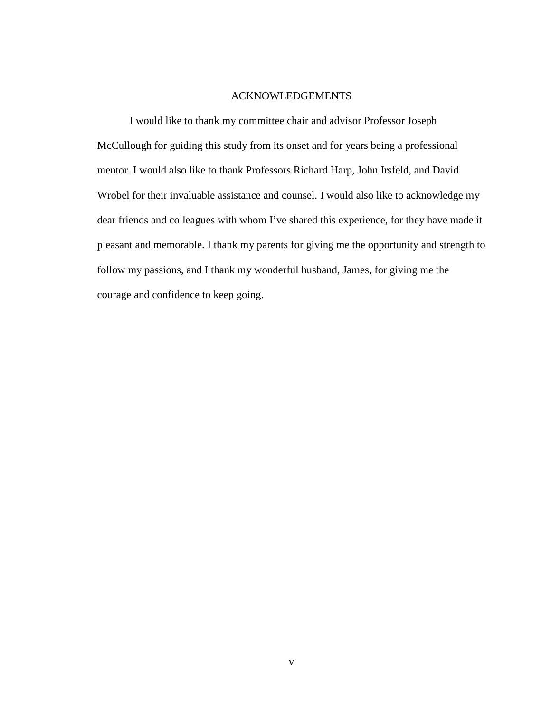#### ACKNOWLEDGEMENTS

I would like to thank my committee chair and advisor Professor Joseph McCullough for guiding this study from its onset and for years being a professional mentor. I would also like to thank Professors Richard Harp, John Irsfeld, and David Wrobel for their invaluable assistance and counsel. I would also like to acknowledge my dear friends and colleagues with whom I've shared this experience, for they have made it pleasant and memorable. I thank my parents for giving me the opportunity and strength to follow my passions, and I thank my wonderful husband, James, for giving me the courage and confidence to keep going.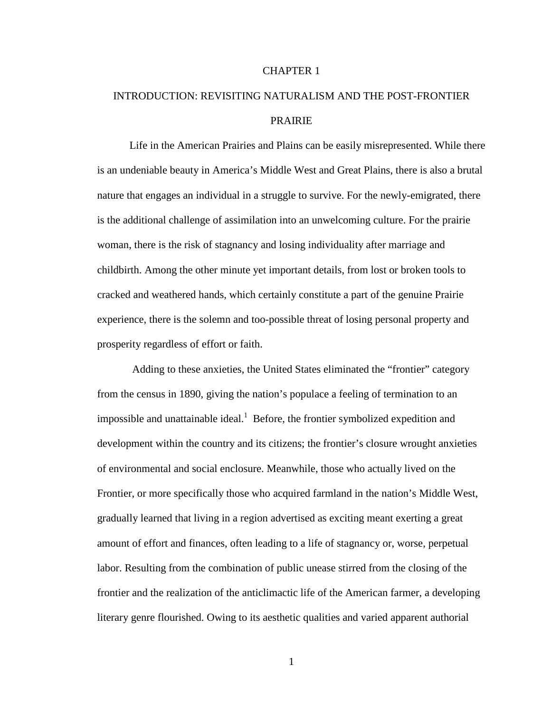#### CHAPTER 1

# INTRODUCTION: REVISITING NATURALISM AND THE POST-FRONTIER PRAIRIE

 Life in the American Prairies and Plains can be easily misrepresented. While there is an undeniable beauty in America's Middle West and Great Plains, there is also a brutal nature that engages an individual in a struggle to survive. For the newly-emigrated, there is the additional challenge of assimilation into an unwelcoming culture. For the prairie woman, there is the risk of stagnancy and losing individuality after marriage and childbirth. Among the other minute yet important details, from lost or broken tools to cracked and weathered hands, which certainly constitute a part of the genuine Prairie experience, there is the solemn and too-possible threat of losing personal property and prosperity regardless of effort or faith.

 Adding to these anxieties, the United States eliminated the "frontier" category from the census in 1890, giving the nation's populace a feeling of termination to an impossible and unattainable ideal.<sup>1</sup> Before, the frontier symbolized expedition and development within the country and its citizens; the frontier's closure wrought anxieties of environmental and social enclosure. Meanwhile, those who actually lived on the Frontier, or more specifically those who acquired farmland in the nation's Middle West, gradually learned that living in a region advertised as exciting meant exerting a great amount of effort and finances, often leading to a life of stagnancy or, worse, perpetual labor. Resulting from the combination of public unease stirred from the closing of the frontier and the realization of the anticlimactic life of the American farmer, a developing literary genre flourished. Owing to its aesthetic qualities and varied apparent authorial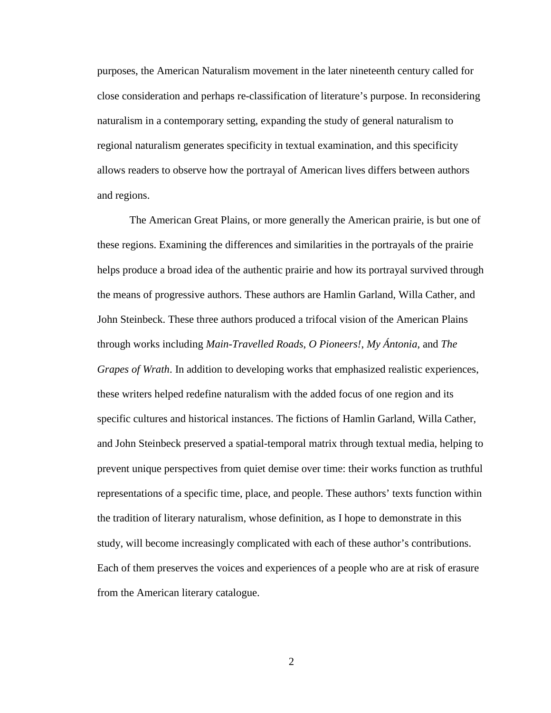purposes, the American Naturalism movement in the later nineteenth century called for close consideration and perhaps re-classification of literature's purpose. In reconsidering naturalism in a contemporary setting, expanding the study of general naturalism to regional naturalism generates specificity in textual examination, and this specificity allows readers to observe how the portrayal of American lives differs between authors and regions.

The American Great Plains, or more generally the American prairie, is but one of these regions. Examining the differences and similarities in the portrayals of the prairie helps produce a broad idea of the authentic prairie and how its portrayal survived through the means of progressive authors. These authors are Hamlin Garland, Willa Cather, and John Steinbeck. These three authors produced a trifocal vision of the American Plains through works including *Main-Travelled Roads*, *O Pioneers!*, *My Ántonia*, and *The Grapes of Wrath*. In addition to developing works that emphasized realistic experiences, these writers helped redefine naturalism with the added focus of one region and its specific cultures and historical instances. The fictions of Hamlin Garland, Willa Cather, and John Steinbeck preserved a spatial-temporal matrix through textual media, helping to prevent unique perspectives from quiet demise over time: their works function as truthful representations of a specific time, place, and people. These authors' texts function within the tradition of literary naturalism, whose definition, as I hope to demonstrate in this study, will become increasingly complicated with each of these author's contributions. Each of them preserves the voices and experiences of a people who are at risk of erasure from the American literary catalogue.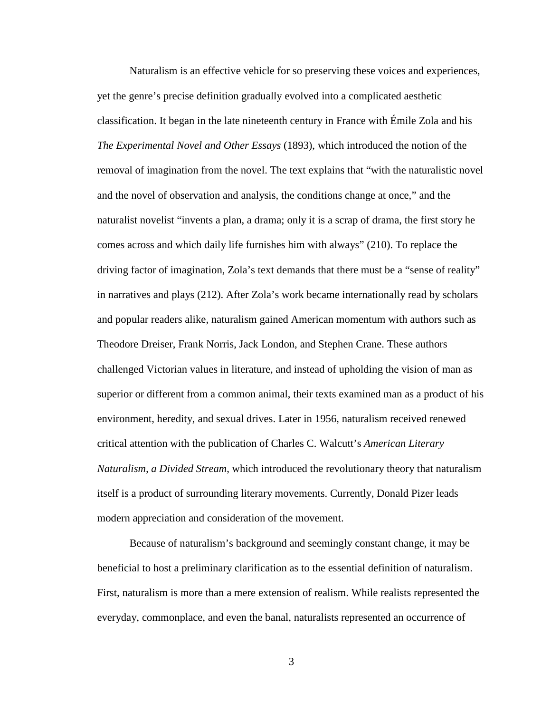Naturalism is an effective vehicle for so preserving these voices and experiences, yet the genre's precise definition gradually evolved into a complicated aesthetic classification. It began in the late nineteenth century in France with Émile Zola and his *The Experimental Novel and Other Essays* (1893), which introduced the notion of the removal of imagination from the novel. The text explains that "with the naturalistic novel and the novel of observation and analysis, the conditions change at once," and the naturalist novelist "invents a plan, a drama; only it is a scrap of drama, the first story he comes across and which daily life furnishes him with always" (210). To replace the driving factor of imagination, Zola's text demands that there must be a "sense of reality" in narratives and plays (212). After Zola's work became internationally read by scholars and popular readers alike, naturalism gained American momentum with authors such as Theodore Dreiser, Frank Norris, Jack London, and Stephen Crane. These authors challenged Victorian values in literature, and instead of upholding the vision of man as superior or different from a common animal, their texts examined man as a product of his environment, heredity, and sexual drives. Later in 1956, naturalism received renewed critical attention with the publication of Charles C. Walcutt's *American Literary Naturalism, a Divided Stream*, which introduced the revolutionary theory that naturalism itself is a product of surrounding literary movements. Currently, Donald Pizer leads modern appreciation and consideration of the movement.

Because of naturalism's background and seemingly constant change, it may be beneficial to host a preliminary clarification as to the essential definition of naturalism. First, naturalism is more than a mere extension of realism. While realists represented the everyday, commonplace, and even the banal, naturalists represented an occurrence of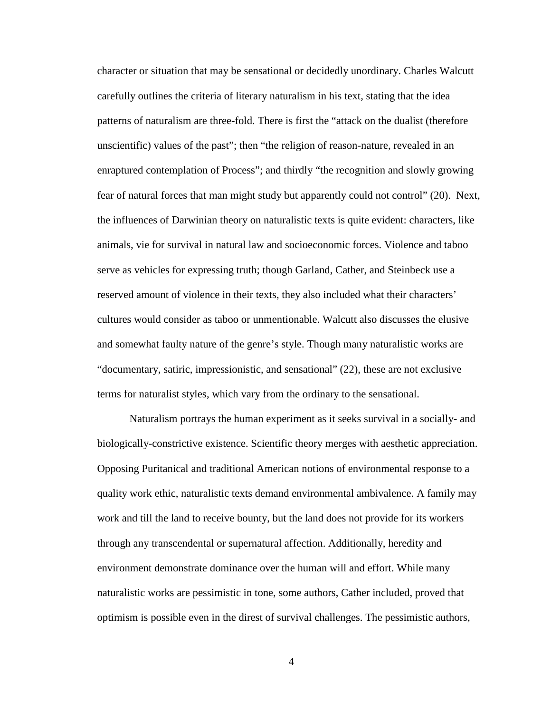character or situation that may be sensational or decidedly unordinary. Charles Walcutt carefully outlines the criteria of literary naturalism in his text, stating that the idea patterns of naturalism are three-fold. There is first the "attack on the dualist (therefore unscientific) values of the past"; then "the religion of reason-nature, revealed in an enraptured contemplation of Process"; and thirdly "the recognition and slowly growing fear of natural forces that man might study but apparently could not control" (20). Next, the influences of Darwinian theory on naturalistic texts is quite evident: characters, like animals, vie for survival in natural law and socioeconomic forces. Violence and taboo serve as vehicles for expressing truth; though Garland, Cather, and Steinbeck use a reserved amount of violence in their texts, they also included what their characters' cultures would consider as taboo or unmentionable. Walcutt also discusses the elusive and somewhat faulty nature of the genre's style. Though many naturalistic works are "documentary, satiric, impressionistic, and sensational" (22), these are not exclusive terms for naturalist styles, which vary from the ordinary to the sensational.

Naturalism portrays the human experiment as it seeks survival in a socially- and biologically-constrictive existence. Scientific theory merges with aesthetic appreciation. Opposing Puritanical and traditional American notions of environmental response to a quality work ethic, naturalistic texts demand environmental ambivalence. A family may work and till the land to receive bounty, but the land does not provide for its workers through any transcendental or supernatural affection. Additionally, heredity and environment demonstrate dominance over the human will and effort. While many naturalistic works are pessimistic in tone, some authors, Cather included, proved that optimism is possible even in the direst of survival challenges. The pessimistic authors,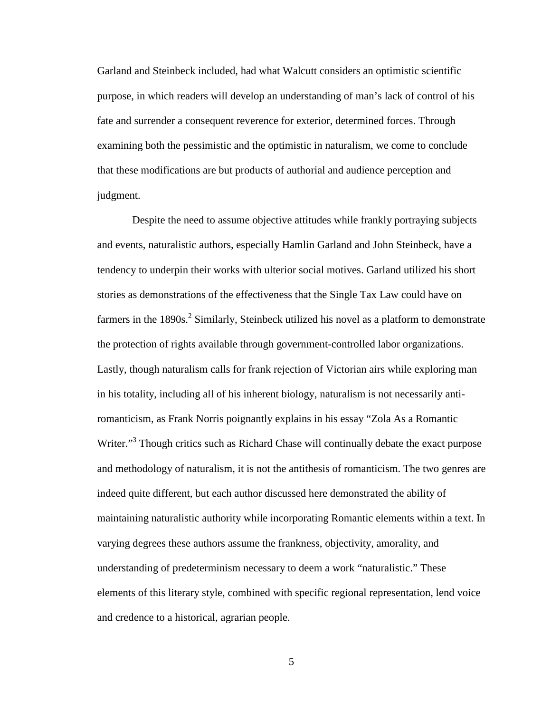Garland and Steinbeck included, had what Walcutt considers an optimistic scientific purpose, in which readers will develop an understanding of man's lack of control of his fate and surrender a consequent reverence for exterior, determined forces. Through examining both the pessimistic and the optimistic in naturalism, we come to conclude that these modifications are but products of authorial and audience perception and judgment.

 Despite the need to assume objective attitudes while frankly portraying subjects and events, naturalistic authors, especially Hamlin Garland and John Steinbeck, have a tendency to underpin their works with ulterior social motives. Garland utilized his short stories as demonstrations of the effectiveness that the Single Tax Law could have on farmers in the  $1890s$ <sup>2</sup> Similarly, Steinbeck utilized his novel as a platform to demonstrate the protection of rights available through government-controlled labor organizations. Lastly, though naturalism calls for frank rejection of Victorian airs while exploring man in his totality, including all of his inherent biology, naturalism is not necessarily antiromanticism, as Frank Norris poignantly explains in his essay "Zola As a Romantic Writer."<sup>3</sup> Though critics such as Richard Chase will continually debate the exact purpose and methodology of naturalism, it is not the antithesis of romanticism. The two genres are indeed quite different, but each author discussed here demonstrated the ability of maintaining naturalistic authority while incorporating Romantic elements within a text. In varying degrees these authors assume the frankness, objectivity, amorality, and understanding of predeterminism necessary to deem a work "naturalistic." These elements of this literary style, combined with specific regional representation, lend voice and credence to a historical, agrarian people.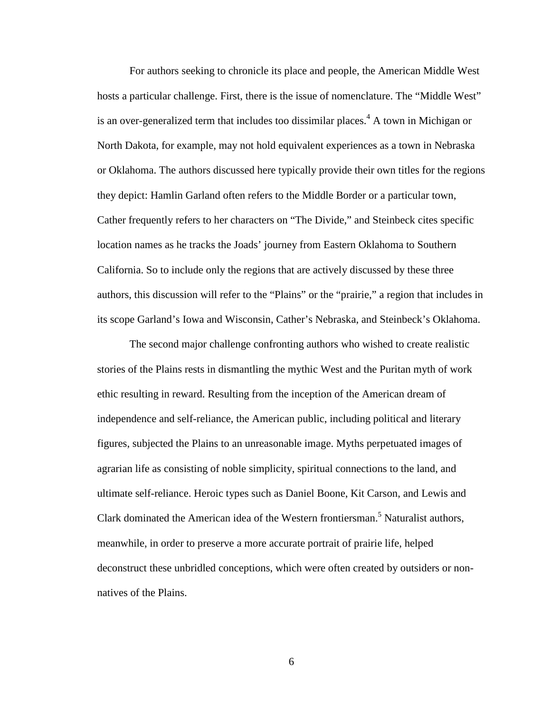For authors seeking to chronicle its place and people, the American Middle West hosts a particular challenge. First, there is the issue of nomenclature. The "Middle West" is an over-generalized term that includes too dissimilar places.<sup>4</sup> A town in Michigan or North Dakota, for example, may not hold equivalent experiences as a town in Nebraska or Oklahoma. The authors discussed here typically provide their own titles for the regions they depict: Hamlin Garland often refers to the Middle Border or a particular town, Cather frequently refers to her characters on "The Divide," and Steinbeck cites specific location names as he tracks the Joads' journey from Eastern Oklahoma to Southern California. So to include only the regions that are actively discussed by these three authors, this discussion will refer to the "Plains" or the "prairie," a region that includes in its scope Garland's Iowa and Wisconsin, Cather's Nebraska, and Steinbeck's Oklahoma.

 The second major challenge confronting authors who wished to create realistic stories of the Plains rests in dismantling the mythic West and the Puritan myth of work ethic resulting in reward. Resulting from the inception of the American dream of independence and self-reliance, the American public, including political and literary figures, subjected the Plains to an unreasonable image. Myths perpetuated images of agrarian life as consisting of noble simplicity, spiritual connections to the land, and ultimate self-reliance. Heroic types such as Daniel Boone, Kit Carson, and Lewis and Clark dominated the American idea of the Western frontiersman.<sup>5</sup> Naturalist authors, meanwhile, in order to preserve a more accurate portrait of prairie life, helped deconstruct these unbridled conceptions, which were often created by outsiders or nonnatives of the Plains.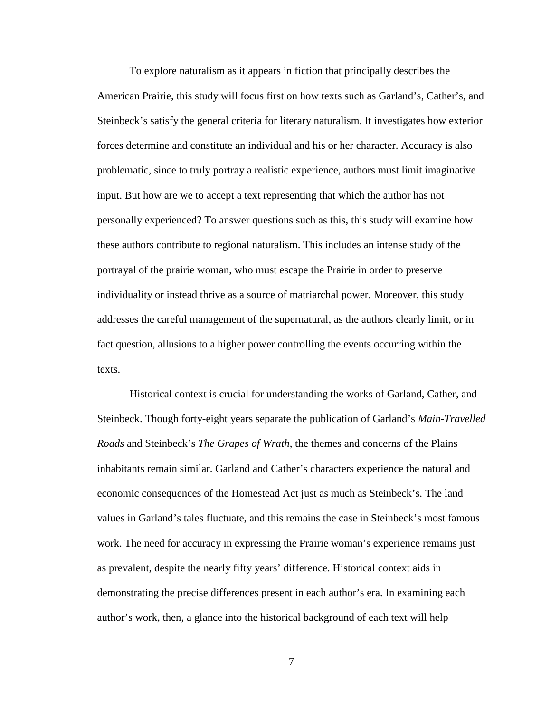To explore naturalism as it appears in fiction that principally describes the American Prairie, this study will focus first on how texts such as Garland's, Cather's, and Steinbeck's satisfy the general criteria for literary naturalism. It investigates how exterior forces determine and constitute an individual and his or her character. Accuracy is also problematic, since to truly portray a realistic experience, authors must limit imaginative input. But how are we to accept a text representing that which the author has not personally experienced? To answer questions such as this, this study will examine how these authors contribute to regional naturalism. This includes an intense study of the portrayal of the prairie woman, who must escape the Prairie in order to preserve individuality or instead thrive as a source of matriarchal power. Moreover, this study addresses the careful management of the supernatural, as the authors clearly limit, or in fact question, allusions to a higher power controlling the events occurring within the texts.

 Historical context is crucial for understanding the works of Garland, Cather, and Steinbeck. Though forty-eight years separate the publication of Garland's *Main-Travelled Roads* and Steinbeck's *The Grapes of Wrath*, the themes and concerns of the Plains inhabitants remain similar. Garland and Cather's characters experience the natural and economic consequences of the Homestead Act just as much as Steinbeck's. The land values in Garland's tales fluctuate, and this remains the case in Steinbeck's most famous work. The need for accuracy in expressing the Prairie woman's experience remains just as prevalent, despite the nearly fifty years' difference. Historical context aids in demonstrating the precise differences present in each author's era. In examining each author's work, then, a glance into the historical background of each text will help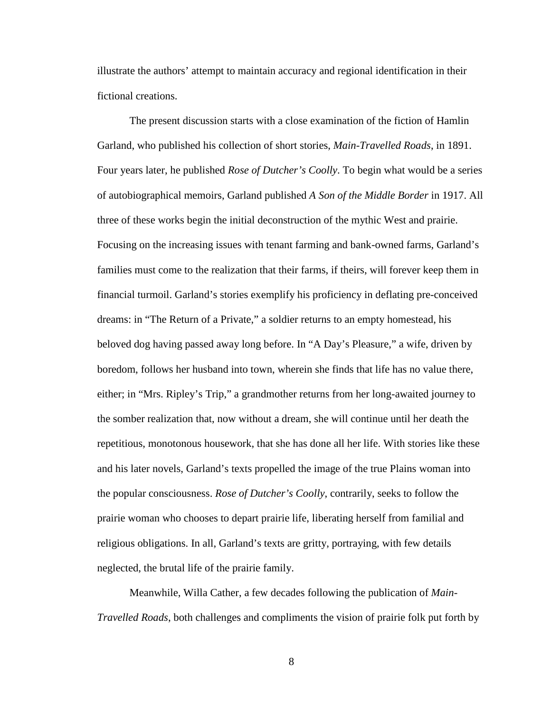illustrate the authors' attempt to maintain accuracy and regional identification in their fictional creations.

 The present discussion starts with a close examination of the fiction of Hamlin Garland, who published his collection of short stories, *Main-Travelled Roads*, in 1891. Four years later, he published *Rose of Dutcher's Coolly*. To begin what would be a series of autobiographical memoirs, Garland published *A Son of the Middle Border* in 1917. All three of these works begin the initial deconstruction of the mythic West and prairie. Focusing on the increasing issues with tenant farming and bank-owned farms, Garland's families must come to the realization that their farms, if theirs, will forever keep them in financial turmoil. Garland's stories exemplify his proficiency in deflating pre-conceived dreams: in "The Return of a Private," a soldier returns to an empty homestead, his beloved dog having passed away long before. In "A Day's Pleasure," a wife, driven by boredom, follows her husband into town, wherein she finds that life has no value there, either; in "Mrs. Ripley's Trip," a grandmother returns from her long-awaited journey to the somber realization that, now without a dream, she will continue until her death the repetitious, monotonous housework, that she has done all her life. With stories like these and his later novels, Garland's texts propelled the image of the true Plains woman into the popular consciousness. *Rose of Dutcher's Coolly*, contrarily, seeks to follow the prairie woman who chooses to depart prairie life, liberating herself from familial and religious obligations. In all, Garland's texts are gritty, portraying, with few details neglected, the brutal life of the prairie family.

 Meanwhile, Willa Cather, a few decades following the publication of *Main-Travelled Roads*, both challenges and compliments the vision of prairie folk put forth by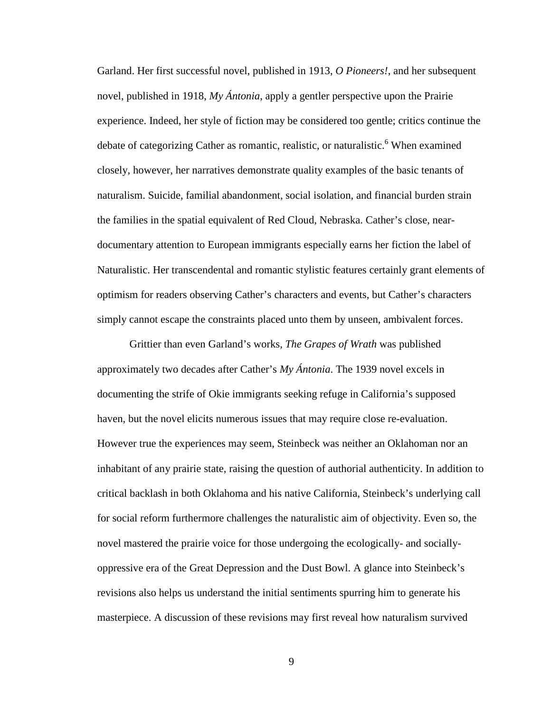Garland. Her first successful novel, published in 1913, *O Pioneers!*, and her subsequent novel, published in 1918, *My Ántonia*, apply a gentler perspective upon the Prairie experience. Indeed, her style of fiction may be considered too gentle; critics continue the debate of categorizing Cather as romantic, realistic, or naturalistic.<sup>6</sup> When examined closely, however, her narratives demonstrate quality examples of the basic tenants of naturalism. Suicide, familial abandonment, social isolation, and financial burden strain the families in the spatial equivalent of Red Cloud, Nebraska. Cather's close, neardocumentary attention to European immigrants especially earns her fiction the label of Naturalistic. Her transcendental and romantic stylistic features certainly grant elements of optimism for readers observing Cather's characters and events, but Cather's characters simply cannot escape the constraints placed unto them by unseen, ambivalent forces.

 Grittier than even Garland's works, *The Grapes of Wrath* was published approximately two decades after Cather's *My Ántonia*. The 1939 novel excels in documenting the strife of Okie immigrants seeking refuge in California's supposed haven, but the novel elicits numerous issues that may require close re-evaluation. However true the experiences may seem, Steinbeck was neither an Oklahoman nor an inhabitant of any prairie state, raising the question of authorial authenticity. In addition to critical backlash in both Oklahoma and his native California, Steinbeck's underlying call for social reform furthermore challenges the naturalistic aim of objectivity. Even so, the novel mastered the prairie voice for those undergoing the ecologically- and sociallyoppressive era of the Great Depression and the Dust Bowl. A glance into Steinbeck's revisions also helps us understand the initial sentiments spurring him to generate his masterpiece. A discussion of these revisions may first reveal how naturalism survived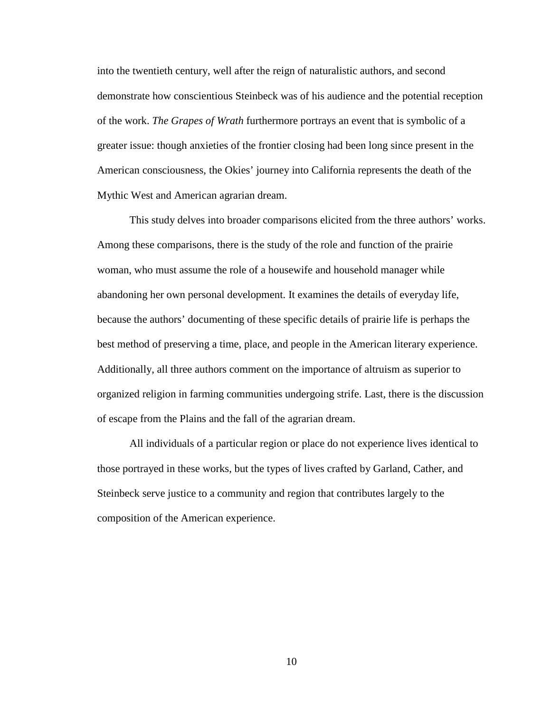into the twentieth century, well after the reign of naturalistic authors, and second demonstrate how conscientious Steinbeck was of his audience and the potential reception of the work. *The Grapes of Wrath* furthermore portrays an event that is symbolic of a greater issue: though anxieties of the frontier closing had been long since present in the American consciousness, the Okies' journey into California represents the death of the Mythic West and American agrarian dream.

 This study delves into broader comparisons elicited from the three authors' works. Among these comparisons, there is the study of the role and function of the prairie woman, who must assume the role of a housewife and household manager while abandoning her own personal development. It examines the details of everyday life, because the authors' documenting of these specific details of prairie life is perhaps the best method of preserving a time, place, and people in the American literary experience. Additionally, all three authors comment on the importance of altruism as superior to organized religion in farming communities undergoing strife. Last, there is the discussion of escape from the Plains and the fall of the agrarian dream.

 All individuals of a particular region or place do not experience lives identical to those portrayed in these works, but the types of lives crafted by Garland, Cather, and Steinbeck serve justice to a community and region that contributes largely to the composition of the American experience.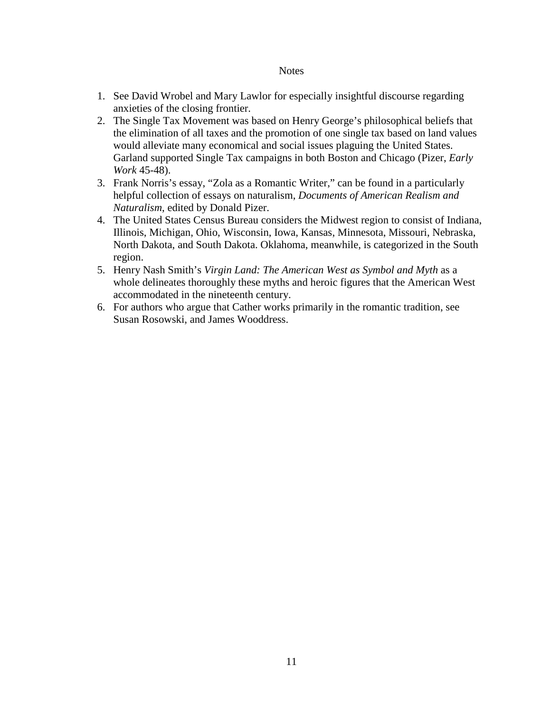#### **Notes**

- 1. See David Wrobel and Mary Lawlor for especially insightful discourse regarding anxieties of the closing frontier.
- 2. The Single Tax Movement was based on Henry George's philosophical beliefs that the elimination of all taxes and the promotion of one single tax based on land values would alleviate many economical and social issues plaguing the United States. Garland supported Single Tax campaigns in both Boston and Chicago (Pizer, *Early Work* 45-48).
- 3. Frank Norris's essay, "Zola as a Romantic Writer," can be found in a particularly helpful collection of essays on naturalism, *Documents of American Realism and Naturalism*, edited by Donald Pizer.
- 4. The United States Census Bureau considers the Midwest region to consist of Indiana, Illinois, Michigan, Ohio, Wisconsin, Iowa, Kansas, Minnesota, Missouri, Nebraska, North Dakota, and South Dakota. Oklahoma, meanwhile, is categorized in the South region.
- 5. Henry Nash Smith's *Virgin Land: The American West as Symbol and Myth* as a whole delineates thoroughly these myths and heroic figures that the American West accommodated in the nineteenth century.
- 6. For authors who argue that Cather works primarily in the romantic tradition, see Susan Rosowski, and James Wooddress.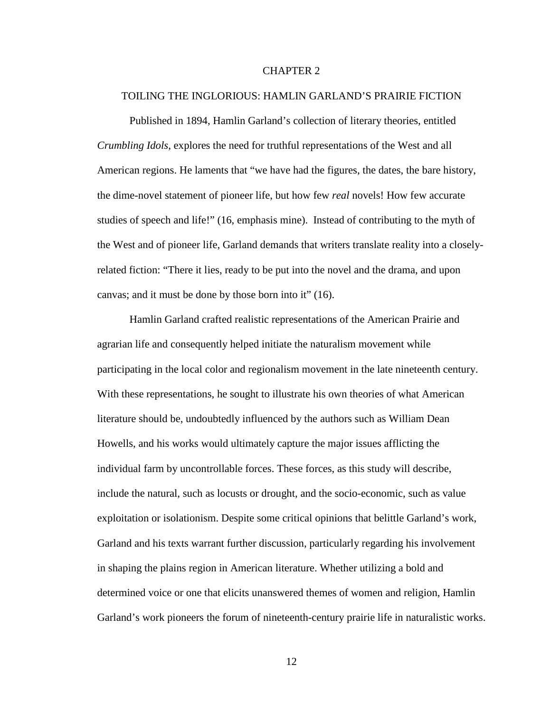#### CHAPTER 2

#### TOILING THE INGLORIOUS: HAMLIN GARLAND'S PRAIRIE FICTION

 Published in 1894, Hamlin Garland's collection of literary theories, entitled *Crumbling Idols*, explores the need for truthful representations of the West and all American regions. He laments that "we have had the figures, the dates, the bare history, the dime-novel statement of pioneer life, but how few *real* novels! How few accurate studies of speech and life!" (16, emphasis mine). Instead of contributing to the myth of the West and of pioneer life, Garland demands that writers translate reality into a closelyrelated fiction: "There it lies, ready to be put into the novel and the drama, and upon canvas; and it must be done by those born into it" (16).

Hamlin Garland crafted realistic representations of the American Prairie and agrarian life and consequently helped initiate the naturalism movement while participating in the local color and regionalism movement in the late nineteenth century. With these representations, he sought to illustrate his own theories of what American literature should be, undoubtedly influenced by the authors such as William Dean Howells, and his works would ultimately capture the major issues afflicting the individual farm by uncontrollable forces. These forces, as this study will describe, include the natural, such as locusts or drought, and the socio-economic, such as value exploitation or isolationism. Despite some critical opinions that belittle Garland's work, Garland and his texts warrant further discussion, particularly regarding his involvement in shaping the plains region in American literature. Whether utilizing a bold and determined voice or one that elicits unanswered themes of women and religion, Hamlin Garland's work pioneers the forum of nineteenth-century prairie life in naturalistic works.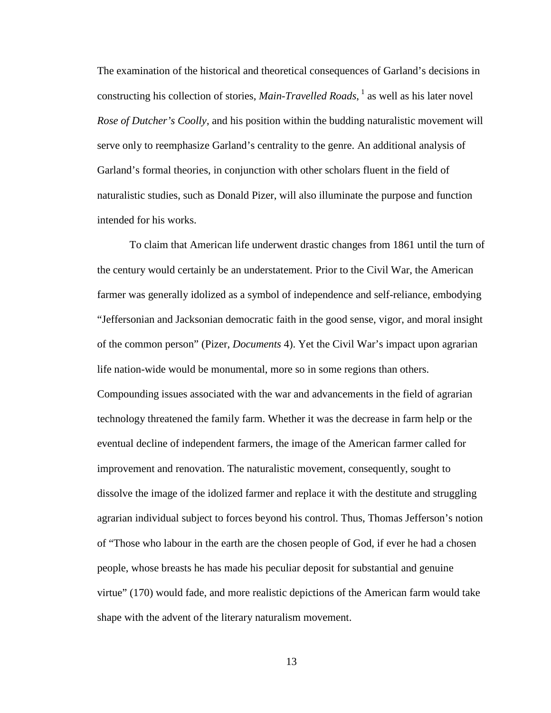The examination of the historical and theoretical consequences of Garland's decisions in constructing his collection of stories, *Main-Travelled Roads*, <sup>1</sup> as well as his later novel *Rose of Dutcher's Coolly*, and his position within the budding naturalistic movement will serve only to reemphasize Garland's centrality to the genre. An additional analysis of Garland's formal theories, in conjunction with other scholars fluent in the field of naturalistic studies, such as Donald Pizer, will also illuminate the purpose and function intended for his works.

 To claim that American life underwent drastic changes from 1861 until the turn of the century would certainly be an understatement. Prior to the Civil War, the American farmer was generally idolized as a symbol of independence and self-reliance, embodying "Jeffersonian and Jacksonian democratic faith in the good sense, vigor, and moral insight of the common person" (Pizer, *Documents* 4). Yet the Civil War's impact upon agrarian life nation-wide would be monumental, more so in some regions than others. Compounding issues associated with the war and advancements in the field of agrarian technology threatened the family farm. Whether it was the decrease in farm help or the eventual decline of independent farmers, the image of the American farmer called for improvement and renovation. The naturalistic movement, consequently, sought to dissolve the image of the idolized farmer and replace it with the destitute and struggling agrarian individual subject to forces beyond his control. Thus, Thomas Jefferson's notion of "Those who labour in the earth are the chosen people of God, if ever he had a chosen people, whose breasts he has made his peculiar deposit for substantial and genuine virtue" (170) would fade, and more realistic depictions of the American farm would take shape with the advent of the literary naturalism movement.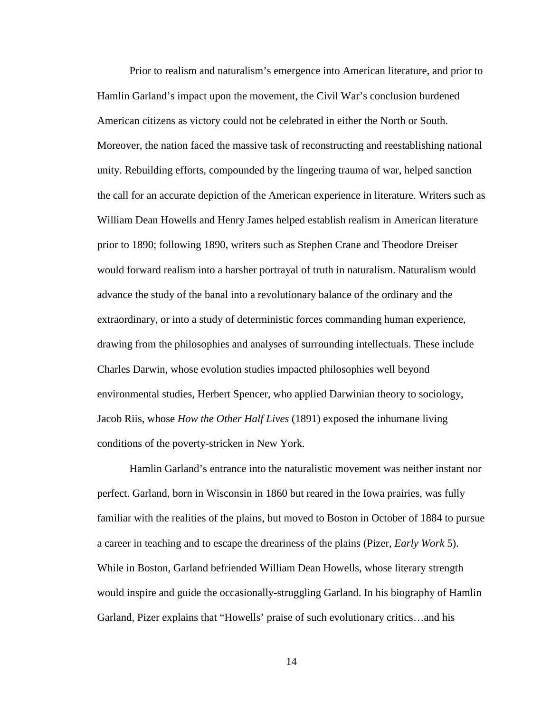Prior to realism and naturalism's emergence into American literature, and prior to Hamlin Garland's impact upon the movement, the Civil War's conclusion burdened American citizens as victory could not be celebrated in either the North or South. Moreover, the nation faced the massive task of reconstructing and reestablishing national unity. Rebuilding efforts, compounded by the lingering trauma of war, helped sanction the call for an accurate depiction of the American experience in literature. Writers such as William Dean Howells and Henry James helped establish realism in American literature prior to 1890; following 1890, writers such as Stephen Crane and Theodore Dreiser would forward realism into a harsher portrayal of truth in naturalism. Naturalism would advance the study of the banal into a revolutionary balance of the ordinary and the extraordinary, or into a study of deterministic forces commanding human experience, drawing from the philosophies and analyses of surrounding intellectuals. These include Charles Darwin, whose evolution studies impacted philosophies well beyond environmental studies, Herbert Spencer, who applied Darwinian theory to sociology, Jacob Riis, whose *How the Other Half Lives* (1891) exposed the inhumane living conditions of the poverty-stricken in New York.

Hamlin Garland's entrance into the naturalistic movement was neither instant nor perfect. Garland, born in Wisconsin in 1860 but reared in the Iowa prairies, was fully familiar with the realities of the plains, but moved to Boston in October of 1884 to pursue a career in teaching and to escape the dreariness of the plains (Pizer, *Early Work* 5). While in Boston, Garland befriended William Dean Howells, whose literary strength would inspire and guide the occasionally-struggling Garland. In his biography of Hamlin Garland, Pizer explains that "Howells' praise of such evolutionary critics…and his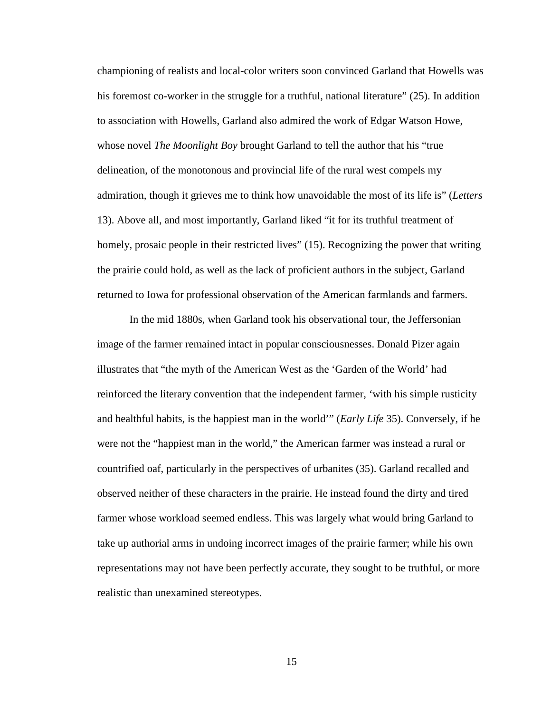championing of realists and local-color writers soon convinced Garland that Howells was his foremost co-worker in the struggle for a truthful, national literature" (25). In addition to association with Howells, Garland also admired the work of Edgar Watson Howe, whose novel *The Moonlight Boy* brought Garland to tell the author that his "true delineation, of the monotonous and provincial life of the rural west compels my admiration, though it grieves me to think how unavoidable the most of its life is" (*Letters* 13). Above all, and most importantly, Garland liked "it for its truthful treatment of homely, prosaic people in their restricted lives" (15). Recognizing the power that writing the prairie could hold, as well as the lack of proficient authors in the subject, Garland returned to Iowa for professional observation of the American farmlands and farmers.

In the mid 1880s, when Garland took his observational tour, the Jeffersonian image of the farmer remained intact in popular consciousnesses. Donald Pizer again illustrates that "the myth of the American West as the 'Garden of the World' had reinforced the literary convention that the independent farmer, 'with his simple rusticity and healthful habits, is the happiest man in the world'" (*Early Life* 35). Conversely, if he were not the "happiest man in the world," the American farmer was instead a rural or countrified oaf, particularly in the perspectives of urbanites (35). Garland recalled and observed neither of these characters in the prairie. He instead found the dirty and tired farmer whose workload seemed endless. This was largely what would bring Garland to take up authorial arms in undoing incorrect images of the prairie farmer; while his own representations may not have been perfectly accurate, they sought to be truthful, or more realistic than unexamined stereotypes.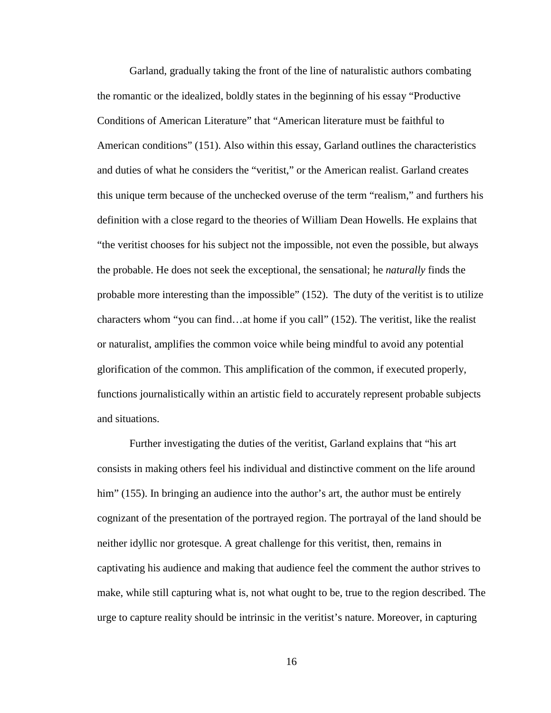Garland, gradually taking the front of the line of naturalistic authors combating the romantic or the idealized, boldly states in the beginning of his essay "Productive Conditions of American Literature" that "American literature must be faithful to American conditions" (151). Also within this essay, Garland outlines the characteristics and duties of what he considers the "veritist," or the American realist. Garland creates this unique term because of the unchecked overuse of the term "realism," and furthers his definition with a close regard to the theories of William Dean Howells. He explains that "the veritist chooses for his subject not the impossible, not even the possible, but always the probable. He does not seek the exceptional, the sensational; he *naturally* finds the probable more interesting than the impossible" (152). The duty of the veritist is to utilize characters whom "you can find…at home if you call" (152). The veritist, like the realist or naturalist, amplifies the common voice while being mindful to avoid any potential glorification of the common. This amplification of the common, if executed properly, functions journalistically within an artistic field to accurately represent probable subjects and situations.

 Further investigating the duties of the veritist, Garland explains that "his art consists in making others feel his individual and distinctive comment on the life around him" (155). In bringing an audience into the author's art, the author must be entirely cognizant of the presentation of the portrayed region. The portrayal of the land should be neither idyllic nor grotesque. A great challenge for this veritist, then, remains in captivating his audience and making that audience feel the comment the author strives to make, while still capturing what is, not what ought to be, true to the region described. The urge to capture reality should be intrinsic in the veritist's nature. Moreover, in capturing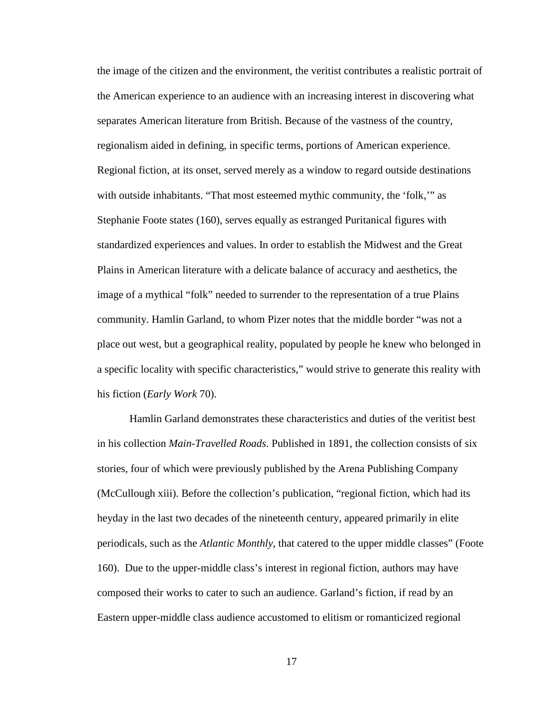the image of the citizen and the environment, the veritist contributes a realistic portrait of the American experience to an audience with an increasing interest in discovering what separates American literature from British. Because of the vastness of the country, regionalism aided in defining, in specific terms, portions of American experience. Regional fiction, at its onset, served merely as a window to regard outside destinations with outside inhabitants. "That most esteemed mythic community, the 'folk," as Stephanie Foote states (160), serves equally as estranged Puritanical figures with standardized experiences and values. In order to establish the Midwest and the Great Plains in American literature with a delicate balance of accuracy and aesthetics, the image of a mythical "folk" needed to surrender to the representation of a true Plains community. Hamlin Garland, to whom Pizer notes that the middle border "was not a place out west, but a geographical reality, populated by people he knew who belonged in a specific locality with specific characteristics," would strive to generate this reality with his fiction (*Early Work* 70).

 Hamlin Garland demonstrates these characteristics and duties of the veritist best in his collection *Main-Travelled Roads*. Published in 1891, the collection consists of six stories, four of which were previously published by the Arena Publishing Company (McCullough xiii). Before the collection's publication, "regional fiction, which had its heyday in the last two decades of the nineteenth century, appeared primarily in elite periodicals, such as the *Atlantic Monthly*, that catered to the upper middle classes" (Foote 160). Due to the upper-middle class's interest in regional fiction, authors may have composed their works to cater to such an audience. Garland's fiction, if read by an Eastern upper-middle class audience accustomed to elitism or romanticized regional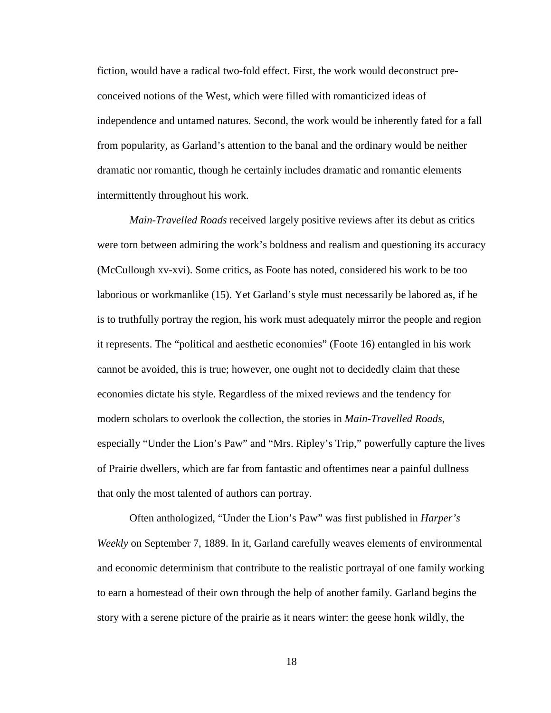fiction, would have a radical two-fold effect. First, the work would deconstruct preconceived notions of the West, which were filled with romanticized ideas of independence and untamed natures. Second, the work would be inherently fated for a fall from popularity, as Garland's attention to the banal and the ordinary would be neither dramatic nor romantic, though he certainly includes dramatic and romantic elements intermittently throughout his work.

*Main-Travelled Roads* received largely positive reviews after its debut as critics were torn between admiring the work's boldness and realism and questioning its accuracy (McCullough xv-xvi). Some critics, as Foote has noted, considered his work to be too laborious or workmanlike (15). Yet Garland's style must necessarily be labored as, if he is to truthfully portray the region, his work must adequately mirror the people and region it represents. The "political and aesthetic economies" (Foote 16) entangled in his work cannot be avoided, this is true; however, one ought not to decidedly claim that these economies dictate his style. Regardless of the mixed reviews and the tendency for modern scholars to overlook the collection, the stories in *Main-Travelled Roads*, especially "Under the Lion's Paw" and "Mrs. Ripley's Trip," powerfully capture the lives of Prairie dwellers, which are far from fantastic and oftentimes near a painful dullness that only the most talented of authors can portray.

 Often anthologized, "Under the Lion's Paw" was first published in *Harper's Weekly* on September 7, 1889. In it, Garland carefully weaves elements of environmental and economic determinism that contribute to the realistic portrayal of one family working to earn a homestead of their own through the help of another family. Garland begins the story with a serene picture of the prairie as it nears winter: the geese honk wildly, the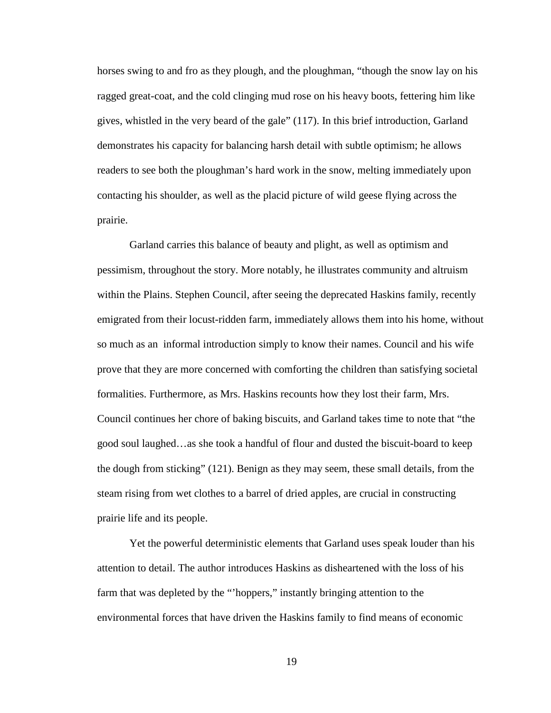horses swing to and fro as they plough, and the ploughman, "though the snow lay on his ragged great-coat, and the cold clinging mud rose on his heavy boots, fettering him like gives, whistled in the very beard of the gale" (117). In this brief introduction, Garland demonstrates his capacity for balancing harsh detail with subtle optimism; he allows readers to see both the ploughman's hard work in the snow, melting immediately upon contacting his shoulder, as well as the placid picture of wild geese flying across the prairie.

Garland carries this balance of beauty and plight, as well as optimism and pessimism, throughout the story. More notably, he illustrates community and altruism within the Plains. Stephen Council, after seeing the deprecated Haskins family, recently emigrated from their locust-ridden farm, immediately allows them into his home, without so much as an informal introduction simply to know their names. Council and his wife prove that they are more concerned with comforting the children than satisfying societal formalities. Furthermore, as Mrs. Haskins recounts how they lost their farm, Mrs. Council continues her chore of baking biscuits, and Garland takes time to note that "the good soul laughed…as she took a handful of flour and dusted the biscuit-board to keep the dough from sticking" (121). Benign as they may seem, these small details, from the steam rising from wet clothes to a barrel of dried apples, are crucial in constructing prairie life and its people.

 Yet the powerful deterministic elements that Garland uses speak louder than his attention to detail. The author introduces Haskins as disheartened with the loss of his farm that was depleted by the "'hoppers," instantly bringing attention to the environmental forces that have driven the Haskins family to find means of economic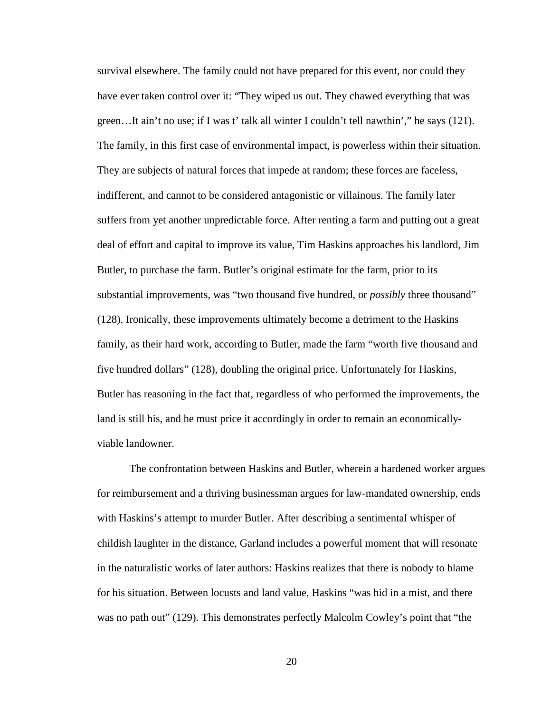survival elsewhere. The family could not have prepared for this event, nor could they have ever taken control over it: "They wiped us out. They chawed everything that was green…It ain't no use; if I was t' talk all winter I couldn't tell nawthin'," he says (121). The family, in this first case of environmental impact, is powerless within their situation. They are subjects of natural forces that impede at random; these forces are faceless, indifferent, and cannot to be considered antagonistic or villainous. The family later suffers from yet another unpredictable force. After renting a farm and putting out a great deal of effort and capital to improve its value, Tim Haskins approaches his landlord, Jim Butler, to purchase the farm. Butler's original estimate for the farm, prior to its substantial improvements, was "two thousand five hundred, or *possibly* three thousand" (128). Ironically, these improvements ultimately become a detriment to the Haskins family, as their hard work, according to Butler, made the farm "worth five thousand and five hundred dollars" (128), doubling the original price. Unfortunately for Haskins, Butler has reasoning in the fact that, regardless of who performed the improvements, the land is still his, and he must price it accordingly in order to remain an economicallyviable landowner.

 The confrontation between Haskins and Butler, wherein a hardened worker argues for reimbursement and a thriving businessman argues for law-mandated ownership, ends with Haskins's attempt to murder Butler. After describing a sentimental whisper of childish laughter in the distance, Garland includes a powerful moment that will resonate in the naturalistic works of later authors: Haskins realizes that there is nobody to blame for his situation. Between locusts and land value, Haskins "was hid in a mist, and there was no path out" (129). This demonstrates perfectly Malcolm Cowley's point that "the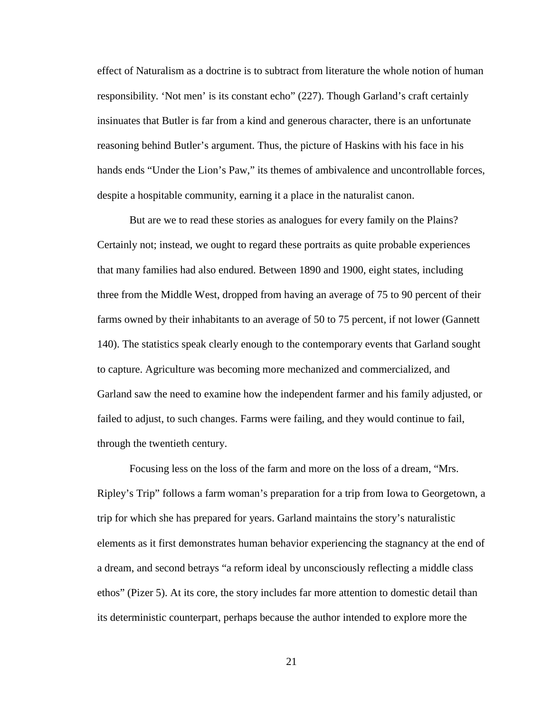effect of Naturalism as a doctrine is to subtract from literature the whole notion of human responsibility. 'Not men' is its constant echo" (227). Though Garland's craft certainly insinuates that Butler is far from a kind and generous character, there is an unfortunate reasoning behind Butler's argument. Thus, the picture of Haskins with his face in his hands ends "Under the Lion's Paw," its themes of ambivalence and uncontrollable forces, despite a hospitable community, earning it a place in the naturalist canon.

 But are we to read these stories as analogues for every family on the Plains? Certainly not; instead, we ought to regard these portraits as quite probable experiences that many families had also endured. Between 1890 and 1900, eight states, including three from the Middle West, dropped from having an average of 75 to 90 percent of their farms owned by their inhabitants to an average of 50 to 75 percent, if not lower (Gannett 140). The statistics speak clearly enough to the contemporary events that Garland sought to capture. Agriculture was becoming more mechanized and commercialized, and Garland saw the need to examine how the independent farmer and his family adjusted, or failed to adjust, to such changes. Farms were failing, and they would continue to fail, through the twentieth century.

 Focusing less on the loss of the farm and more on the loss of a dream, "Mrs. Ripley's Trip" follows a farm woman's preparation for a trip from Iowa to Georgetown, a trip for which she has prepared for years. Garland maintains the story's naturalistic elements as it first demonstrates human behavior experiencing the stagnancy at the end of a dream, and second betrays "a reform ideal by unconsciously reflecting a middle class ethos" (Pizer 5). At its core, the story includes far more attention to domestic detail than its deterministic counterpart, perhaps because the author intended to explore more the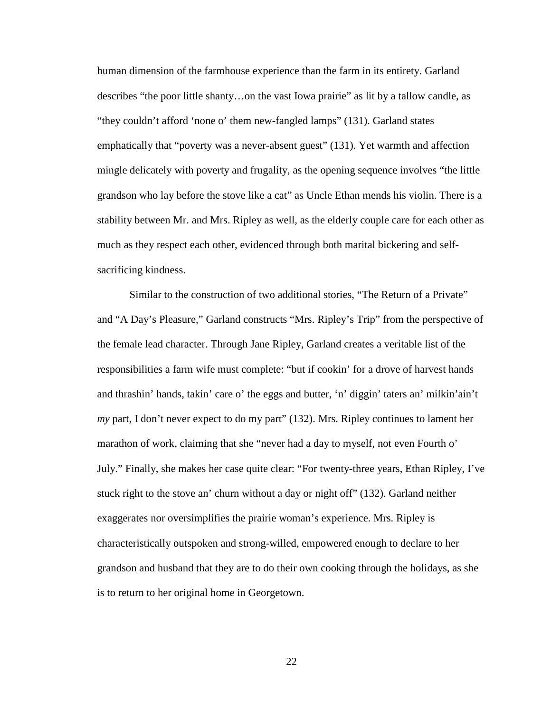human dimension of the farmhouse experience than the farm in its entirety. Garland describes "the poor little shanty…on the vast Iowa prairie" as lit by a tallow candle, as "they couldn't afford 'none o' them new-fangled lamps" (131). Garland states emphatically that "poverty was a never-absent guest" (131). Yet warmth and affection mingle delicately with poverty and frugality, as the opening sequence involves "the little grandson who lay before the stove like a cat" as Uncle Ethan mends his violin. There is a stability between Mr. and Mrs. Ripley as well, as the elderly couple care for each other as much as they respect each other, evidenced through both marital bickering and selfsacrificing kindness.

Similar to the construction of two additional stories, "The Return of a Private" and "A Day's Pleasure," Garland constructs "Mrs. Ripley's Trip" from the perspective of the female lead character. Through Jane Ripley, Garland creates a veritable list of the responsibilities a farm wife must complete: "but if cookin' for a drove of harvest hands and thrashin' hands, takin' care o' the eggs and butter, 'n' diggin' taters an' milkin'ain't *my* part, I don't never expect to do my part" (132). Mrs. Ripley continues to lament her marathon of work, claiming that she "never had a day to myself, not even Fourth o' July." Finally, she makes her case quite clear: "For twenty-three years, Ethan Ripley, I've stuck right to the stove an' churn without a day or night off" (132). Garland neither exaggerates nor oversimplifies the prairie woman's experience. Mrs. Ripley is characteristically outspoken and strong-willed, empowered enough to declare to her grandson and husband that they are to do their own cooking through the holidays, as she is to return to her original home in Georgetown.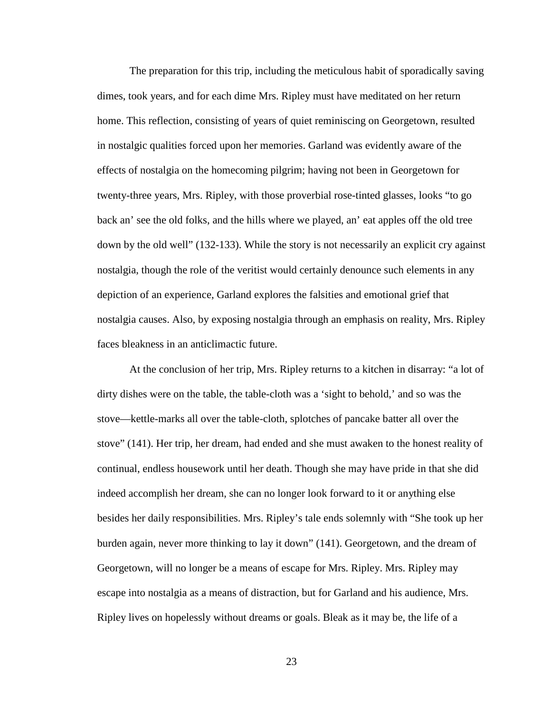The preparation for this trip, including the meticulous habit of sporadically saving dimes, took years, and for each dime Mrs. Ripley must have meditated on her return home. This reflection, consisting of years of quiet reminiscing on Georgetown, resulted in nostalgic qualities forced upon her memories. Garland was evidently aware of the effects of nostalgia on the homecoming pilgrim; having not been in Georgetown for twenty-three years, Mrs. Ripley, with those proverbial rose-tinted glasses, looks "to go back an' see the old folks, and the hills where we played, an' eat apples off the old tree down by the old well" (132-133). While the story is not necessarily an explicit cry against nostalgia, though the role of the veritist would certainly denounce such elements in any depiction of an experience, Garland explores the falsities and emotional grief that nostalgia causes. Also, by exposing nostalgia through an emphasis on reality, Mrs. Ripley faces bleakness in an anticlimactic future.

 At the conclusion of her trip, Mrs. Ripley returns to a kitchen in disarray: "a lot of dirty dishes were on the table, the table-cloth was a 'sight to behold,' and so was the stove—kettle-marks all over the table-cloth, splotches of pancake batter all over the stove" (141). Her trip, her dream, had ended and she must awaken to the honest reality of continual, endless housework until her death. Though she may have pride in that she did indeed accomplish her dream, she can no longer look forward to it or anything else besides her daily responsibilities. Mrs. Ripley's tale ends solemnly with "She took up her burden again, never more thinking to lay it down" (141). Georgetown, and the dream of Georgetown, will no longer be a means of escape for Mrs. Ripley. Mrs. Ripley may escape into nostalgia as a means of distraction, but for Garland and his audience, Mrs. Ripley lives on hopelessly without dreams or goals. Bleak as it may be, the life of a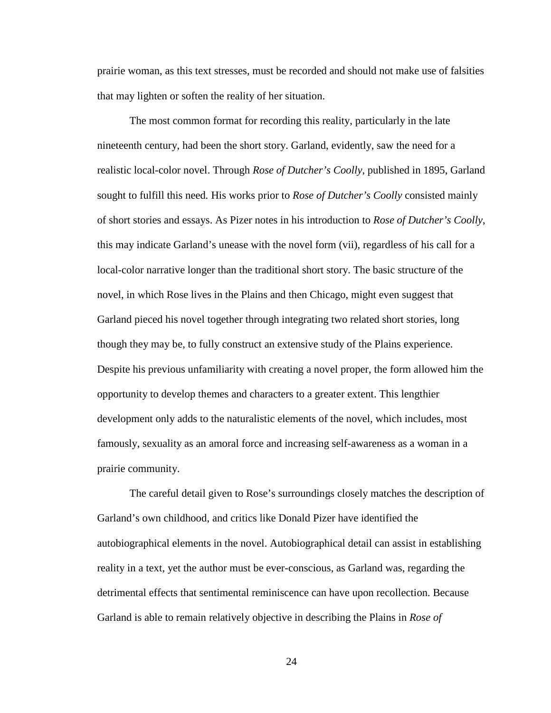prairie woman, as this text stresses, must be recorded and should not make use of falsities that may lighten or soften the reality of her situation.

 The most common format for recording this reality, particularly in the late nineteenth century, had been the short story. Garland, evidently, saw the need for a realistic local-color novel. Through *Rose of Dutcher's Coolly*, published in 1895, Garland sought to fulfill this need*.* His works prior to *Rose of Dutcher's Coolly* consisted mainly of short stories and essays. As Pizer notes in his introduction to *Rose of Dutcher's Coolly*, this may indicate Garland's unease with the novel form (vii), regardless of his call for a local-color narrative longer than the traditional short story. The basic structure of the novel, in which Rose lives in the Plains and then Chicago, might even suggest that Garland pieced his novel together through integrating two related short stories, long though they may be, to fully construct an extensive study of the Plains experience. Despite his previous unfamiliarity with creating a novel proper, the form allowed him the opportunity to develop themes and characters to a greater extent. This lengthier development only adds to the naturalistic elements of the novel, which includes, most famously, sexuality as an amoral force and increasing self-awareness as a woman in a prairie community.

 The careful detail given to Rose's surroundings closely matches the description of Garland's own childhood, and critics like Donald Pizer have identified the autobiographical elements in the novel. Autobiographical detail can assist in establishing reality in a text, yet the author must be ever-conscious, as Garland was, regarding the detrimental effects that sentimental reminiscence can have upon recollection. Because Garland is able to remain relatively objective in describing the Plains in *Rose of*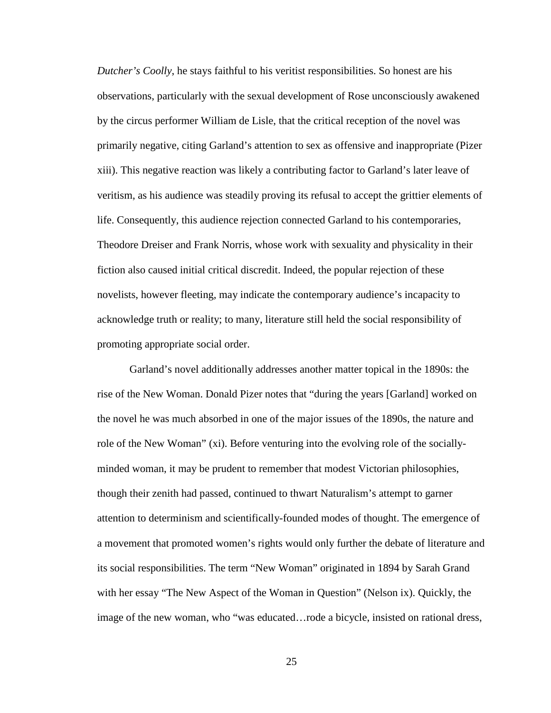*Dutcher's Coolly*, he stays faithful to his veritist responsibilities. So honest are his observations, particularly with the sexual development of Rose unconsciously awakened by the circus performer William de Lisle, that the critical reception of the novel was primarily negative, citing Garland's attention to sex as offensive and inappropriate (Pizer xiii). This negative reaction was likely a contributing factor to Garland's later leave of veritism, as his audience was steadily proving its refusal to accept the grittier elements of life. Consequently, this audience rejection connected Garland to his contemporaries, Theodore Dreiser and Frank Norris, whose work with sexuality and physicality in their fiction also caused initial critical discredit. Indeed, the popular rejection of these novelists, however fleeting, may indicate the contemporary audience's incapacity to acknowledge truth or reality; to many, literature still held the social responsibility of promoting appropriate social order.

Garland's novel additionally addresses another matter topical in the 1890s: the rise of the New Woman. Donald Pizer notes that "during the years [Garland] worked on the novel he was much absorbed in one of the major issues of the 1890s, the nature and role of the New Woman" (xi). Before venturing into the evolving role of the sociallyminded woman, it may be prudent to remember that modest Victorian philosophies, though their zenith had passed, continued to thwart Naturalism's attempt to garner attention to determinism and scientifically-founded modes of thought. The emergence of a movement that promoted women's rights would only further the debate of literature and its social responsibilities. The term "New Woman" originated in 1894 by Sarah Grand with her essay "The New Aspect of the Woman in Question" (Nelson ix). Quickly, the image of the new woman, who "was educated…rode a bicycle, insisted on rational dress,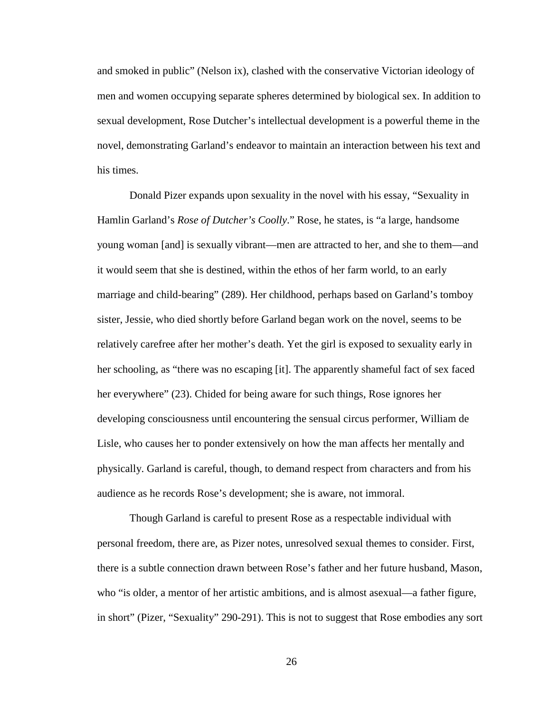and smoked in public" (Nelson ix), clashed with the conservative Victorian ideology of men and women occupying separate spheres determined by biological sex. In addition to sexual development, Rose Dutcher's intellectual development is a powerful theme in the novel, demonstrating Garland's endeavor to maintain an interaction between his text and his times.

Donald Pizer expands upon sexuality in the novel with his essay, "Sexuality in Hamlin Garland's *Rose of Dutcher's Coolly*." Rose, he states, is "a large, handsome young woman [and] is sexually vibrant—men are attracted to her, and she to them—and it would seem that she is destined, within the ethos of her farm world, to an early marriage and child-bearing" (289). Her childhood, perhaps based on Garland's tomboy sister, Jessie, who died shortly before Garland began work on the novel, seems to be relatively carefree after her mother's death. Yet the girl is exposed to sexuality early in her schooling, as "there was no escaping [it]. The apparently shameful fact of sex faced her everywhere" (23). Chided for being aware for such things, Rose ignores her developing consciousness until encountering the sensual circus performer, William de Lisle, who causes her to ponder extensively on how the man affects her mentally and physically. Garland is careful, though, to demand respect from characters and from his audience as he records Rose's development; she is aware, not immoral.

Though Garland is careful to present Rose as a respectable individual with personal freedom, there are, as Pizer notes, unresolved sexual themes to consider. First, there is a subtle connection drawn between Rose's father and her future husband, Mason, who "is older, a mentor of her artistic ambitions, and is almost asexual—a father figure, in short" (Pizer, "Sexuality" 290-291). This is not to suggest that Rose embodies any sort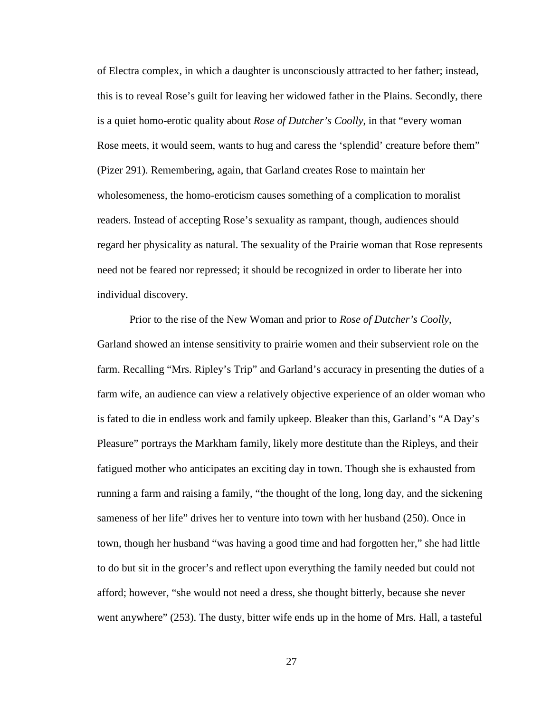of Electra complex, in which a daughter is unconsciously attracted to her father; instead, this is to reveal Rose's guilt for leaving her widowed father in the Plains. Secondly, there is a quiet homo-erotic quality about *Rose of Dutcher's Coolly*, in that "every woman Rose meets, it would seem, wants to hug and caress the 'splendid' creature before them" (Pizer 291). Remembering, again, that Garland creates Rose to maintain her wholesomeness, the homo-eroticism causes something of a complication to moralist readers. Instead of accepting Rose's sexuality as rampant, though, audiences should regard her physicality as natural. The sexuality of the Prairie woman that Rose represents need not be feared nor repressed; it should be recognized in order to liberate her into individual discovery.

Prior to the rise of the New Woman and prior to *Rose of Dutcher's Coolly*, Garland showed an intense sensitivity to prairie women and their subservient role on the farm. Recalling "Mrs. Ripley's Trip" and Garland's accuracy in presenting the duties of a farm wife, an audience can view a relatively objective experience of an older woman who is fated to die in endless work and family upkeep. Bleaker than this, Garland's "A Day's Pleasure" portrays the Markham family, likely more destitute than the Ripleys, and their fatigued mother who anticipates an exciting day in town. Though she is exhausted from running a farm and raising a family, "the thought of the long, long day, and the sickening sameness of her life" drives her to venture into town with her husband (250). Once in town, though her husband "was having a good time and had forgotten her," she had little to do but sit in the grocer's and reflect upon everything the family needed but could not afford; however, "she would not need a dress, she thought bitterly, because she never went anywhere" (253). The dusty, bitter wife ends up in the home of Mrs. Hall, a tasteful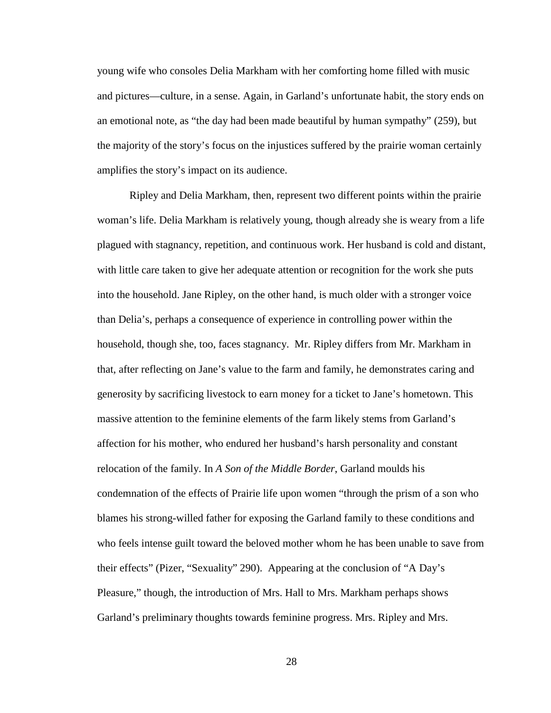young wife who consoles Delia Markham with her comforting home filled with music and pictures—culture, in a sense. Again, in Garland's unfortunate habit, the story ends on an emotional note, as "the day had been made beautiful by human sympathy" (259), but the majority of the story's focus on the injustices suffered by the prairie woman certainly amplifies the story's impact on its audience.

Ripley and Delia Markham, then, represent two different points within the prairie woman's life. Delia Markham is relatively young, though already she is weary from a life plagued with stagnancy, repetition, and continuous work. Her husband is cold and distant, with little care taken to give her adequate attention or recognition for the work she puts into the household. Jane Ripley, on the other hand, is much older with a stronger voice than Delia's, perhaps a consequence of experience in controlling power within the household, though she, too, faces stagnancy. Mr. Ripley differs from Mr. Markham in that, after reflecting on Jane's value to the farm and family, he demonstrates caring and generosity by sacrificing livestock to earn money for a ticket to Jane's hometown. This massive attention to the feminine elements of the farm likely stems from Garland's affection for his mother, who endured her husband's harsh personality and constant relocation of the family. In *A Son of the Middle Border*, Garland moulds his condemnation of the effects of Prairie life upon women "through the prism of a son who blames his strong-willed father for exposing the Garland family to these conditions and who feels intense guilt toward the beloved mother whom he has been unable to save from their effects" (Pizer, "Sexuality" 290). Appearing at the conclusion of "A Day's Pleasure," though, the introduction of Mrs. Hall to Mrs. Markham perhaps shows Garland's preliminary thoughts towards feminine progress. Mrs. Ripley and Mrs.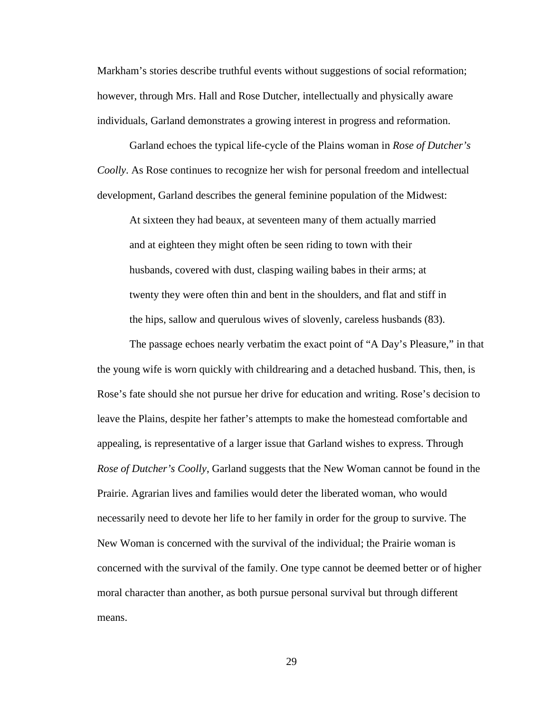Markham's stories describe truthful events without suggestions of social reformation; however, through Mrs. Hall and Rose Dutcher, intellectually and physically aware individuals, Garland demonstrates a growing interest in progress and reformation.

Garland echoes the typical life-cycle of the Plains woman in *Rose of Dutcher's Coolly*. As Rose continues to recognize her wish for personal freedom and intellectual development, Garland describes the general feminine population of the Midwest:

At sixteen they had beaux, at seventeen many of them actually married and at eighteen they might often be seen riding to town with their husbands, covered with dust, clasping wailing babes in their arms; at twenty they were often thin and bent in the shoulders, and flat and stiff in the hips, sallow and querulous wives of slovenly, careless husbands (83).

The passage echoes nearly verbatim the exact point of "A Day's Pleasure," in that the young wife is worn quickly with childrearing and a detached husband. This, then, is Rose's fate should she not pursue her drive for education and writing. Rose's decision to leave the Plains, despite her father's attempts to make the homestead comfortable and appealing, is representative of a larger issue that Garland wishes to express. Through *Rose of Dutcher's Coolly*, Garland suggests that the New Woman cannot be found in the Prairie. Agrarian lives and families would deter the liberated woman, who would necessarily need to devote her life to her family in order for the group to survive. The New Woman is concerned with the survival of the individual; the Prairie woman is concerned with the survival of the family. One type cannot be deemed better or of higher moral character than another, as both pursue personal survival but through different means.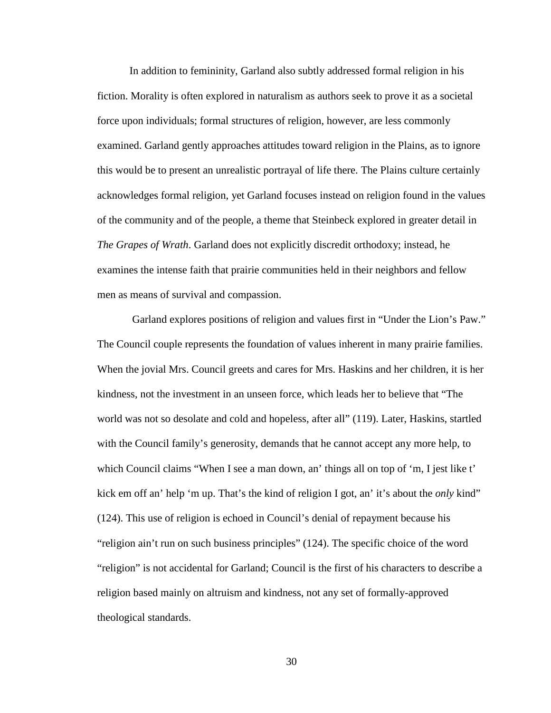In addition to femininity, Garland also subtly addressed formal religion in his fiction. Morality is often explored in naturalism as authors seek to prove it as a societal force upon individuals; formal structures of religion, however, are less commonly examined. Garland gently approaches attitudes toward religion in the Plains, as to ignore this would be to present an unrealistic portrayal of life there. The Plains culture certainly acknowledges formal religion, yet Garland focuses instead on religion found in the values of the community and of the people, a theme that Steinbeck explored in greater detail in *The Grapes of Wrath*. Garland does not explicitly discredit orthodoxy; instead, he examines the intense faith that prairie communities held in their neighbors and fellow men as means of survival and compassion.

Garland explores positions of religion and values first in "Under the Lion's Paw." The Council couple represents the foundation of values inherent in many prairie families. When the jovial Mrs. Council greets and cares for Mrs. Haskins and her children, it is her kindness, not the investment in an unseen force, which leads her to believe that "The world was not so desolate and cold and hopeless, after all" (119). Later, Haskins, startled with the Council family's generosity, demands that he cannot accept any more help, to which Council claims "When I see a man down, an' things all on top of 'm, I jest like t' kick em off an' help 'm up. That's the kind of religion I got, an' it's about the *only* kind" (124). This use of religion is echoed in Council's denial of repayment because his "religion ain't run on such business principles" (124). The specific choice of the word "religion" is not accidental for Garland; Council is the first of his characters to describe a religion based mainly on altruism and kindness, not any set of formally-approved theological standards.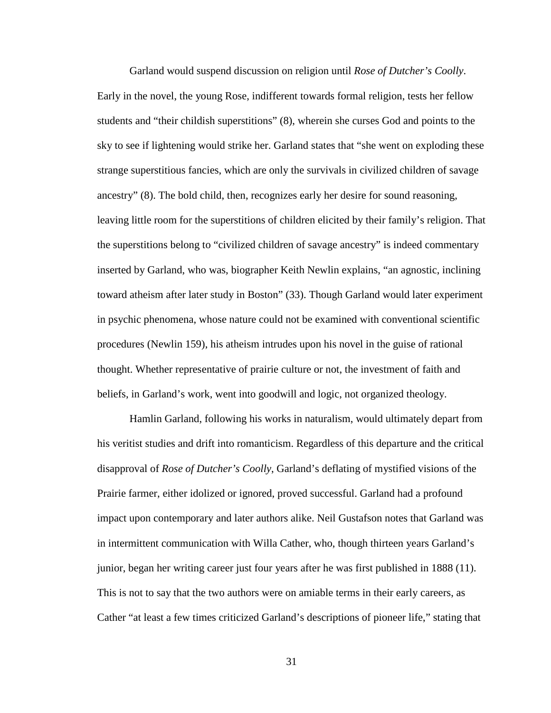Garland would suspend discussion on religion until *Rose of Dutcher's Coolly*. Early in the novel, the young Rose, indifferent towards formal religion, tests her fellow students and "their childish superstitions" (8), wherein she curses God and points to the sky to see if lightening would strike her. Garland states that "she went on exploding these strange superstitious fancies, which are only the survivals in civilized children of savage ancestry" (8). The bold child, then, recognizes early her desire for sound reasoning, leaving little room for the superstitions of children elicited by their family's religion. That the superstitions belong to "civilized children of savage ancestry" is indeed commentary inserted by Garland, who was, biographer Keith Newlin explains, "an agnostic, inclining toward atheism after later study in Boston" (33). Though Garland would later experiment in psychic phenomena, whose nature could not be examined with conventional scientific procedures (Newlin 159), his atheism intrudes upon his novel in the guise of rational thought. Whether representative of prairie culture or not, the investment of faith and beliefs, in Garland's work, went into goodwill and logic, not organized theology.

Hamlin Garland, following his works in naturalism, would ultimately depart from his veritist studies and drift into romanticism. Regardless of this departure and the critical disapproval of *Rose of Dutcher's Coolly*, Garland's deflating of mystified visions of the Prairie farmer, either idolized or ignored, proved successful. Garland had a profound impact upon contemporary and later authors alike. Neil Gustafson notes that Garland was in intermittent communication with Willa Cather, who, though thirteen years Garland's junior, began her writing career just four years after he was first published in 1888 (11). This is not to say that the two authors were on amiable terms in their early careers, as Cather "at least a few times criticized Garland's descriptions of pioneer life," stating that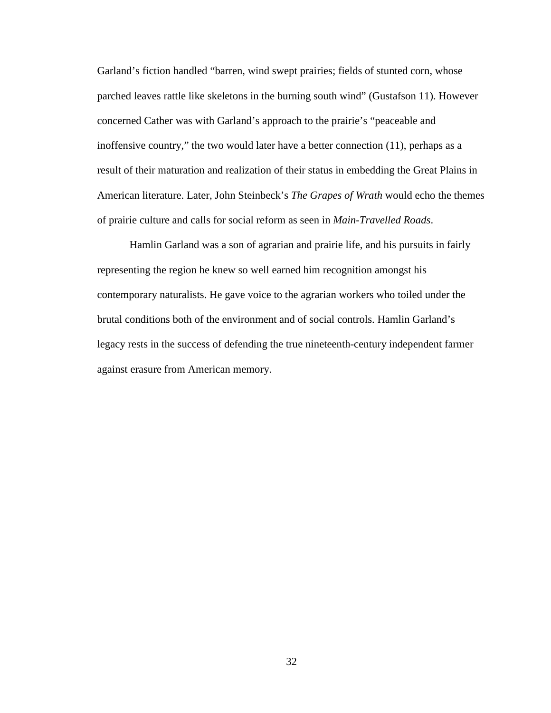Garland's fiction handled "barren, wind swept prairies; fields of stunted corn, whose parched leaves rattle like skeletons in the burning south wind" (Gustafson 11). However concerned Cather was with Garland's approach to the prairie's "peaceable and inoffensive country," the two would later have a better connection (11), perhaps as a result of their maturation and realization of their status in embedding the Great Plains in American literature. Later, John Steinbeck's *The Grapes of Wrath* would echo the themes of prairie culture and calls for social reform as seen in *Main-Travelled Roads*.

Hamlin Garland was a son of agrarian and prairie life, and his pursuits in fairly representing the region he knew so well earned him recognition amongst his contemporary naturalists. He gave voice to the agrarian workers who toiled under the brutal conditions both of the environment and of social controls. Hamlin Garland's legacy rests in the success of defending the true nineteenth-century independent farmer against erasure from American memory.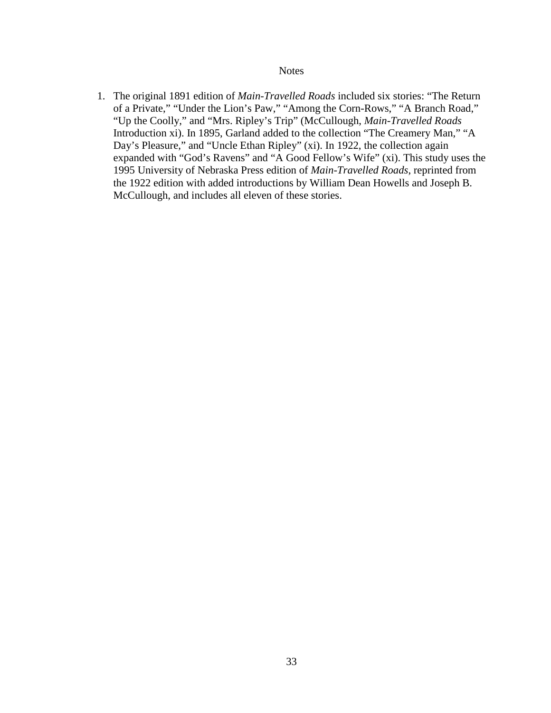## **Notes**

1. The original 1891 edition of *Main-Travelled Roads* included six stories: "The Return of a Private," "Under the Lion's Paw," "Among the Corn-Rows," "A Branch Road," "Up the Coolly," and "Mrs. Ripley's Trip" (McCullough, *Main-Travelled Roads* Introduction xi). In 1895, Garland added to the collection "The Creamery Man," "A Day's Pleasure," and "Uncle Ethan Ripley" (xi). In 1922, the collection again expanded with "God's Ravens" and "A Good Fellow's Wife" (xi). This study uses the 1995 University of Nebraska Press edition of *Main-Travelled Roads*, reprinted from the 1922 edition with added introductions by William Dean Howells and Joseph B. McCullough, and includes all eleven of these stories.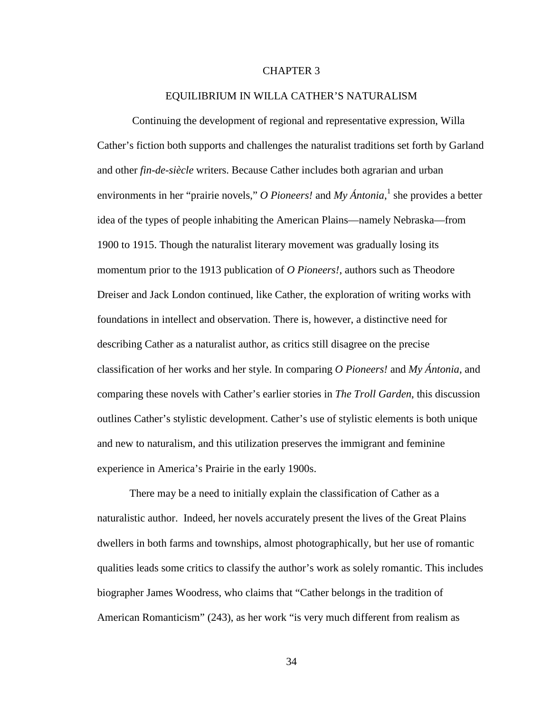#### CHAPTER 3

### EQUILIBRIUM IN WILLA CATHER'S NATURALISM

 Continuing the development of regional and representative expression, Willa Cather's fiction both supports and challenges the naturalist traditions set forth by Garland and other *fin-de-siècle* writers. Because Cather includes both agrarian and urban environments in her "prairie novels," *O Pioneers!* and *My Ántonia*,<sup>1</sup> she provides a better idea of the types of people inhabiting the American Plains—namely Nebraska—from 1900 to 1915. Though the naturalist literary movement was gradually losing its momentum prior to the 1913 publication of *O Pioneers!*, authors such as Theodore Dreiser and Jack London continued, like Cather, the exploration of writing works with foundations in intellect and observation. There is, however, a distinctive need for describing Cather as a naturalist author, as critics still disagree on the precise classification of her works and her style. In comparing *O Pioneers!* and *My Ántonia*, and comparing these novels with Cather's earlier stories in *The Troll Garden*, this discussion outlines Cather's stylistic development. Cather's use of stylistic elements is both unique and new to naturalism, and this utilization preserves the immigrant and feminine experience in America's Prairie in the early 1900s.

There may be a need to initially explain the classification of Cather as a naturalistic author. Indeed, her novels accurately present the lives of the Great Plains dwellers in both farms and townships, almost photographically, but her use of romantic qualities leads some critics to classify the author's work as solely romantic. This includes biographer James Woodress, who claims that "Cather belongs in the tradition of American Romanticism" (243), as her work "is very much different from realism as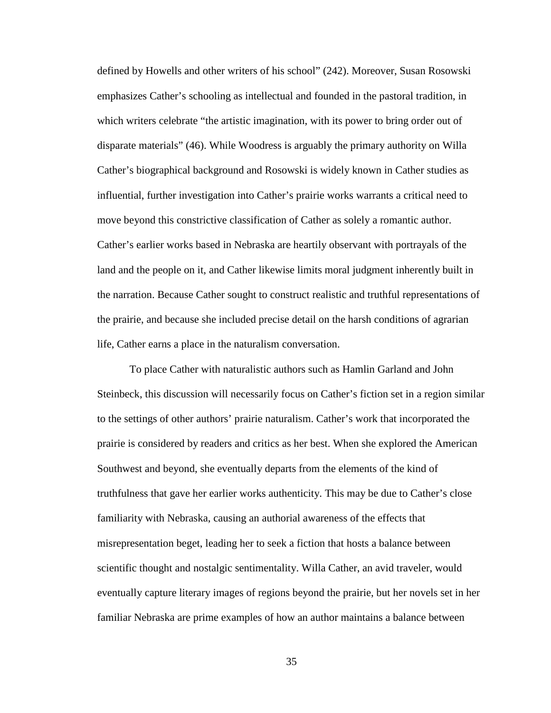defined by Howells and other writers of his school" (242). Moreover, Susan Rosowski emphasizes Cather's schooling as intellectual and founded in the pastoral tradition, in which writers celebrate "the artistic imagination, with its power to bring order out of disparate materials" (46). While Woodress is arguably the primary authority on Willa Cather's biographical background and Rosowski is widely known in Cather studies as influential, further investigation into Cather's prairie works warrants a critical need to move beyond this constrictive classification of Cather as solely a romantic author. Cather's earlier works based in Nebraska are heartily observant with portrayals of the land and the people on it, and Cather likewise limits moral judgment inherently built in the narration. Because Cather sought to construct realistic and truthful representations of the prairie, and because she included precise detail on the harsh conditions of agrarian life, Cather earns a place in the naturalism conversation.

To place Cather with naturalistic authors such as Hamlin Garland and John Steinbeck, this discussion will necessarily focus on Cather's fiction set in a region similar to the settings of other authors' prairie naturalism. Cather's work that incorporated the prairie is considered by readers and critics as her best. When she explored the American Southwest and beyond, she eventually departs from the elements of the kind of truthfulness that gave her earlier works authenticity. This may be due to Cather's close familiarity with Nebraska, causing an authorial awareness of the effects that misrepresentation beget, leading her to seek a fiction that hosts a balance between scientific thought and nostalgic sentimentality. Willa Cather, an avid traveler, would eventually capture literary images of regions beyond the prairie, but her novels set in her familiar Nebraska are prime examples of how an author maintains a balance between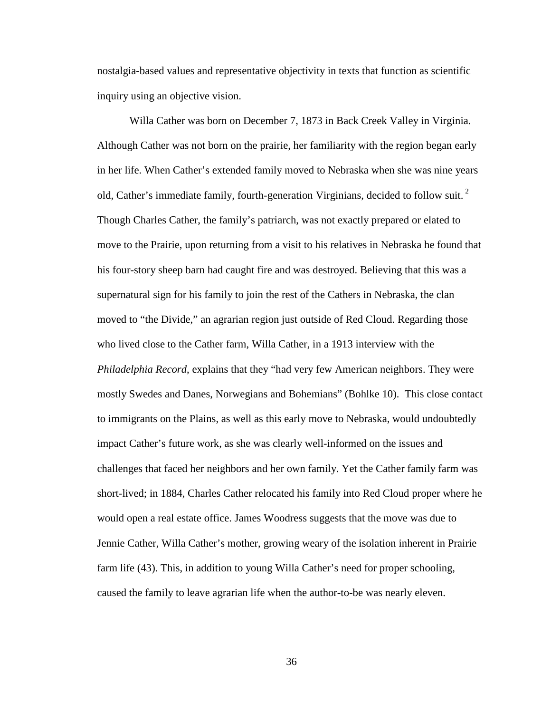nostalgia-based values and representative objectivity in texts that function as scientific inquiry using an objective vision.

Willa Cather was born on December 7, 1873 in Back Creek Valley in Virginia. Although Cather was not born on the prairie, her familiarity with the region began early in her life. When Cather's extended family moved to Nebraska when she was nine years old, Cather's immediate family, fourth-generation Virginians, decided to follow suit.<sup>2</sup> Though Charles Cather, the family's patriarch, was not exactly prepared or elated to move to the Prairie, upon returning from a visit to his relatives in Nebraska he found that his four-story sheep barn had caught fire and was destroyed. Believing that this was a supernatural sign for his family to join the rest of the Cathers in Nebraska, the clan moved to "the Divide," an agrarian region just outside of Red Cloud. Regarding those who lived close to the Cather farm, Willa Cather, in a 1913 interview with the *Philadelphia Record*, explains that they "had very few American neighbors. They were mostly Swedes and Danes, Norwegians and Bohemians" (Bohlke 10). This close contact to immigrants on the Plains, as well as this early move to Nebraska, would undoubtedly impact Cather's future work, as she was clearly well-informed on the issues and challenges that faced her neighbors and her own family. Yet the Cather family farm was short-lived; in 1884, Charles Cather relocated his family into Red Cloud proper where he would open a real estate office. James Woodress suggests that the move was due to Jennie Cather, Willa Cather's mother, growing weary of the isolation inherent in Prairie farm life (43). This, in addition to young Willa Cather's need for proper schooling, caused the family to leave agrarian life when the author-to-be was nearly eleven.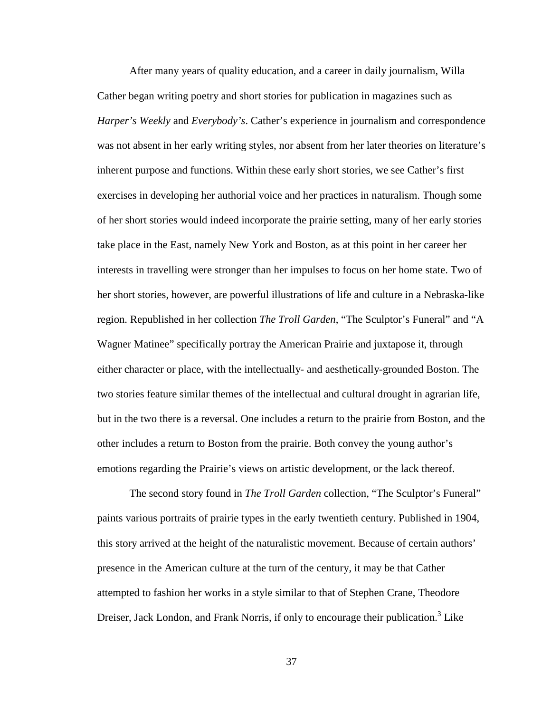After many years of quality education, and a career in daily journalism, Willa Cather began writing poetry and short stories for publication in magazines such as *Harper's Weekly* and *Everybody's*. Cather's experience in journalism and correspondence was not absent in her early writing styles, nor absent from her later theories on literature's inherent purpose and functions. Within these early short stories, we see Cather's first exercises in developing her authorial voice and her practices in naturalism. Though some of her short stories would indeed incorporate the prairie setting, many of her early stories take place in the East, namely New York and Boston, as at this point in her career her interests in travelling were stronger than her impulses to focus on her home state. Two of her short stories, however, are powerful illustrations of life and culture in a Nebraska-like region. Republished in her collection *The Troll Garden*, "The Sculptor's Funeral" and "A Wagner Matinee" specifically portray the American Prairie and juxtapose it, through either character or place, with the intellectually- and aesthetically-grounded Boston. The two stories feature similar themes of the intellectual and cultural drought in agrarian life, but in the two there is a reversal. One includes a return to the prairie from Boston, and the other includes a return to Boston from the prairie. Both convey the young author's emotions regarding the Prairie's views on artistic development, or the lack thereof.

The second story found in *The Troll Garden* collection, "The Sculptor's Funeral" paints various portraits of prairie types in the early twentieth century. Published in 1904, this story arrived at the height of the naturalistic movement. Because of certain authors' presence in the American culture at the turn of the century, it may be that Cather attempted to fashion her works in a style similar to that of Stephen Crane, Theodore Dreiser, Jack London, and Frank Norris, if only to encourage their publication.<sup>3</sup> Like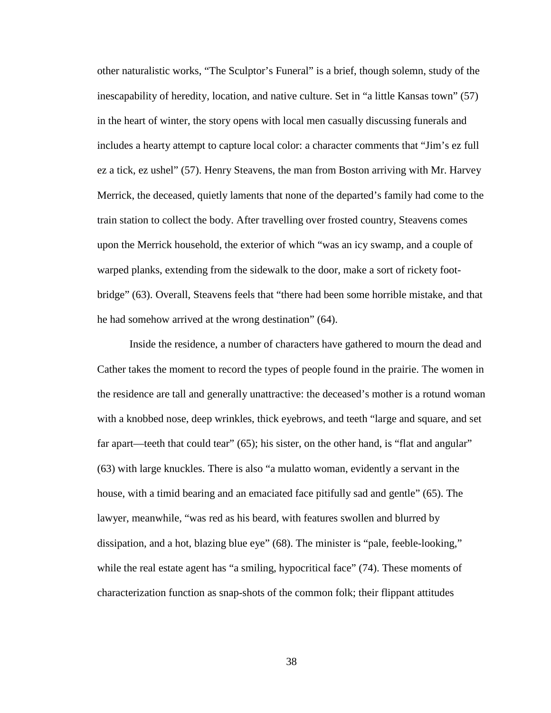other naturalistic works, "The Sculptor's Funeral" is a brief, though solemn, study of the inescapability of heredity, location, and native culture. Set in "a little Kansas town" (57) in the heart of winter, the story opens with local men casually discussing funerals and includes a hearty attempt to capture local color: a character comments that "Jim's ez full ez a tick, ez ushel" (57). Henry Steavens, the man from Boston arriving with Mr. Harvey Merrick, the deceased, quietly laments that none of the departed's family had come to the train station to collect the body. After travelling over frosted country, Steavens comes upon the Merrick household, the exterior of which "was an icy swamp, and a couple of warped planks, extending from the sidewalk to the door, make a sort of rickety footbridge" (63). Overall, Steavens feels that "there had been some horrible mistake, and that he had somehow arrived at the wrong destination" (64).

Inside the residence, a number of characters have gathered to mourn the dead and Cather takes the moment to record the types of people found in the prairie. The women in the residence are tall and generally unattractive: the deceased's mother is a rotund woman with a knobbed nose, deep wrinkles, thick eyebrows, and teeth "large and square, and set far apart—teeth that could tear" (65); his sister, on the other hand, is "flat and angular" (63) with large knuckles. There is also "a mulatto woman, evidently a servant in the house, with a timid bearing and an emaciated face pitifully sad and gentle" (65). The lawyer, meanwhile, "was red as his beard, with features swollen and blurred by dissipation, and a hot, blazing blue eye" (68). The minister is "pale, feeble-looking," while the real estate agent has "a smiling, hypocritical face" (74). These moments of characterization function as snap-shots of the common folk; their flippant attitudes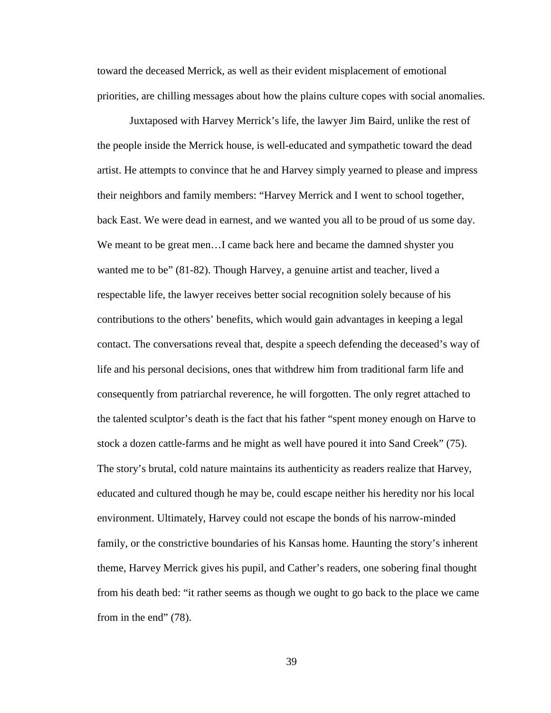toward the deceased Merrick, as well as their evident misplacement of emotional priorities, are chilling messages about how the plains culture copes with social anomalies.

Juxtaposed with Harvey Merrick's life, the lawyer Jim Baird, unlike the rest of the people inside the Merrick house, is well-educated and sympathetic toward the dead artist. He attempts to convince that he and Harvey simply yearned to please and impress their neighbors and family members: "Harvey Merrick and I went to school together, back East. We were dead in earnest, and we wanted you all to be proud of us some day. We meant to be great men…I came back here and became the damned shyster you wanted me to be" (81-82). Though Harvey, a genuine artist and teacher, lived a respectable life, the lawyer receives better social recognition solely because of his contributions to the others' benefits, which would gain advantages in keeping a legal contact. The conversations reveal that, despite a speech defending the deceased's way of life and his personal decisions, ones that withdrew him from traditional farm life and consequently from patriarchal reverence, he will forgotten. The only regret attached to the talented sculptor's death is the fact that his father "spent money enough on Harve to stock a dozen cattle-farms and he might as well have poured it into Sand Creek" (75). The story's brutal, cold nature maintains its authenticity as readers realize that Harvey, educated and cultured though he may be, could escape neither his heredity nor his local environment. Ultimately, Harvey could not escape the bonds of his narrow-minded family, or the constrictive boundaries of his Kansas home. Haunting the story's inherent theme, Harvey Merrick gives his pupil, and Cather's readers, one sobering final thought from his death bed: "it rather seems as though we ought to go back to the place we came from in the end" (78).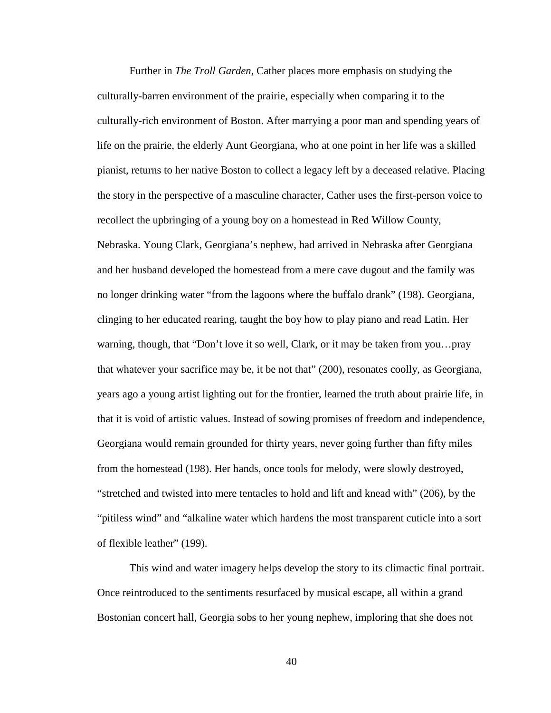Further in *The Troll Garden*, Cather places more emphasis on studying the culturally-barren environment of the prairie, especially when comparing it to the culturally-rich environment of Boston. After marrying a poor man and spending years of life on the prairie, the elderly Aunt Georgiana, who at one point in her life was a skilled pianist, returns to her native Boston to collect a legacy left by a deceased relative. Placing the story in the perspective of a masculine character, Cather uses the first-person voice to recollect the upbringing of a young boy on a homestead in Red Willow County, Nebraska. Young Clark, Georgiana's nephew, had arrived in Nebraska after Georgiana and her husband developed the homestead from a mere cave dugout and the family was no longer drinking water "from the lagoons where the buffalo drank" (198). Georgiana, clinging to her educated rearing, taught the boy how to play piano and read Latin. Her warning, though, that "Don't love it so well, Clark, or it may be taken from you…pray that whatever your sacrifice may be, it be not that" (200), resonates coolly, as Georgiana, years ago a young artist lighting out for the frontier, learned the truth about prairie life, in that it is void of artistic values. Instead of sowing promises of freedom and independence, Georgiana would remain grounded for thirty years, never going further than fifty miles from the homestead (198). Her hands, once tools for melody, were slowly destroyed, "stretched and twisted into mere tentacles to hold and lift and knead with" (206), by the "pitiless wind" and "alkaline water which hardens the most transparent cuticle into a sort of flexible leather" (199).

This wind and water imagery helps develop the story to its climactic final portrait. Once reintroduced to the sentiments resurfaced by musical escape, all within a grand Bostonian concert hall, Georgia sobs to her young nephew, imploring that she does not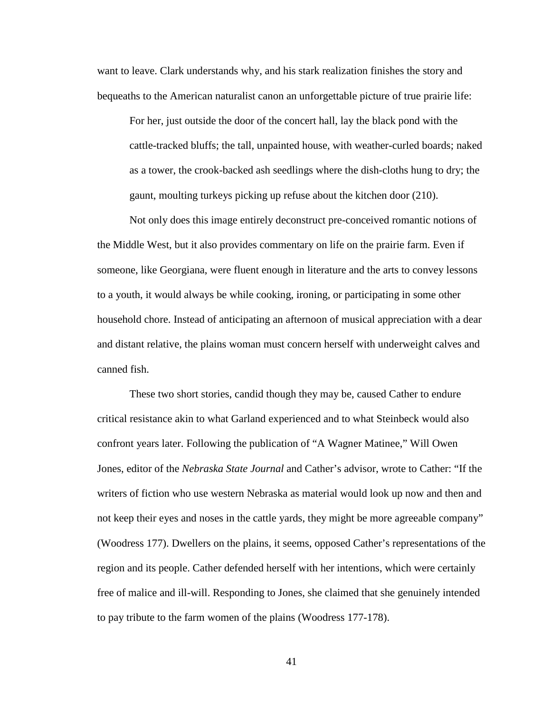want to leave. Clark understands why, and his stark realization finishes the story and bequeaths to the American naturalist canon an unforgettable picture of true prairie life:

For her, just outside the door of the concert hall, lay the black pond with the cattle-tracked bluffs; the tall, unpainted house, with weather-curled boards; naked as a tower, the crook-backed ash seedlings where the dish-cloths hung to dry; the gaunt, moulting turkeys picking up refuse about the kitchen door (210).

Not only does this image entirely deconstruct pre-conceived romantic notions of the Middle West, but it also provides commentary on life on the prairie farm. Even if someone, like Georgiana, were fluent enough in literature and the arts to convey lessons to a youth, it would always be while cooking, ironing, or participating in some other household chore. Instead of anticipating an afternoon of musical appreciation with a dear and distant relative, the plains woman must concern herself with underweight calves and canned fish.

These two short stories, candid though they may be, caused Cather to endure critical resistance akin to what Garland experienced and to what Steinbeck would also confront years later. Following the publication of "A Wagner Matinee," Will Owen Jones, editor of the *Nebraska State Journal* and Cather's advisor, wrote to Cather: "If the writers of fiction who use western Nebraska as material would look up now and then and not keep their eyes and noses in the cattle yards, they might be more agreeable company" (Woodress 177). Dwellers on the plains, it seems, opposed Cather's representations of the region and its people. Cather defended herself with her intentions, which were certainly free of malice and ill-will. Responding to Jones, she claimed that she genuinely intended to pay tribute to the farm women of the plains (Woodress 177-178).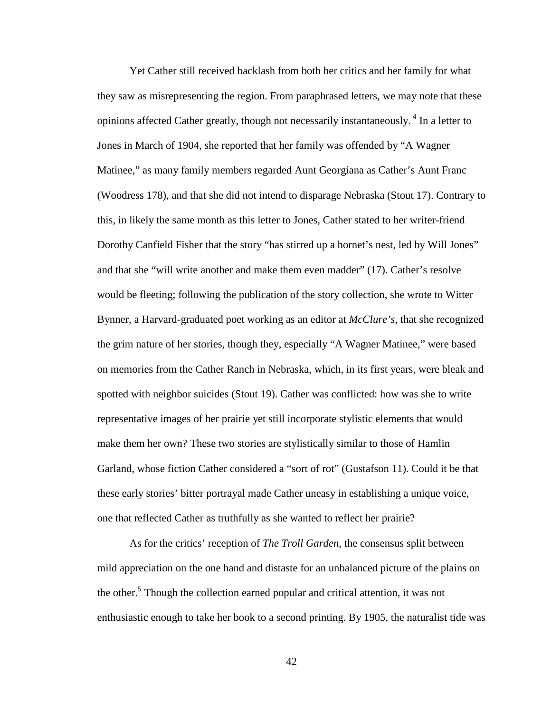Yet Cather still received backlash from both her critics and her family for what they saw as misrepresenting the region. From paraphrased letters, we may note that these opinions affected Cather greatly, though not necessarily instantaneously.<sup>4</sup> In a letter to Jones in March of 1904, she reported that her family was offended by "A Wagner Matinee," as many family members regarded Aunt Georgiana as Cather's Aunt Franc (Woodress 178), and that she did not intend to disparage Nebraska (Stout 17). Contrary to this, in likely the same month as this letter to Jones, Cather stated to her writer-friend Dorothy Canfield Fisher that the story "has stirred up a hornet's nest, led by Will Jones" and that she "will write another and make them even madder" (17). Cather's resolve would be fleeting; following the publication of the story collection, she wrote to Witter Bynner, a Harvard-graduated poet working as an editor at *McClure's*, that she recognized the grim nature of her stories, though they, especially "A Wagner Matinee," were based on memories from the Cather Ranch in Nebraska, which, in its first years, were bleak and spotted with neighbor suicides (Stout 19). Cather was conflicted: how was she to write representative images of her prairie yet still incorporate stylistic elements that would make them her own? These two stories are stylistically similar to those of Hamlin Garland, whose fiction Cather considered a "sort of rot" (Gustafson 11). Could it be that these early stories' bitter portrayal made Cather uneasy in establishing a unique voice, one that reflected Cather as truthfully as she wanted to reflect her prairie?

As for the critics' reception of *The Troll Garden*, the consensus split between mild appreciation on the one hand and distaste for an unbalanced picture of the plains on the other.<sup>5</sup> Though the collection earned popular and critical attention, it was not enthusiastic enough to take her book to a second printing. By 1905, the naturalist tide was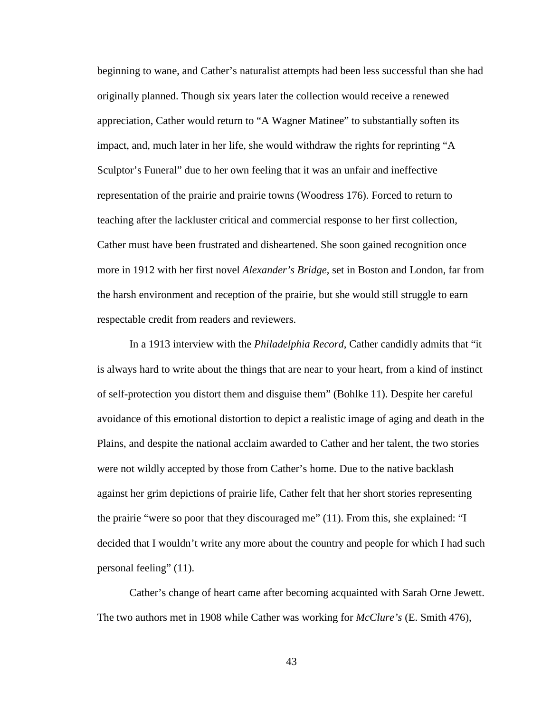beginning to wane, and Cather's naturalist attempts had been less successful than she had originally planned. Though six years later the collection would receive a renewed appreciation, Cather would return to "A Wagner Matinee" to substantially soften its impact, and, much later in her life, she would withdraw the rights for reprinting "A Sculptor's Funeral" due to her own feeling that it was an unfair and ineffective representation of the prairie and prairie towns (Woodress 176). Forced to return to teaching after the lackluster critical and commercial response to her first collection, Cather must have been frustrated and disheartened. She soon gained recognition once more in 1912 with her first novel *Alexander's Bridge*, set in Boston and London, far from the harsh environment and reception of the prairie, but she would still struggle to earn respectable credit from readers and reviewers.

In a 1913 interview with the *Philadelphia Record*, Cather candidly admits that "it is always hard to write about the things that are near to your heart, from a kind of instinct of self-protection you distort them and disguise them" (Bohlke 11). Despite her careful avoidance of this emotional distortion to depict a realistic image of aging and death in the Plains, and despite the national acclaim awarded to Cather and her talent, the two stories were not wildly accepted by those from Cather's home. Due to the native backlash against her grim depictions of prairie life, Cather felt that her short stories representing the prairie "were so poor that they discouraged me" (11). From this, she explained: "I decided that I wouldn't write any more about the country and people for which I had such personal feeling" (11).

Cather's change of heart came after becoming acquainted with Sarah Orne Jewett. The two authors met in 1908 while Cather was working for *McClure's* (E. Smith 476),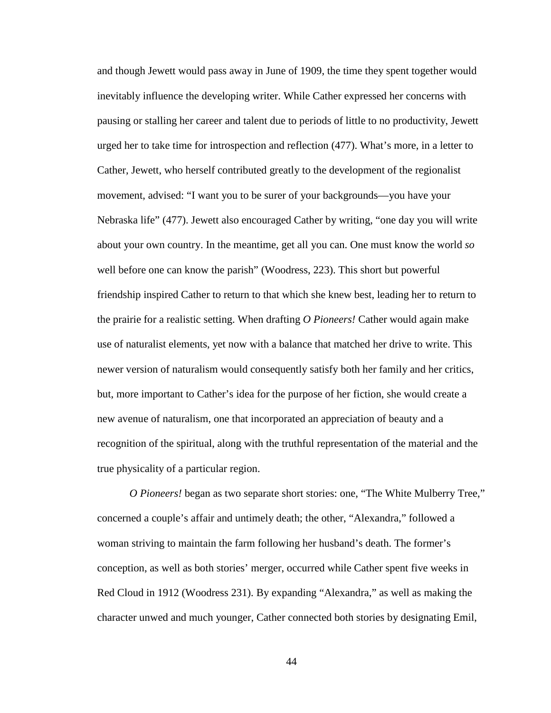and though Jewett would pass away in June of 1909, the time they spent together would inevitably influence the developing writer. While Cather expressed her concerns with pausing or stalling her career and talent due to periods of little to no productivity, Jewett urged her to take time for introspection and reflection (477). What's more, in a letter to Cather, Jewett, who herself contributed greatly to the development of the regionalist movement, advised: "I want you to be surer of your backgrounds—you have your Nebraska life" (477). Jewett also encouraged Cather by writing, "one day you will write about your own country. In the meantime, get all you can. One must know the world *so*  well before one can know the parish" (Woodress, 223). This short but powerful friendship inspired Cather to return to that which she knew best, leading her to return to the prairie for a realistic setting. When drafting *O Pioneers!* Cather would again make use of naturalist elements, yet now with a balance that matched her drive to write. This newer version of naturalism would consequently satisfy both her family and her critics, but, more important to Cather's idea for the purpose of her fiction, she would create a new avenue of naturalism, one that incorporated an appreciation of beauty and a recognition of the spiritual, along with the truthful representation of the material and the true physicality of a particular region.

*O Pioneers!* began as two separate short stories: one, "The White Mulberry Tree," concerned a couple's affair and untimely death; the other, "Alexandra," followed a woman striving to maintain the farm following her husband's death. The former's conception, as well as both stories' merger, occurred while Cather spent five weeks in Red Cloud in 1912 (Woodress 231). By expanding "Alexandra," as well as making the character unwed and much younger, Cather connected both stories by designating Emil,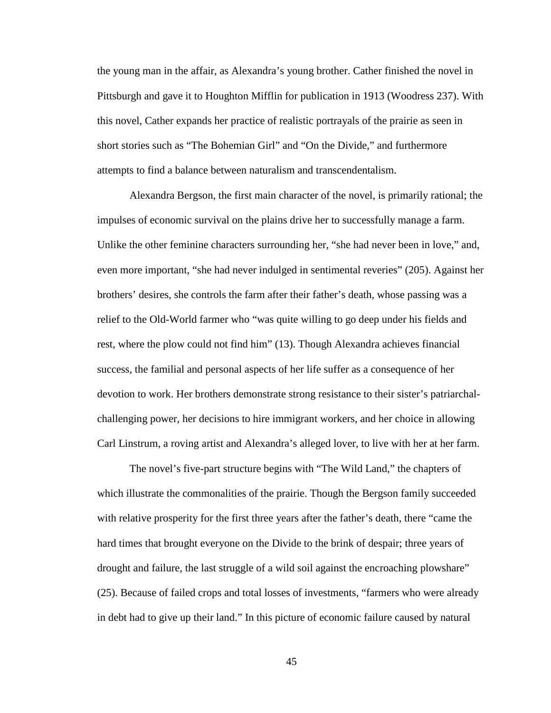the young man in the affair, as Alexandra's young brother. Cather finished the novel in Pittsburgh and gave it to Houghton Mifflin for publication in 1913 (Woodress 237). With this novel, Cather expands her practice of realistic portrayals of the prairie as seen in short stories such as "The Bohemian Girl" and "On the Divide," and furthermore attempts to find a balance between naturalism and transcendentalism.

Alexandra Bergson, the first main character of the novel, is primarily rational; the impulses of economic survival on the plains drive her to successfully manage a farm. Unlike the other feminine characters surrounding her, "she had never been in love," and, even more important, "she had never indulged in sentimental reveries" (205). Against her brothers' desires, she controls the farm after their father's death, whose passing was a relief to the Old-World farmer who "was quite willing to go deep under his fields and rest, where the plow could not find him" (13). Though Alexandra achieves financial success, the familial and personal aspects of her life suffer as a consequence of her devotion to work. Her brothers demonstrate strong resistance to their sister's patriarchalchallenging power, her decisions to hire immigrant workers, and her choice in allowing Carl Linstrum, a roving artist and Alexandra's alleged lover, to live with her at her farm.

The novel's five-part structure begins with "The Wild Land," the chapters of which illustrate the commonalities of the prairie. Though the Bergson family succeeded with relative prosperity for the first three years after the father's death, there "came the hard times that brought everyone on the Divide to the brink of despair; three years of drought and failure, the last struggle of a wild soil against the encroaching plowshare" (25). Because of failed crops and total losses of investments, "farmers who were already in debt had to give up their land." In this picture of economic failure caused by natural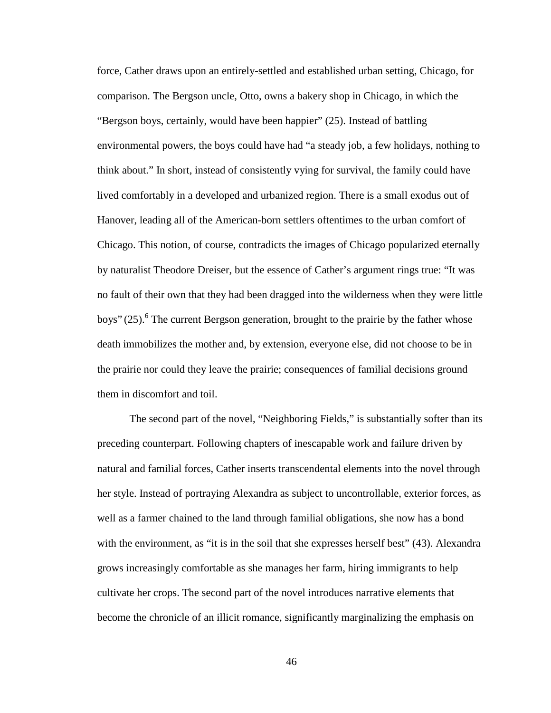force, Cather draws upon an entirely-settled and established urban setting, Chicago, for comparison. The Bergson uncle, Otto, owns a bakery shop in Chicago, in which the "Bergson boys, certainly, would have been happier" (25). Instead of battling environmental powers, the boys could have had "a steady job, a few holidays, nothing to think about." In short, instead of consistently vying for survival, the family could have lived comfortably in a developed and urbanized region. There is a small exodus out of Hanover, leading all of the American-born settlers oftentimes to the urban comfort of Chicago. This notion, of course, contradicts the images of Chicago popularized eternally by naturalist Theodore Dreiser, but the essence of Cather's argument rings true: "It was no fault of their own that they had been dragged into the wilderness when they were little boys" (25).<sup>6</sup> The current Bergson generation, brought to the prairie by the father whose death immobilizes the mother and, by extension, everyone else, did not choose to be in the prairie nor could they leave the prairie; consequences of familial decisions ground them in discomfort and toil.

The second part of the novel, "Neighboring Fields," is substantially softer than its preceding counterpart. Following chapters of inescapable work and failure driven by natural and familial forces, Cather inserts transcendental elements into the novel through her style. Instead of portraying Alexandra as subject to uncontrollable, exterior forces, as well as a farmer chained to the land through familial obligations, she now has a bond with the environment, as "it is in the soil that she expresses herself best" (43). Alexandra grows increasingly comfortable as she manages her farm, hiring immigrants to help cultivate her crops. The second part of the novel introduces narrative elements that become the chronicle of an illicit romance, significantly marginalizing the emphasis on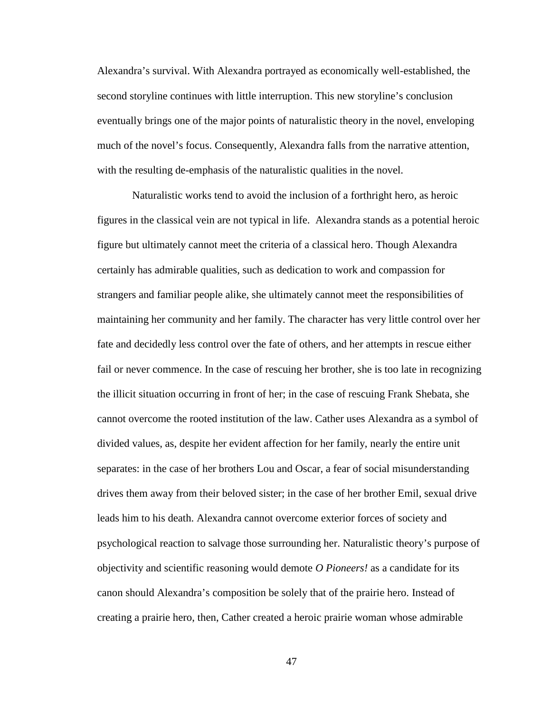Alexandra's survival. With Alexandra portrayed as economically well-established, the second storyline continues with little interruption. This new storyline's conclusion eventually brings one of the major points of naturalistic theory in the novel, enveloping much of the novel's focus. Consequently, Alexandra falls from the narrative attention, with the resulting de-emphasis of the naturalistic qualities in the novel.

 Naturalistic works tend to avoid the inclusion of a forthright hero, as heroic figures in the classical vein are not typical in life. Alexandra stands as a potential heroic figure but ultimately cannot meet the criteria of a classical hero. Though Alexandra certainly has admirable qualities, such as dedication to work and compassion for strangers and familiar people alike, she ultimately cannot meet the responsibilities of maintaining her community and her family. The character has very little control over her fate and decidedly less control over the fate of others, and her attempts in rescue either fail or never commence. In the case of rescuing her brother, she is too late in recognizing the illicit situation occurring in front of her; in the case of rescuing Frank Shebata, she cannot overcome the rooted institution of the law. Cather uses Alexandra as a symbol of divided values, as, despite her evident affection for her family, nearly the entire unit separates: in the case of her brothers Lou and Oscar, a fear of social misunderstanding drives them away from their beloved sister; in the case of her brother Emil, sexual drive leads him to his death. Alexandra cannot overcome exterior forces of society and psychological reaction to salvage those surrounding her. Naturalistic theory's purpose of objectivity and scientific reasoning would demote *O Pioneers!* as a candidate for its canon should Alexandra's composition be solely that of the prairie hero. Instead of creating a prairie hero, then, Cather created a heroic prairie woman whose admirable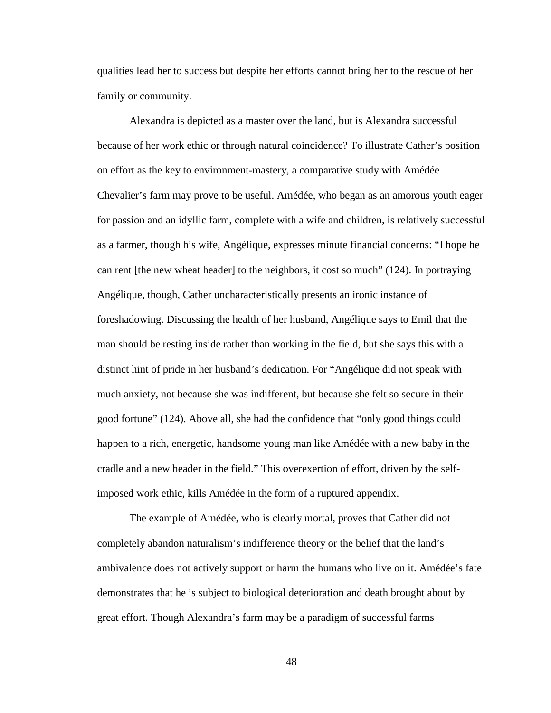qualities lead her to success but despite her efforts cannot bring her to the rescue of her family or community.

Alexandra is depicted as a master over the land, but is Alexandra successful because of her work ethic or through natural coincidence? To illustrate Cather's position on effort as the key to environment-mastery, a comparative study with Amédée Chevalier's farm may prove to be useful. Amédée, who began as an amorous youth eager for passion and an idyllic farm, complete with a wife and children, is relatively successful as a farmer, though his wife, Angélique, expresses minute financial concerns: "I hope he can rent [the new wheat header] to the neighbors, it cost so much" (124). In portraying Angélique, though, Cather uncharacteristically presents an ironic instance of foreshadowing. Discussing the health of her husband, Angélique says to Emil that the man should be resting inside rather than working in the field, but she says this with a distinct hint of pride in her husband's dedication. For "Angélique did not speak with much anxiety, not because she was indifferent, but because she felt so secure in their good fortune" (124). Above all, she had the confidence that "only good things could happen to a rich, energetic, handsome young man like Amédée with a new baby in the cradle and a new header in the field." This overexertion of effort, driven by the selfimposed work ethic, kills Amédée in the form of a ruptured appendix.

The example of Amédée, who is clearly mortal, proves that Cather did not completely abandon naturalism's indifference theory or the belief that the land's ambivalence does not actively support or harm the humans who live on it. Amédée's fate demonstrates that he is subject to biological deterioration and death brought about by great effort. Though Alexandra's farm may be a paradigm of successful farms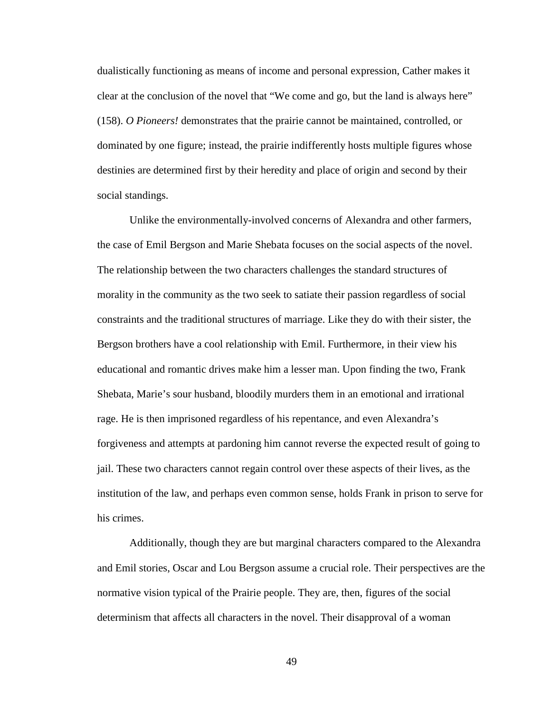dualistically functioning as means of income and personal expression, Cather makes it clear at the conclusion of the novel that "We come and go, but the land is always here" (158). *O Pioneers!* demonstrates that the prairie cannot be maintained, controlled, or dominated by one figure; instead, the prairie indifferently hosts multiple figures whose destinies are determined first by their heredity and place of origin and second by their social standings.

Unlike the environmentally-involved concerns of Alexandra and other farmers, the case of Emil Bergson and Marie Shebata focuses on the social aspects of the novel. The relationship between the two characters challenges the standard structures of morality in the community as the two seek to satiate their passion regardless of social constraints and the traditional structures of marriage. Like they do with their sister, the Bergson brothers have a cool relationship with Emil. Furthermore, in their view his educational and romantic drives make him a lesser man. Upon finding the two, Frank Shebata, Marie's sour husband, bloodily murders them in an emotional and irrational rage. He is then imprisoned regardless of his repentance, and even Alexandra's forgiveness and attempts at pardoning him cannot reverse the expected result of going to jail. These two characters cannot regain control over these aspects of their lives, as the institution of the law, and perhaps even common sense, holds Frank in prison to serve for his crimes.

Additionally, though they are but marginal characters compared to the Alexandra and Emil stories, Oscar and Lou Bergson assume a crucial role. Their perspectives are the normative vision typical of the Prairie people. They are, then, figures of the social determinism that affects all characters in the novel. Their disapproval of a woman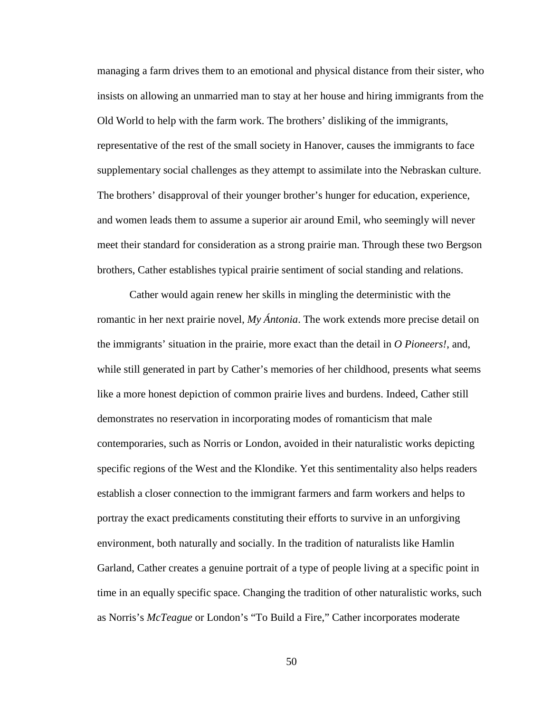managing a farm drives them to an emotional and physical distance from their sister, who insists on allowing an unmarried man to stay at her house and hiring immigrants from the Old World to help with the farm work. The brothers' disliking of the immigrants, representative of the rest of the small society in Hanover, causes the immigrants to face supplementary social challenges as they attempt to assimilate into the Nebraskan culture. The brothers' disapproval of their younger brother's hunger for education, experience, and women leads them to assume a superior air around Emil, who seemingly will never meet their standard for consideration as a strong prairie man. Through these two Bergson brothers, Cather establishes typical prairie sentiment of social standing and relations.

Cather would again renew her skills in mingling the deterministic with the romantic in her next prairie novel, *My Ántonia*. The work extends more precise detail on the immigrants' situation in the prairie, more exact than the detail in *O Pioneers!*, and, while still generated in part by Cather's memories of her childhood, presents what seems like a more honest depiction of common prairie lives and burdens. Indeed, Cather still demonstrates no reservation in incorporating modes of romanticism that male contemporaries, such as Norris or London, avoided in their naturalistic works depicting specific regions of the West and the Klondike. Yet this sentimentality also helps readers establish a closer connection to the immigrant farmers and farm workers and helps to portray the exact predicaments constituting their efforts to survive in an unforgiving environment, both naturally and socially. In the tradition of naturalists like Hamlin Garland, Cather creates a genuine portrait of a type of people living at a specific point in time in an equally specific space. Changing the tradition of other naturalistic works, such as Norris's *McTeague* or London's "To Build a Fire," Cather incorporates moderate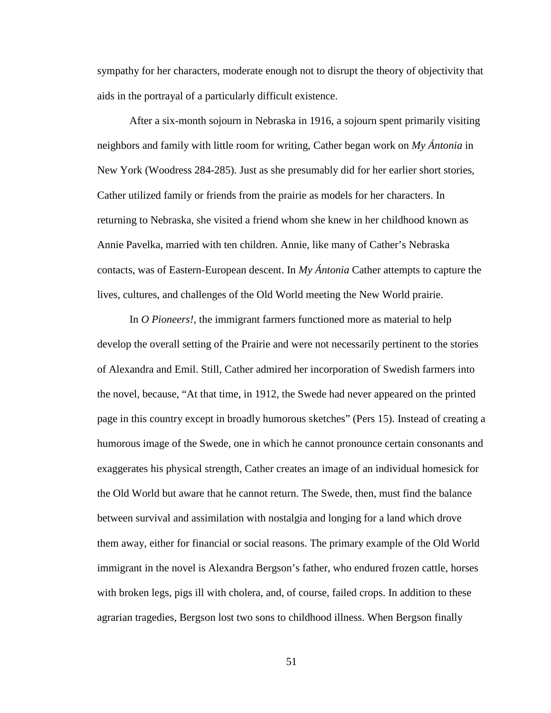sympathy for her characters, moderate enough not to disrupt the theory of objectivity that aids in the portrayal of a particularly difficult existence.

After a six-month sojourn in Nebraska in 1916, a sojourn spent primarily visiting neighbors and family with little room for writing, Cather began work on *My Ántonia* in New York (Woodress 284-285). Just as she presumably did for her earlier short stories, Cather utilized family or friends from the prairie as models for her characters. In returning to Nebraska, she visited a friend whom she knew in her childhood known as Annie Pavelka, married with ten children. Annie, like many of Cather's Nebraska contacts, was of Eastern-European descent. In *My Ántonia* Cather attempts to capture the lives, cultures, and challenges of the Old World meeting the New World prairie.

In *O Pioneers!*, the immigrant farmers functioned more as material to help develop the overall setting of the Prairie and were not necessarily pertinent to the stories of Alexandra and Emil. Still, Cather admired her incorporation of Swedish farmers into the novel, because, "At that time, in 1912, the Swede had never appeared on the printed page in this country except in broadly humorous sketches" (Pers 15). Instead of creating a humorous image of the Swede, one in which he cannot pronounce certain consonants and exaggerates his physical strength, Cather creates an image of an individual homesick for the Old World but aware that he cannot return. The Swede, then, must find the balance between survival and assimilation with nostalgia and longing for a land which drove them away, either for financial or social reasons. The primary example of the Old World immigrant in the novel is Alexandra Bergson's father, who endured frozen cattle, horses with broken legs, pigs ill with cholera, and, of course, failed crops. In addition to these agrarian tragedies, Bergson lost two sons to childhood illness. When Bergson finally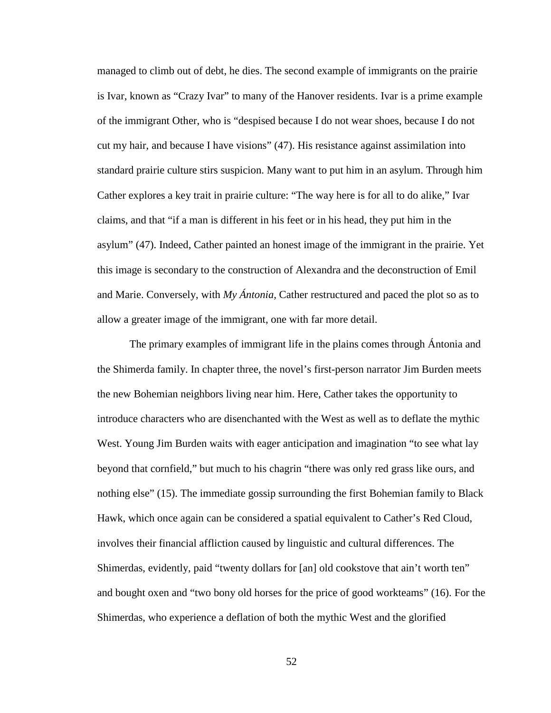managed to climb out of debt, he dies. The second example of immigrants on the prairie is Ivar, known as "Crazy Ivar" to many of the Hanover residents. Ivar is a prime example of the immigrant Other, who is "despised because I do not wear shoes, because I do not cut my hair, and because I have visions" (47). His resistance against assimilation into standard prairie culture stirs suspicion. Many want to put him in an asylum. Through him Cather explores a key trait in prairie culture: "The way here is for all to do alike," Ivar claims, and that "if a man is different in his feet or in his head, they put him in the asylum" (47). Indeed, Cather painted an honest image of the immigrant in the prairie. Yet this image is secondary to the construction of Alexandra and the deconstruction of Emil and Marie. Conversely, with *My Ántonia*, Cather restructured and paced the plot so as to allow a greater image of the immigrant, one with far more detail.

The primary examples of immigrant life in the plains comes through Ántonia and the Shimerda family. In chapter three, the novel's first-person narrator Jim Burden meets the new Bohemian neighbors living near him. Here, Cather takes the opportunity to introduce characters who are disenchanted with the West as well as to deflate the mythic West. Young Jim Burden waits with eager anticipation and imagination "to see what lay beyond that cornfield," but much to his chagrin "there was only red grass like ours, and nothing else" (15). The immediate gossip surrounding the first Bohemian family to Black Hawk, which once again can be considered a spatial equivalent to Cather's Red Cloud, involves their financial affliction caused by linguistic and cultural differences. The Shimerdas, evidently, paid "twenty dollars for [an] old cookstove that ain't worth ten" and bought oxen and "two bony old horses for the price of good workteams" (16). For the Shimerdas, who experience a deflation of both the mythic West and the glorified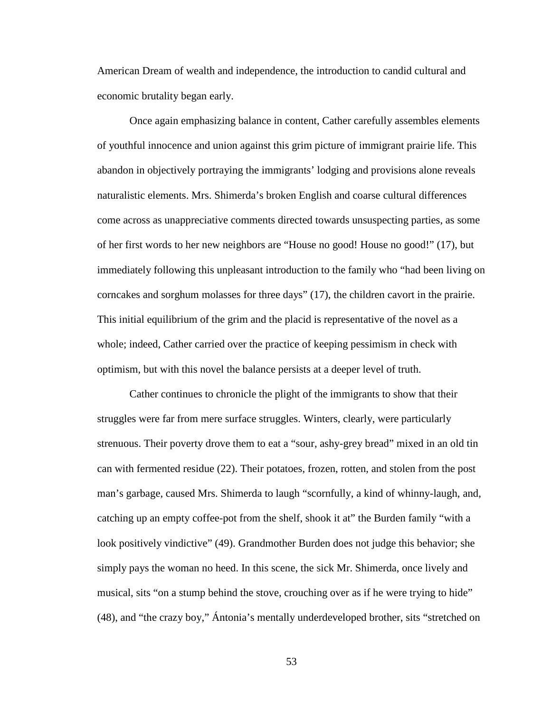American Dream of wealth and independence, the introduction to candid cultural and economic brutality began early.

Once again emphasizing balance in content, Cather carefully assembles elements of youthful innocence and union against this grim picture of immigrant prairie life. This abandon in objectively portraying the immigrants' lodging and provisions alone reveals naturalistic elements. Mrs. Shimerda's broken English and coarse cultural differences come across as unappreciative comments directed towards unsuspecting parties, as some of her first words to her new neighbors are "House no good! House no good!" (17), but immediately following this unpleasant introduction to the family who "had been living on corncakes and sorghum molasses for three days" (17), the children cavort in the prairie. This initial equilibrium of the grim and the placid is representative of the novel as a whole; indeed, Cather carried over the practice of keeping pessimism in check with optimism, but with this novel the balance persists at a deeper level of truth.

 Cather continues to chronicle the plight of the immigrants to show that their struggles were far from mere surface struggles. Winters, clearly, were particularly strenuous. Their poverty drove them to eat a "sour, ashy-grey bread" mixed in an old tin can with fermented residue (22). Their potatoes, frozen, rotten, and stolen from the post man's garbage, caused Mrs. Shimerda to laugh "scornfully, a kind of whinny-laugh, and, catching up an empty coffee-pot from the shelf, shook it at" the Burden family "with a look positively vindictive" (49). Grandmother Burden does not judge this behavior; she simply pays the woman no heed. In this scene, the sick Mr. Shimerda, once lively and musical, sits "on a stump behind the stove, crouching over as if he were trying to hide" (48), and "the crazy boy," Ántonia's mentally underdeveloped brother, sits "stretched on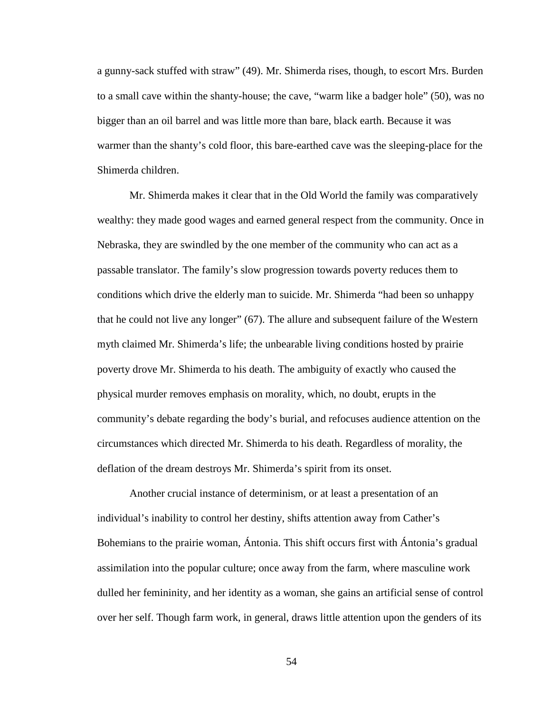a gunny-sack stuffed with straw" (49). Mr. Shimerda rises, though, to escort Mrs. Burden to a small cave within the shanty-house; the cave, "warm like a badger hole" (50), was no bigger than an oil barrel and was little more than bare, black earth. Because it was warmer than the shanty's cold floor, this bare-earthed cave was the sleeping-place for the Shimerda children.

 Mr. Shimerda makes it clear that in the Old World the family was comparatively wealthy: they made good wages and earned general respect from the community. Once in Nebraska, they are swindled by the one member of the community who can act as a passable translator. The family's slow progression towards poverty reduces them to conditions which drive the elderly man to suicide. Mr. Shimerda "had been so unhappy that he could not live any longer" (67). The allure and subsequent failure of the Western myth claimed Mr. Shimerda's life; the unbearable living conditions hosted by prairie poverty drove Mr. Shimerda to his death. The ambiguity of exactly who caused the physical murder removes emphasis on morality, which, no doubt, erupts in the community's debate regarding the body's burial, and refocuses audience attention on the circumstances which directed Mr. Shimerda to his death. Regardless of morality, the deflation of the dream destroys Mr. Shimerda's spirit from its onset.

Another crucial instance of determinism, or at least a presentation of an individual's inability to control her destiny, shifts attention away from Cather's Bohemians to the prairie woman, Ántonia. This shift occurs first with Ántonia's gradual assimilation into the popular culture; once away from the farm, where masculine work dulled her femininity, and her identity as a woman, she gains an artificial sense of control over her self. Though farm work, in general, draws little attention upon the genders of its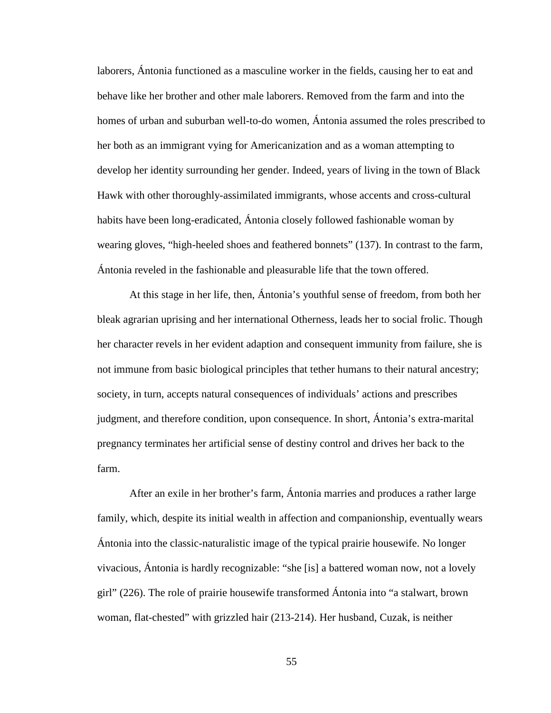laborers, Ántonia functioned as a masculine worker in the fields, causing her to eat and behave like her brother and other male laborers. Removed from the farm and into the homes of urban and suburban well-to-do women, Ántonia assumed the roles prescribed to her both as an immigrant vying for Americanization and as a woman attempting to develop her identity surrounding her gender. Indeed, years of living in the town of Black Hawk with other thoroughly-assimilated immigrants, whose accents and cross-cultural habits have been long-eradicated, Ántonia closely followed fashionable woman by wearing gloves, "high-heeled shoes and feathered bonnets" (137). In contrast to the farm, Ántonia reveled in the fashionable and pleasurable life that the town offered.

 At this stage in her life, then, Ántonia's youthful sense of freedom, from both her bleak agrarian uprising and her international Otherness, leads her to social frolic. Though her character revels in her evident adaption and consequent immunity from failure, she is not immune from basic biological principles that tether humans to their natural ancestry; society, in turn, accepts natural consequences of individuals' actions and prescribes judgment, and therefore condition, upon consequence. In short, Ántonia's extra-marital pregnancy terminates her artificial sense of destiny control and drives her back to the farm.

 After an exile in her brother's farm, Ántonia marries and produces a rather large family, which, despite its initial wealth in affection and companionship, eventually wears Ántonia into the classic-naturalistic image of the typical prairie housewife. No longer vivacious, Ántonia is hardly recognizable: "she [is] a battered woman now, not a lovely girl" (226). The role of prairie housewife transformed Ántonia into "a stalwart, brown woman, flat-chested" with grizzled hair (213-214). Her husband, Cuzak, is neither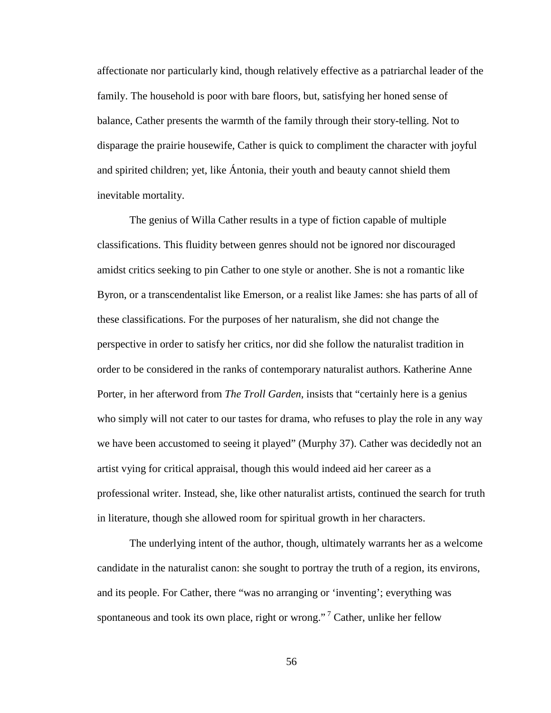affectionate nor particularly kind, though relatively effective as a patriarchal leader of the family. The household is poor with bare floors, but, satisfying her honed sense of balance, Cather presents the warmth of the family through their story-telling. Not to disparage the prairie housewife, Cather is quick to compliment the character with joyful and spirited children; yet, like Ántonia, their youth and beauty cannot shield them inevitable mortality.

The genius of Willa Cather results in a type of fiction capable of multiple classifications. This fluidity between genres should not be ignored nor discouraged amidst critics seeking to pin Cather to one style or another. She is not a romantic like Byron, or a transcendentalist like Emerson, or a realist like James: she has parts of all of these classifications. For the purposes of her naturalism, she did not change the perspective in order to satisfy her critics, nor did she follow the naturalist tradition in order to be considered in the ranks of contemporary naturalist authors. Katherine Anne Porter, in her afterword from *The Troll Garden*, insists that "certainly here is a genius who simply will not cater to our tastes for drama, who refuses to play the role in any way we have been accustomed to seeing it played" (Murphy 37). Cather was decidedly not an artist vying for critical appraisal, though this would indeed aid her career as a professional writer. Instead, she, like other naturalist artists, continued the search for truth in literature, though she allowed room for spiritual growth in her characters.

The underlying intent of the author, though, ultimately warrants her as a welcome candidate in the naturalist canon: she sought to portray the truth of a region, its environs, and its people. For Cather, there "was no arranging or 'inventing'; everything was spontaneous and took its own place, right or wrong."<sup>7</sup> Cather, unlike her fellow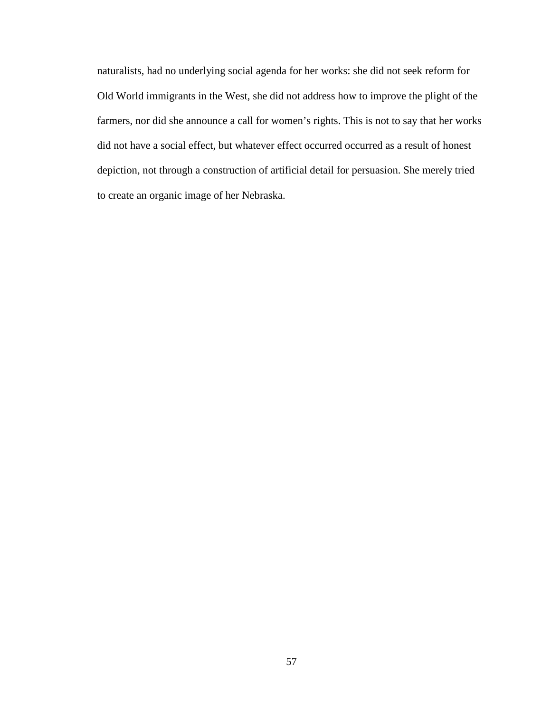naturalists, had no underlying social agenda for her works: she did not seek reform for Old World immigrants in the West, she did not address how to improve the plight of the farmers, nor did she announce a call for women's rights. This is not to say that her works did not have a social effect, but whatever effect occurred occurred as a result of honest depiction, not through a construction of artificial detail for persuasion. She merely tried to create an organic image of her Nebraska.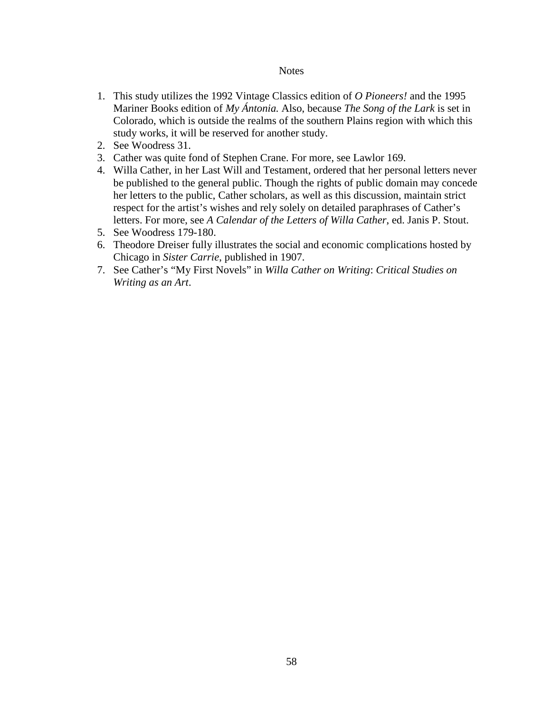### **Notes**

- 1. This study utilizes the 1992 Vintage Classics edition of *O Pioneers!* and the 1995 Mariner Books edition of *My Ántonia.* Also, because *The Song of the Lark* is set in Colorado, which is outside the realms of the southern Plains region with which this study works, it will be reserved for another study.
- 2. See Woodress 31.
- 3. Cather was quite fond of Stephen Crane. For more, see Lawlor 169.
- 4. Willa Cather, in her Last Will and Testament, ordered that her personal letters never be published to the general public. Though the rights of public domain may concede her letters to the public, Cather scholars, as well as this discussion, maintain strict respect for the artist's wishes and rely solely on detailed paraphrases of Cather's letters. For more, see *A Calendar of the Letters of Willa Cather*, ed. Janis P. Stout.
- 5. See Woodress 179-180.
- 6. Theodore Dreiser fully illustrates the social and economic complications hosted by Chicago in *Sister Carrie*, published in 1907.
- 7. See Cather's "My First Novels" in *Willa Cather on Writing*: *Critical Studies on Writing as an Art*.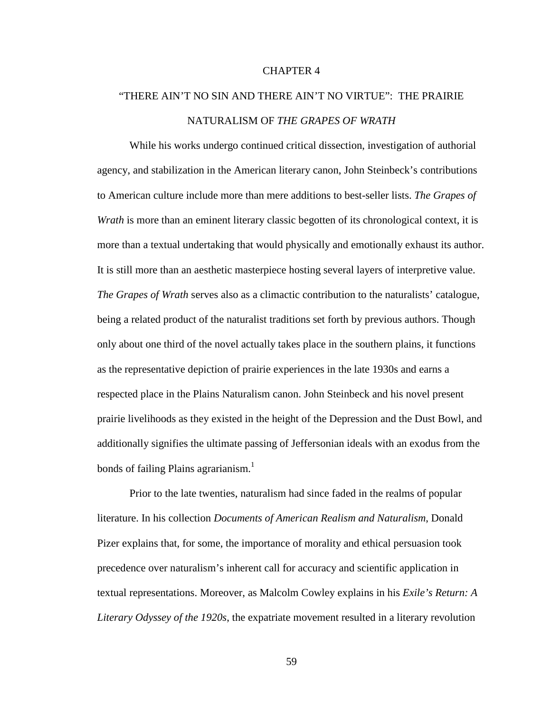## CHAPTER 4

# "THERE AIN'T NO SIN AND THERE AIN'T NO VIRTUE": THE PRAIRIE NATURALISM OF *THE GRAPES OF WRATH*

 While his works undergo continued critical dissection, investigation of authorial agency, and stabilization in the American literary canon, John Steinbeck's contributions to American culture include more than mere additions to best-seller lists. *The Grapes of Wrath* is more than an eminent literary classic begotten of its chronological context, it is more than a textual undertaking that would physically and emotionally exhaust its author. It is still more than an aesthetic masterpiece hosting several layers of interpretive value. *The Grapes of Wrath* serves also as a climactic contribution to the naturalists' catalogue, being a related product of the naturalist traditions set forth by previous authors. Though only about one third of the novel actually takes place in the southern plains, it functions as the representative depiction of prairie experiences in the late 1930s and earns a respected place in the Plains Naturalism canon. John Steinbeck and his novel present prairie livelihoods as they existed in the height of the Depression and the Dust Bowl, and additionally signifies the ultimate passing of Jeffersonian ideals with an exodus from the bonds of failing Plains agrarianism.<sup>1</sup>

 Prior to the late twenties, naturalism had since faded in the realms of popular literature. In his collection *Documents of American Realism and Naturalism*, Donald Pizer explains that, for some, the importance of morality and ethical persuasion took precedence over naturalism's inherent call for accuracy and scientific application in textual representations. Moreover, as Malcolm Cowley explains in his *Exile's Return: A Literary Odyssey of the 1920s*, the expatriate movement resulted in a literary revolution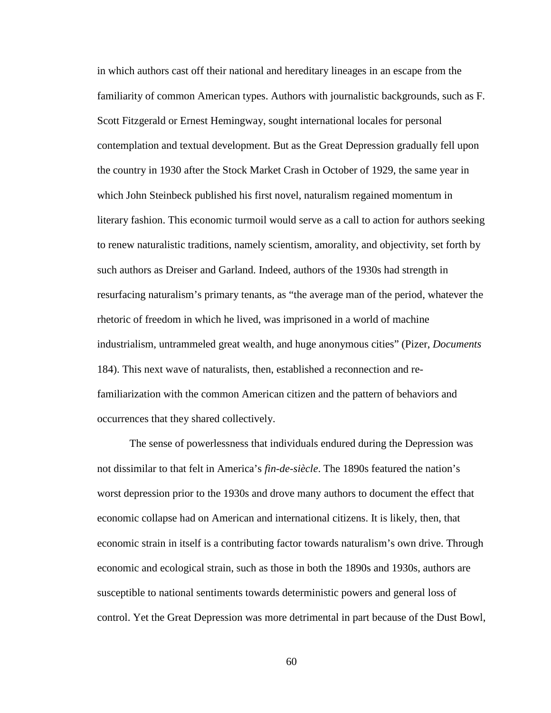in which authors cast off their national and hereditary lineages in an escape from the familiarity of common American types. Authors with journalistic backgrounds, such as F. Scott Fitzgerald or Ernest Hemingway, sought international locales for personal contemplation and textual development. But as the Great Depression gradually fell upon the country in 1930 after the Stock Market Crash in October of 1929, the same year in which John Steinbeck published his first novel, naturalism regained momentum in literary fashion. This economic turmoil would serve as a call to action for authors seeking to renew naturalistic traditions, namely scientism, amorality, and objectivity, set forth by such authors as Dreiser and Garland. Indeed, authors of the 1930s had strength in resurfacing naturalism's primary tenants, as "the average man of the period, whatever the rhetoric of freedom in which he lived, was imprisoned in a world of machine industrialism, untrammeled great wealth, and huge anonymous cities" (Pizer, *Documents* 184). This next wave of naturalists, then, established a reconnection and refamiliarization with the common American citizen and the pattern of behaviors and occurrences that they shared collectively.

The sense of powerlessness that individuals endured during the Depression was not dissimilar to that felt in America's *fin-de-siècle*. The 1890s featured the nation's worst depression prior to the 1930s and drove many authors to document the effect that economic collapse had on American and international citizens. It is likely, then, that economic strain in itself is a contributing factor towards naturalism's own drive. Through economic and ecological strain, such as those in both the 1890s and 1930s, authors are susceptible to national sentiments towards deterministic powers and general loss of control. Yet the Great Depression was more detrimental in part because of the Dust Bowl,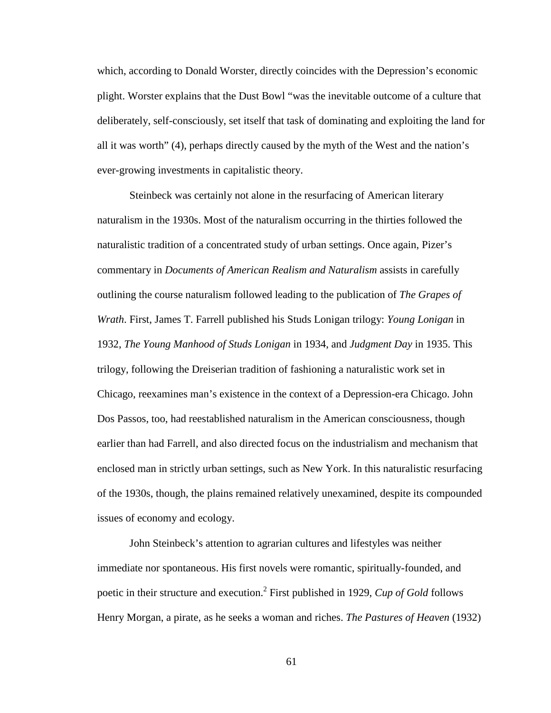which, according to Donald Worster, directly coincides with the Depression's economic plight. Worster explains that the Dust Bowl "was the inevitable outcome of a culture that deliberately, self-consciously, set itself that task of dominating and exploiting the land for all it was worth" (4), perhaps directly caused by the myth of the West and the nation's ever-growing investments in capitalistic theory.

Steinbeck was certainly not alone in the resurfacing of American literary naturalism in the 1930s. Most of the naturalism occurring in the thirties followed the naturalistic tradition of a concentrated study of urban settings. Once again, Pizer's commentary in *Documents of American Realism and Naturalism* assists in carefully outlining the course naturalism followed leading to the publication of *The Grapes of Wrath*. First, James T. Farrell published his Studs Lonigan trilogy: *Young Lonigan* in 1932, *The Young Manhood of Studs Lonigan* in 1934, and *Judgment Day* in 1935. This trilogy, following the Dreiserian tradition of fashioning a naturalistic work set in Chicago, reexamines man's existence in the context of a Depression-era Chicago. John Dos Passos, too, had reestablished naturalism in the American consciousness, though earlier than had Farrell, and also directed focus on the industrialism and mechanism that enclosed man in strictly urban settings, such as New York. In this naturalistic resurfacing of the 1930s, though, the plains remained relatively unexamined, despite its compounded issues of economy and ecology.

John Steinbeck's attention to agrarian cultures and lifestyles was neither immediate nor spontaneous. His first novels were romantic, spiritually-founded, and poetic in their structure and execution.<sup>2</sup> First published in 1929, *Cup of Gold* follows Henry Morgan, a pirate, as he seeks a woman and riches. *The Pastures of Heaven* (1932)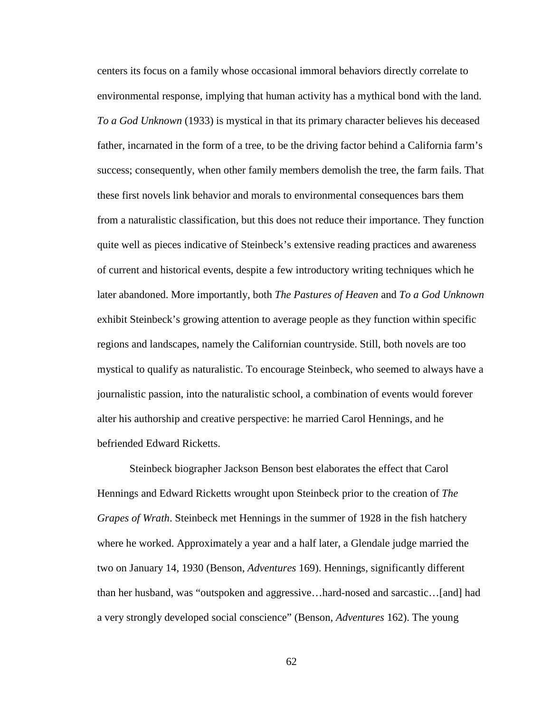centers its focus on a family whose occasional immoral behaviors directly correlate to environmental response, implying that human activity has a mythical bond with the land. *To a God Unknown* (1933) is mystical in that its primary character believes his deceased father, incarnated in the form of a tree, to be the driving factor behind a California farm's success; consequently, when other family members demolish the tree, the farm fails. That these first novels link behavior and morals to environmental consequences bars them from a naturalistic classification, but this does not reduce their importance. They function quite well as pieces indicative of Steinbeck's extensive reading practices and awareness of current and historical events, despite a few introductory writing techniques which he later abandoned. More importantly, both *The Pastures of Heaven* and *To a God Unknown* exhibit Steinbeck's growing attention to average people as they function within specific regions and landscapes, namely the Californian countryside. Still, both novels are too mystical to qualify as naturalistic. To encourage Steinbeck, who seemed to always have a journalistic passion, into the naturalistic school, a combination of events would forever alter his authorship and creative perspective: he married Carol Hennings, and he befriended Edward Ricketts.

Steinbeck biographer Jackson Benson best elaborates the effect that Carol Hennings and Edward Ricketts wrought upon Steinbeck prior to the creation of *The Grapes of Wrath*. Steinbeck met Hennings in the summer of 1928 in the fish hatchery where he worked. Approximately a year and a half later, a Glendale judge married the two on January 14, 1930 (Benson, *Adventures* 169). Hennings, significantly different than her husband, was "outspoken and aggressive…hard-nosed and sarcastic…[and] had a very strongly developed social conscience" (Benson, *Adventures* 162). The young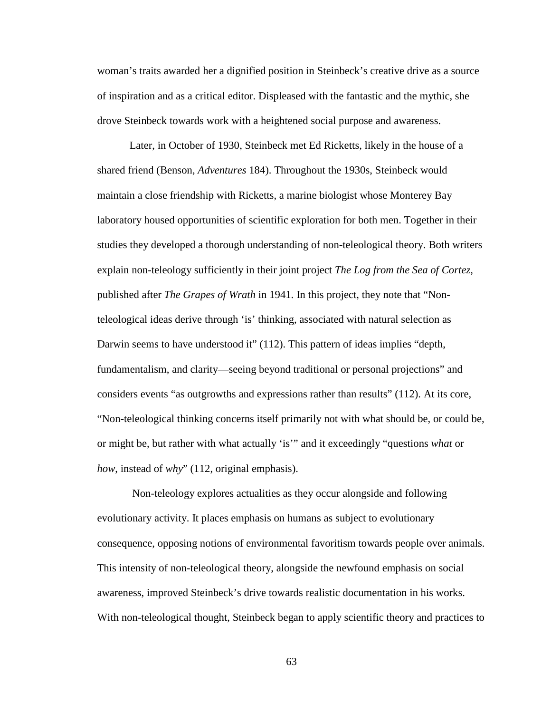woman's traits awarded her a dignified position in Steinbeck's creative drive as a source of inspiration and as a critical editor. Displeased with the fantastic and the mythic, she drove Steinbeck towards work with a heightened social purpose and awareness.

Later, in October of 1930, Steinbeck met Ed Ricketts, likely in the house of a shared friend (Benson, *Adventures* 184). Throughout the 1930s, Steinbeck would maintain a close friendship with Ricketts, a marine biologist whose Monterey Bay laboratory housed opportunities of scientific exploration for both men. Together in their studies they developed a thorough understanding of non-teleological theory. Both writers explain non-teleology sufficiently in their joint project *The Log from the Sea of Cortez*, published after *The Grapes of Wrath* in 1941. In this project, they note that "Nonteleological ideas derive through 'is' thinking, associated with natural selection as Darwin seems to have understood it" (112). This pattern of ideas implies "depth, fundamentalism, and clarity—seeing beyond traditional or personal projections" and considers events "as outgrowths and expressions rather than results" (112). At its core, "Non-teleological thinking concerns itself primarily not with what should be, or could be, or might be, but rather with what actually 'is'" and it exceedingly "questions *what* or *how*, instead of *why*" (112, original emphasis).

 Non-teleology explores actualities as they occur alongside and following evolutionary activity. It places emphasis on humans as subject to evolutionary consequence, opposing notions of environmental favoritism towards people over animals. This intensity of non-teleological theory, alongside the newfound emphasis on social awareness, improved Steinbeck's drive towards realistic documentation in his works. With non-teleological thought, Steinbeck began to apply scientific theory and practices to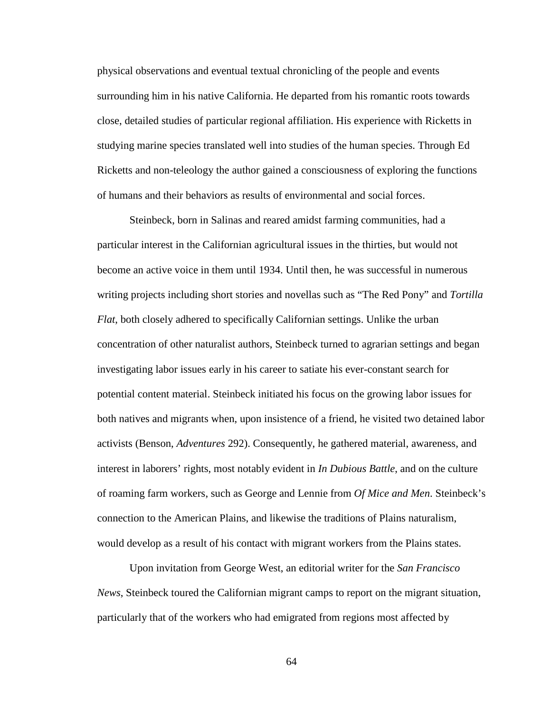physical observations and eventual textual chronicling of the people and events surrounding him in his native California. He departed from his romantic roots towards close, detailed studies of particular regional affiliation. His experience with Ricketts in studying marine species translated well into studies of the human species. Through Ed Ricketts and non-teleology the author gained a consciousness of exploring the functions of humans and their behaviors as results of environmental and social forces.

Steinbeck, born in Salinas and reared amidst farming communities, had a particular interest in the Californian agricultural issues in the thirties, but would not become an active voice in them until 1934. Until then, he was successful in numerous writing projects including short stories and novellas such as "The Red Pony" and *Tortilla Flat*, both closely adhered to specifically Californian settings. Unlike the urban concentration of other naturalist authors, Steinbeck turned to agrarian settings and began investigating labor issues early in his career to satiate his ever-constant search for potential content material. Steinbeck initiated his focus on the growing labor issues for both natives and migrants when, upon insistence of a friend, he visited two detained labor activists (Benson, *Adventures* 292). Consequently, he gathered material, awareness, and interest in laborers' rights, most notably evident in *In Dubious Battle*, and on the culture of roaming farm workers, such as George and Lennie from *Of Mice and Men*. Steinbeck's connection to the American Plains, and likewise the traditions of Plains naturalism, would develop as a result of his contact with migrant workers from the Plains states.

Upon invitation from George West, an editorial writer for the *San Francisco News*, Steinbeck toured the Californian migrant camps to report on the migrant situation, particularly that of the workers who had emigrated from regions most affected by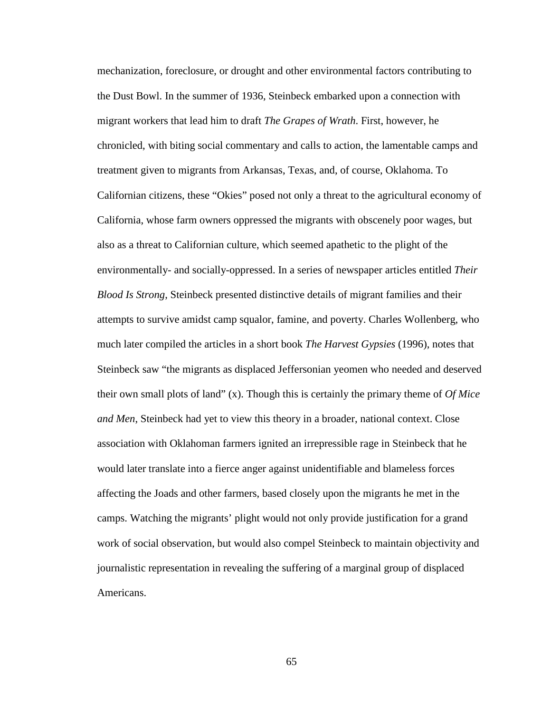mechanization, foreclosure, or drought and other environmental factors contributing to the Dust Bowl. In the summer of 1936, Steinbeck embarked upon a connection with migrant workers that lead him to draft *The Grapes of Wrath*. First, however, he chronicled, with biting social commentary and calls to action, the lamentable camps and treatment given to migrants from Arkansas, Texas, and, of course, Oklahoma. To Californian citizens, these "Okies" posed not only a threat to the agricultural economy of California, whose farm owners oppressed the migrants with obscenely poor wages, but also as a threat to Californian culture, which seemed apathetic to the plight of the environmentally- and socially-oppressed. In a series of newspaper articles entitled *Their Blood Is Strong*, Steinbeck presented distinctive details of migrant families and their attempts to survive amidst camp squalor, famine, and poverty. Charles Wollenberg, who much later compiled the articles in a short book *The Harvest Gypsies* (1996), notes that Steinbeck saw "the migrants as displaced Jeffersonian yeomen who needed and deserved their own small plots of land" (x). Though this is certainly the primary theme of *Of Mice and Men*, Steinbeck had yet to view this theory in a broader, national context. Close association with Oklahoman farmers ignited an irrepressible rage in Steinbeck that he would later translate into a fierce anger against unidentifiable and blameless forces affecting the Joads and other farmers, based closely upon the migrants he met in the camps. Watching the migrants' plight would not only provide justification for a grand work of social observation, but would also compel Steinbeck to maintain objectivity and journalistic representation in revealing the suffering of a marginal group of displaced Americans.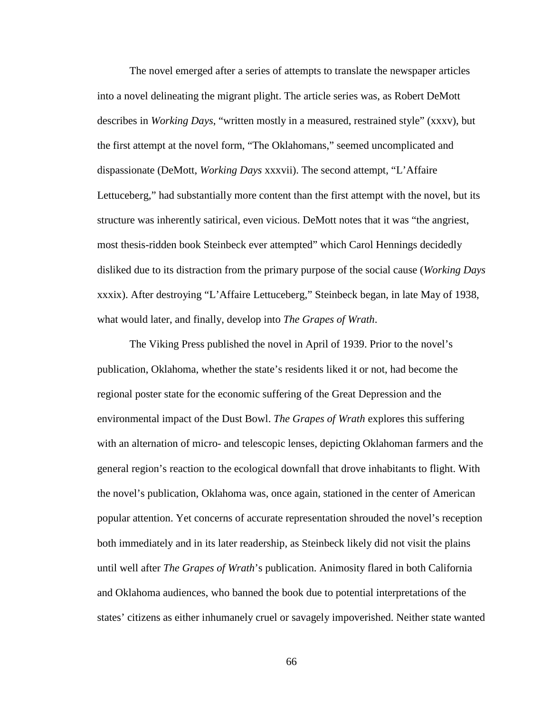The novel emerged after a series of attempts to translate the newspaper articles into a novel delineating the migrant plight. The article series was, as Robert DeMott describes in *Working Days*, "written mostly in a measured, restrained style" (xxxv), but the first attempt at the novel form, "The Oklahomans," seemed uncomplicated and dispassionate (DeMott, *Working Days* xxxvii). The second attempt, "L'Affaire Lettuceberg," had substantially more content than the first attempt with the novel, but its structure was inherently satirical, even vicious. DeMott notes that it was "the angriest, most thesis-ridden book Steinbeck ever attempted" which Carol Hennings decidedly disliked due to its distraction from the primary purpose of the social cause (*Working Days*  xxxix). After destroying "L'Affaire Lettuceberg," Steinbeck began, in late May of 1938, what would later, and finally, develop into *The Grapes of Wrath*.

 The Viking Press published the novel in April of 1939. Prior to the novel's publication, Oklahoma, whether the state's residents liked it or not, had become the regional poster state for the economic suffering of the Great Depression and the environmental impact of the Dust Bowl. *The Grapes of Wrath* explores this suffering with an alternation of micro- and telescopic lenses, depicting Oklahoman farmers and the general region's reaction to the ecological downfall that drove inhabitants to flight. With the novel's publication, Oklahoma was, once again, stationed in the center of American popular attention. Yet concerns of accurate representation shrouded the novel's reception both immediately and in its later readership, as Steinbeck likely did not visit the plains until well after *The Grapes of Wrath*'s publication. Animosity flared in both California and Oklahoma audiences, who banned the book due to potential interpretations of the states' citizens as either inhumanely cruel or savagely impoverished. Neither state wanted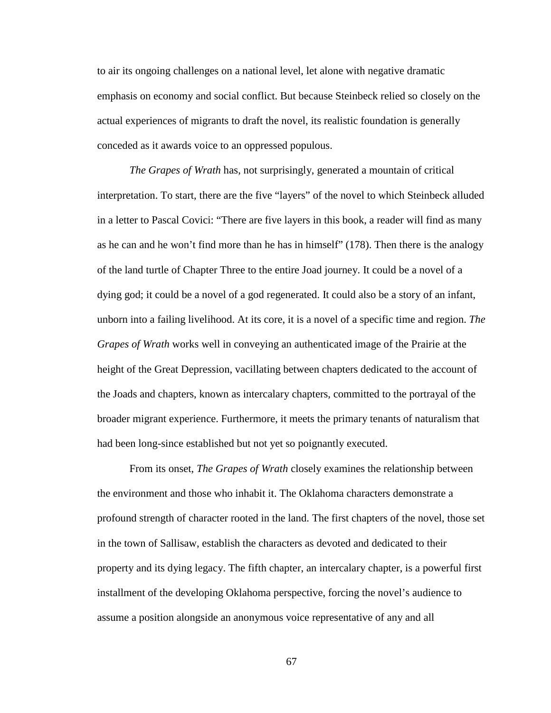to air its ongoing challenges on a national level, let alone with negative dramatic emphasis on economy and social conflict. But because Steinbeck relied so closely on the actual experiences of migrants to draft the novel, its realistic foundation is generally conceded as it awards voice to an oppressed populous.

*The Grapes of Wrath* has, not surprisingly, generated a mountain of critical interpretation. To start, there are the five "layers" of the novel to which Steinbeck alluded in a letter to Pascal Covici: "There are five layers in this book, a reader will find as many as he can and he won't find more than he has in himself" (178). Then there is the analogy of the land turtle of Chapter Three to the entire Joad journey. It could be a novel of a dying god; it could be a novel of a god regenerated. It could also be a story of an infant, unborn into a failing livelihood. At its core, it is a novel of a specific time and region. *The Grapes of Wrath* works well in conveying an authenticated image of the Prairie at the height of the Great Depression, vacillating between chapters dedicated to the account of the Joads and chapters, known as intercalary chapters, committed to the portrayal of the broader migrant experience. Furthermore, it meets the primary tenants of naturalism that had been long-since established but not yet so poignantly executed.

 From its onset, *The Grapes of Wrath* closely examines the relationship between the environment and those who inhabit it. The Oklahoma characters demonstrate a profound strength of character rooted in the land. The first chapters of the novel, those set in the town of Sallisaw, establish the characters as devoted and dedicated to their property and its dying legacy. The fifth chapter, an intercalary chapter, is a powerful first installment of the developing Oklahoma perspective, forcing the novel's audience to assume a position alongside an anonymous voice representative of any and all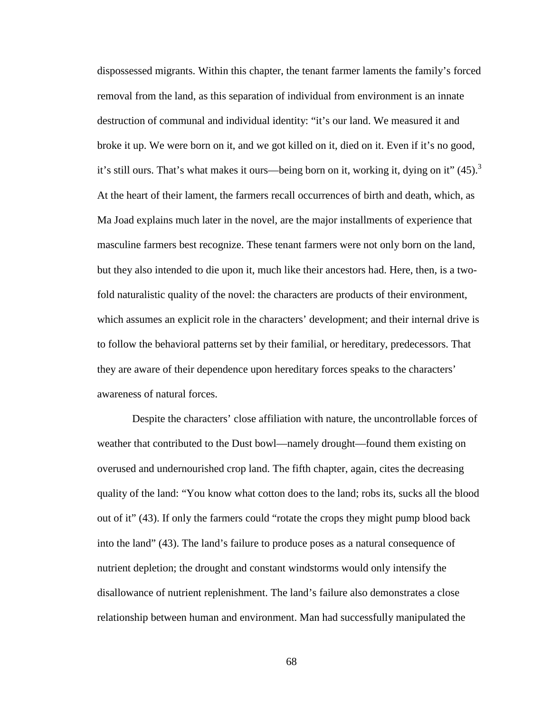dispossessed migrants. Within this chapter, the tenant farmer laments the family's forced removal from the land, as this separation of individual from environment is an innate destruction of communal and individual identity: "it's our land. We measured it and broke it up. We were born on it, and we got killed on it, died on it. Even if it's no good, it's still ours. That's what makes it ours—being born on it, working it, dying on it"  $(45)$ .<sup>3</sup> At the heart of their lament, the farmers recall occurrences of birth and death, which, as Ma Joad explains much later in the novel, are the major installments of experience that masculine farmers best recognize. These tenant farmers were not only born on the land, but they also intended to die upon it, much like their ancestors had. Here, then, is a twofold naturalistic quality of the novel: the characters are products of their environment, which assumes an explicit role in the characters' development; and their internal drive is to follow the behavioral patterns set by their familial, or hereditary, predecessors. That they are aware of their dependence upon hereditary forces speaks to the characters' awareness of natural forces.

 Despite the characters' close affiliation with nature, the uncontrollable forces of weather that contributed to the Dust bowl—namely drought—found them existing on overused and undernourished crop land. The fifth chapter, again, cites the decreasing quality of the land: "You know what cotton does to the land; robs its, sucks all the blood out of it" (43). If only the farmers could "rotate the crops they might pump blood back into the land" (43). The land's failure to produce poses as a natural consequence of nutrient depletion; the drought and constant windstorms would only intensify the disallowance of nutrient replenishment. The land's failure also demonstrates a close relationship between human and environment. Man had successfully manipulated the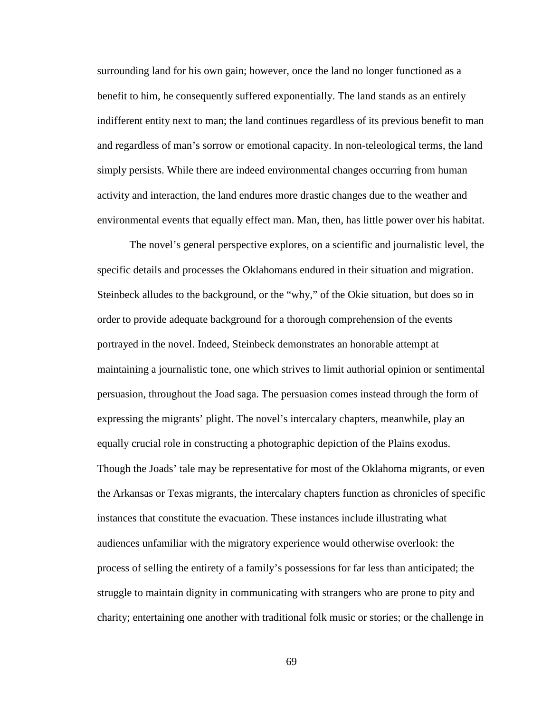surrounding land for his own gain; however, once the land no longer functioned as a benefit to him, he consequently suffered exponentially. The land stands as an entirely indifferent entity next to man; the land continues regardless of its previous benefit to man and regardless of man's sorrow or emotional capacity. In non-teleological terms, the land simply persists. While there are indeed environmental changes occurring from human activity and interaction, the land endures more drastic changes due to the weather and environmental events that equally effect man. Man, then, has little power over his habitat.

 The novel's general perspective explores, on a scientific and journalistic level, the specific details and processes the Oklahomans endured in their situation and migration. Steinbeck alludes to the background, or the "why," of the Okie situation, but does so in order to provide adequate background for a thorough comprehension of the events portrayed in the novel. Indeed, Steinbeck demonstrates an honorable attempt at maintaining a journalistic tone, one which strives to limit authorial opinion or sentimental persuasion, throughout the Joad saga. The persuasion comes instead through the form of expressing the migrants' plight. The novel's intercalary chapters, meanwhile, play an equally crucial role in constructing a photographic depiction of the Plains exodus. Though the Joads' tale may be representative for most of the Oklahoma migrants, or even the Arkansas or Texas migrants, the intercalary chapters function as chronicles of specific instances that constitute the evacuation. These instances include illustrating what audiences unfamiliar with the migratory experience would otherwise overlook: the process of selling the entirety of a family's possessions for far less than anticipated; the struggle to maintain dignity in communicating with strangers who are prone to pity and charity; entertaining one another with traditional folk music or stories; or the challenge in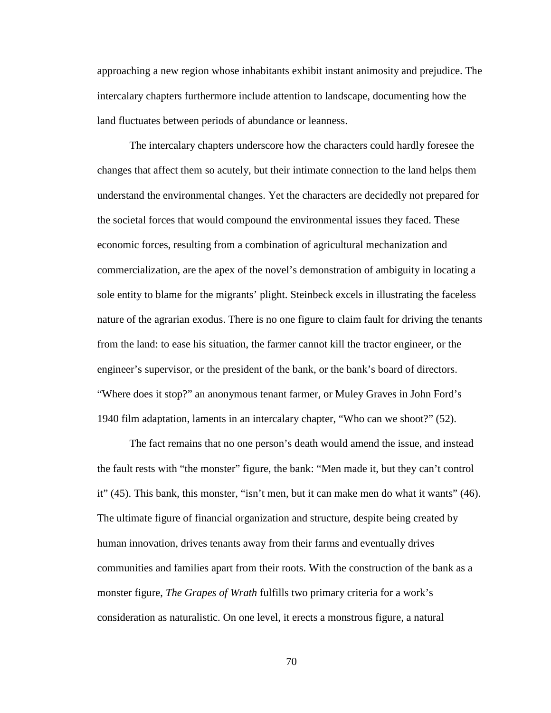approaching a new region whose inhabitants exhibit instant animosity and prejudice. The intercalary chapters furthermore include attention to landscape, documenting how the land fluctuates between periods of abundance or leanness.

The intercalary chapters underscore how the characters could hardly foresee the changes that affect them so acutely, but their intimate connection to the land helps them understand the environmental changes. Yet the characters are decidedly not prepared for the societal forces that would compound the environmental issues they faced. These economic forces, resulting from a combination of agricultural mechanization and commercialization, are the apex of the novel's demonstration of ambiguity in locating a sole entity to blame for the migrants' plight. Steinbeck excels in illustrating the faceless nature of the agrarian exodus. There is no one figure to claim fault for driving the tenants from the land: to ease his situation, the farmer cannot kill the tractor engineer, or the engineer's supervisor, or the president of the bank, or the bank's board of directors. "Where does it stop?" an anonymous tenant farmer, or Muley Graves in John Ford's 1940 film adaptation, laments in an intercalary chapter, "Who can we shoot?" (52).

The fact remains that no one person's death would amend the issue, and instead the fault rests with "the monster" figure, the bank: "Men made it, but they can't control it" (45). This bank, this monster, "isn't men, but it can make men do what it wants" (46). The ultimate figure of financial organization and structure, despite being created by human innovation, drives tenants away from their farms and eventually drives communities and families apart from their roots. With the construction of the bank as a monster figure, *The Grapes of Wrath* fulfills two primary criteria for a work's consideration as naturalistic. On one level, it erects a monstrous figure, a natural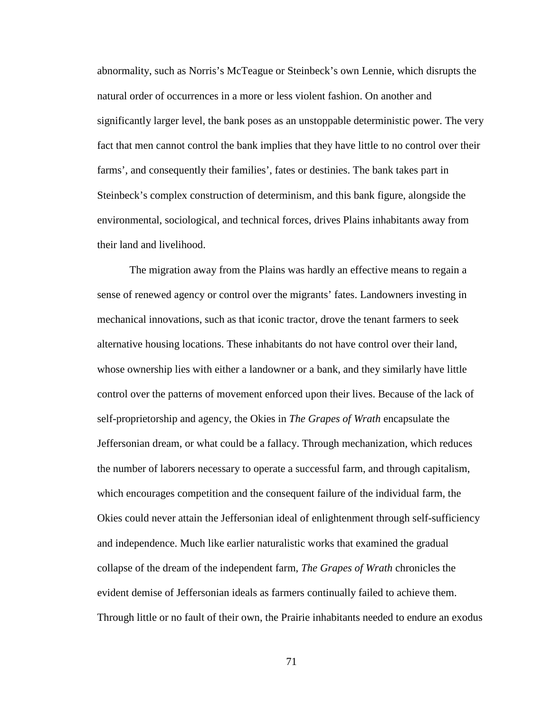abnormality, such as Norris's McTeague or Steinbeck's own Lennie, which disrupts the natural order of occurrences in a more or less violent fashion. On another and significantly larger level, the bank poses as an unstoppable deterministic power. The very fact that men cannot control the bank implies that they have little to no control over their farms', and consequently their families', fates or destinies. The bank takes part in Steinbeck's complex construction of determinism, and this bank figure, alongside the environmental, sociological, and technical forces, drives Plains inhabitants away from their land and livelihood.

The migration away from the Plains was hardly an effective means to regain a sense of renewed agency or control over the migrants' fates. Landowners investing in mechanical innovations, such as that iconic tractor, drove the tenant farmers to seek alternative housing locations. These inhabitants do not have control over their land, whose ownership lies with either a landowner or a bank, and they similarly have little control over the patterns of movement enforced upon their lives. Because of the lack of self-proprietorship and agency, the Okies in *The Grapes of Wrath* encapsulate the Jeffersonian dream, or what could be a fallacy. Through mechanization, which reduces the number of laborers necessary to operate a successful farm, and through capitalism, which encourages competition and the consequent failure of the individual farm*,* the Okies could never attain the Jeffersonian ideal of enlightenment through self-sufficiency and independence. Much like earlier naturalistic works that examined the gradual collapse of the dream of the independent farm, *The Grapes of Wrath* chronicles the evident demise of Jeffersonian ideals as farmers continually failed to achieve them. Through little or no fault of their own, the Prairie inhabitants needed to endure an exodus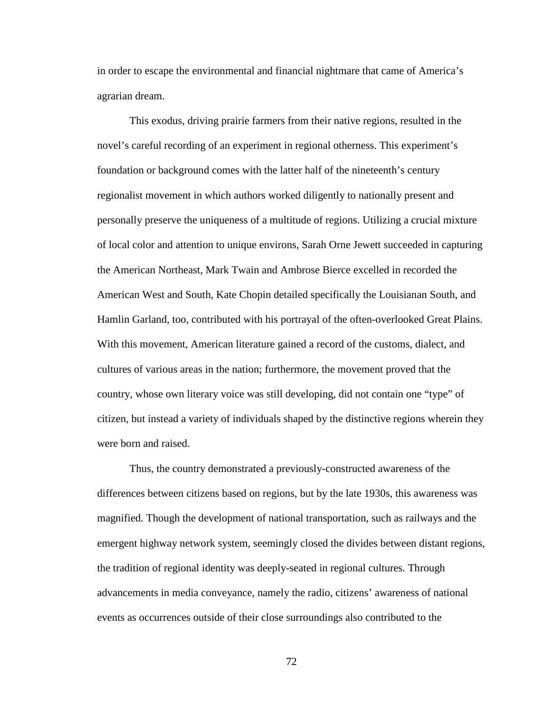in order to escape the environmental and financial nightmare that came of America's agrarian dream.

This exodus, driving prairie farmers from their native regions, resulted in the novel's careful recording of an experiment in regional otherness. This experiment's foundation or background comes with the latter half of the nineteenth's century regionalist movement in which authors worked diligently to nationally present and personally preserve the uniqueness of a multitude of regions. Utilizing a crucial mixture of local color and attention to unique environs, Sarah Orne Jewett succeeded in capturing the American Northeast, Mark Twain and Ambrose Bierce excelled in recorded the American West and South, Kate Chopin detailed specifically the Louisianan South, and Hamlin Garland, too, contributed with his portrayal of the often-overlooked Great Plains. With this movement, American literature gained a record of the customs, dialect, and cultures of various areas in the nation; furthermore, the movement proved that the country, whose own literary voice was still developing, did not contain one "type" of citizen, but instead a variety of individuals shaped by the distinctive regions wherein they were born and raised.

 Thus, the country demonstrated a previously-constructed awareness of the differences between citizens based on regions, but by the late 1930s, this awareness was magnified. Though the development of national transportation, such as railways and the emergent highway network system, seemingly closed the divides between distant regions, the tradition of regional identity was deeply-seated in regional cultures. Through advancements in media conveyance, namely the radio, citizens' awareness of national events as occurrences outside of their close surroundings also contributed to the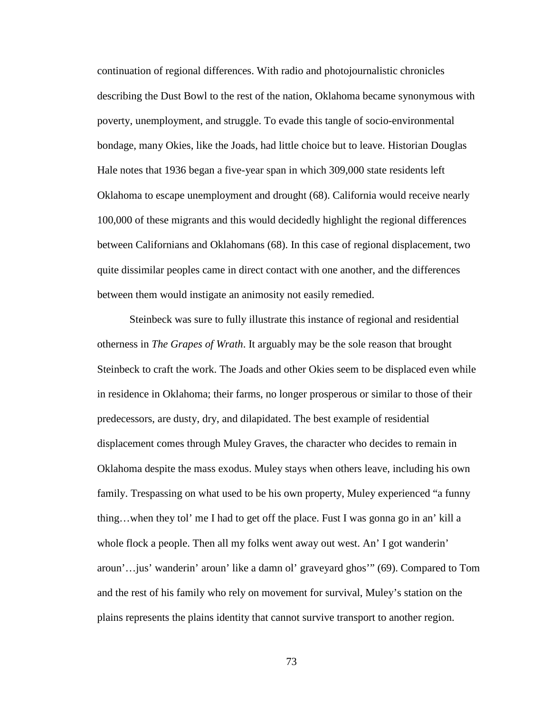continuation of regional differences. With radio and photojournalistic chronicles describing the Dust Bowl to the rest of the nation, Oklahoma became synonymous with poverty, unemployment, and struggle. To evade this tangle of socio-environmental bondage, many Okies, like the Joads, had little choice but to leave. Historian Douglas Hale notes that 1936 began a five-year span in which 309,000 state residents left Oklahoma to escape unemployment and drought (68). California would receive nearly 100,000 of these migrants and this would decidedly highlight the regional differences between Californians and Oklahomans (68). In this case of regional displacement, two quite dissimilar peoples came in direct contact with one another, and the differences between them would instigate an animosity not easily remedied.

 Steinbeck was sure to fully illustrate this instance of regional and residential otherness in *The Grapes of Wrath*. It arguably may be the sole reason that brought Steinbeck to craft the work. The Joads and other Okies seem to be displaced even while in residence in Oklahoma; their farms, no longer prosperous or similar to those of their predecessors, are dusty, dry, and dilapidated. The best example of residential displacement comes through Muley Graves, the character who decides to remain in Oklahoma despite the mass exodus. Muley stays when others leave, including his own family. Trespassing on what used to be his own property, Muley experienced "a funny thing…when they tol' me I had to get off the place. Fust I was gonna go in an' kill a whole flock a people. Then all my folks went away out west. An' I got wander in' aroun'…jus' wanderin' aroun' like a damn ol' graveyard ghos'" (69). Compared to Tom and the rest of his family who rely on movement for survival, Muley's station on the plains represents the plains identity that cannot survive transport to another region.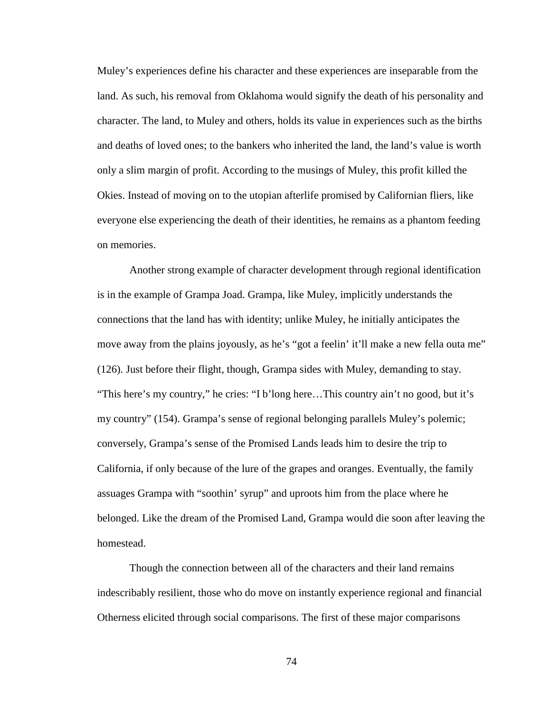Muley's experiences define his character and these experiences are inseparable from the land. As such, his removal from Oklahoma would signify the death of his personality and character. The land, to Muley and others, holds its value in experiences such as the births and deaths of loved ones; to the bankers who inherited the land, the land's value is worth only a slim margin of profit. According to the musings of Muley, this profit killed the Okies. Instead of moving on to the utopian afterlife promised by Californian fliers, like everyone else experiencing the death of their identities, he remains as a phantom feeding on memories.

 Another strong example of character development through regional identification is in the example of Grampa Joad. Grampa, like Muley, implicitly understands the connections that the land has with identity; unlike Muley, he initially anticipates the move away from the plains joyously, as he's "got a feelin' it'll make a new fella outa me" (126). Just before their flight, though, Grampa sides with Muley, demanding to stay. "This here's my country," he cries: "I b'long here…This country ain't no good, but it's my country" (154). Grampa's sense of regional belonging parallels Muley's polemic; conversely, Grampa's sense of the Promised Lands leads him to desire the trip to California, if only because of the lure of the grapes and oranges. Eventually, the family assuages Grampa with "soothin' syrup" and uproots him from the place where he belonged. Like the dream of the Promised Land, Grampa would die soon after leaving the homestead.

Though the connection between all of the characters and their land remains indescribably resilient, those who do move on instantly experience regional and financial Otherness elicited through social comparisons. The first of these major comparisons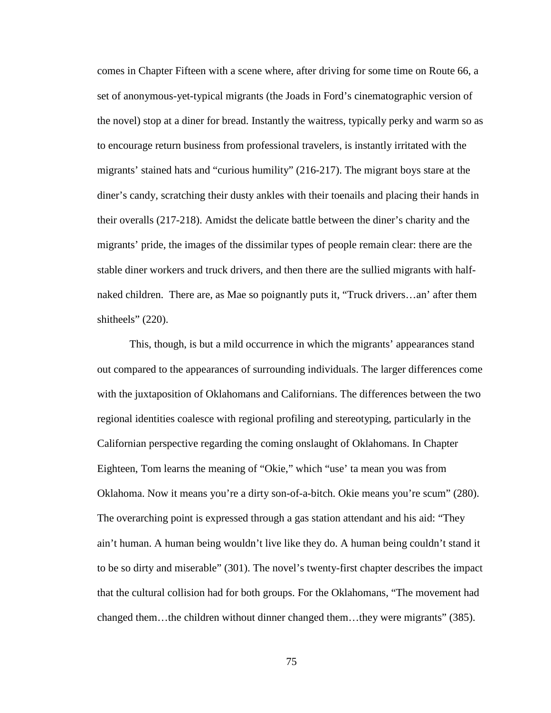comes in Chapter Fifteen with a scene where, after driving for some time on Route 66, a set of anonymous-yet-typical migrants (the Joads in Ford's cinematographic version of the novel) stop at a diner for bread. Instantly the waitress, typically perky and warm so as to encourage return business from professional travelers, is instantly irritated with the migrants' stained hats and "curious humility" (216-217). The migrant boys stare at the diner's candy, scratching their dusty ankles with their toenails and placing their hands in their overalls (217-218). Amidst the delicate battle between the diner's charity and the migrants' pride, the images of the dissimilar types of people remain clear: there are the stable diner workers and truck drivers, and then there are the sullied migrants with halfnaked children. There are, as Mae so poignantly puts it, "Truck drivers…an' after them shitheels" (220).

 This, though, is but a mild occurrence in which the migrants' appearances stand out compared to the appearances of surrounding individuals. The larger differences come with the juxtaposition of Oklahomans and Californians. The differences between the two regional identities coalesce with regional profiling and stereotyping, particularly in the Californian perspective regarding the coming onslaught of Oklahomans. In Chapter Eighteen, Tom learns the meaning of "Okie," which "use' ta mean you was from Oklahoma. Now it means you're a dirty son-of-a-bitch. Okie means you're scum" (280). The overarching point is expressed through a gas station attendant and his aid: "They ain't human. A human being wouldn't live like they do. A human being couldn't stand it to be so dirty and miserable" (301). The novel's twenty-first chapter describes the impact that the cultural collision had for both groups. For the Oklahomans, "The movement had changed them…the children without dinner changed them…they were migrants" (385).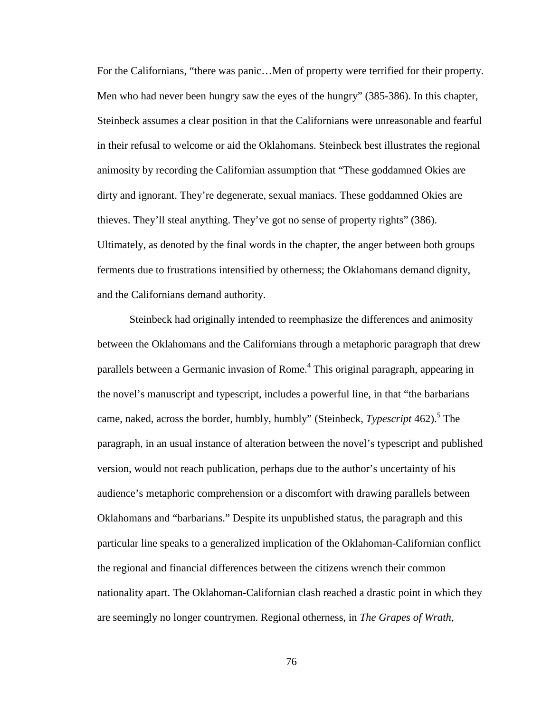For the Californians, "there was panic...Men of property were terrified for their property. Men who had never been hungry saw the eyes of the hungry" (385-386). In this chapter, Steinbeck assumes a clear position in that the Californians were unreasonable and fearful in their refusal to welcome or aid the Oklahomans. Steinbeck best illustrates the regional animosity by recording the Californian assumption that "These goddamned Okies are dirty and ignorant. They're degenerate, sexual maniacs. These goddamned Okies are thieves. They'll steal anything. They've got no sense of property rights" (386). Ultimately, as denoted by the final words in the chapter, the anger between both groups ferments due to frustrations intensified by otherness; the Oklahomans demand dignity, and the Californians demand authority.

 Steinbeck had originally intended to reemphasize the differences and animosity between the Oklahomans and the Californians through a metaphoric paragraph that drew parallels between a Germanic invasion of Rome.<sup>4</sup> This original paragraph, appearing in the novel's manuscript and typescript, includes a powerful line, in that "the barbarians came, naked, across the border, humbly, humbly" (Steinbeck, *Typescript* 462).<sup>5</sup> The paragraph, in an usual instance of alteration between the novel's typescript and published version, would not reach publication, perhaps due to the author's uncertainty of his audience's metaphoric comprehension or a discomfort with drawing parallels between Oklahomans and "barbarians." Despite its unpublished status, the paragraph and this particular line speaks to a generalized implication of the Oklahoman-Californian conflict the regional and financial differences between the citizens wrench their common nationality apart. The Oklahoman-Californian clash reached a drastic point in which they are seemingly no longer countrymen. Regional otherness, in *The Grapes of Wrath*,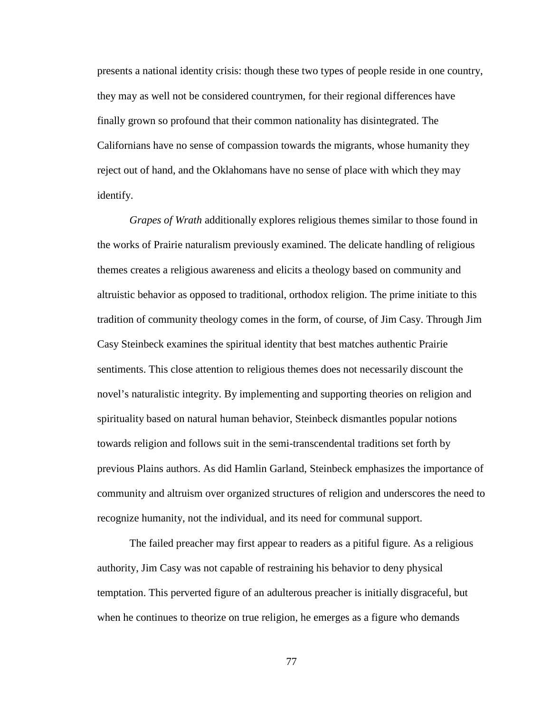presents a national identity crisis: though these two types of people reside in one country, they may as well not be considered countrymen, for their regional differences have finally grown so profound that their common nationality has disintegrated. The Californians have no sense of compassion towards the migrants, whose humanity they reject out of hand, and the Oklahomans have no sense of place with which they may identify.

*Grapes of Wrath* additionally explores religious themes similar to those found in the works of Prairie naturalism previously examined. The delicate handling of religious themes creates a religious awareness and elicits a theology based on community and altruistic behavior as opposed to traditional, orthodox religion. The prime initiate to this tradition of community theology comes in the form, of course, of Jim Casy. Through Jim Casy Steinbeck examines the spiritual identity that best matches authentic Prairie sentiments. This close attention to religious themes does not necessarily discount the novel's naturalistic integrity. By implementing and supporting theories on religion and spirituality based on natural human behavior, Steinbeck dismantles popular notions towards religion and follows suit in the semi-transcendental traditions set forth by previous Plains authors. As did Hamlin Garland, Steinbeck emphasizes the importance of community and altruism over organized structures of religion and underscores the need to recognize humanity, not the individual, and its need for communal support.

 The failed preacher may first appear to readers as a pitiful figure. As a religious authority, Jim Casy was not capable of restraining his behavior to deny physical temptation. This perverted figure of an adulterous preacher is initially disgraceful, but when he continues to theorize on true religion, he emerges as a figure who demands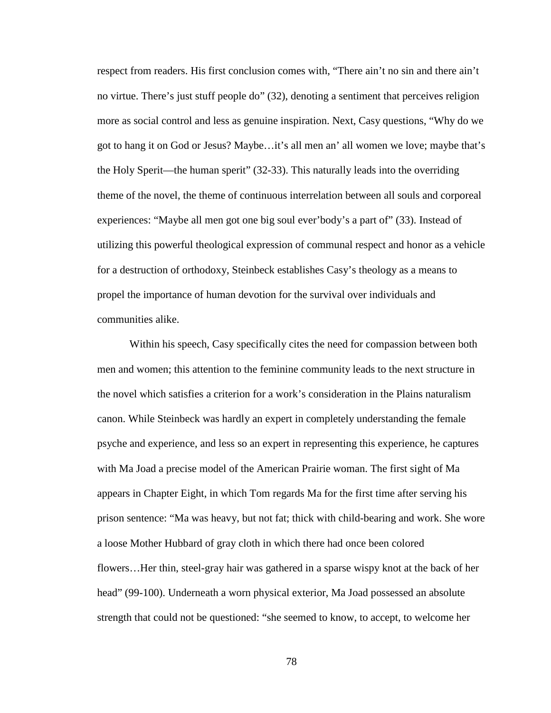respect from readers. His first conclusion comes with, "There ain't no sin and there ain't no virtue. There's just stuff people do" (32), denoting a sentiment that perceives religion more as social control and less as genuine inspiration. Next, Casy questions, "Why do we got to hang it on God or Jesus? Maybe…it's all men an' all women we love; maybe that's the Holy Sperit—the human sperit" (32-33). This naturally leads into the overriding theme of the novel, the theme of continuous interrelation between all souls and corporeal experiences: "Maybe all men got one big soul ever'body's a part of" (33). Instead of utilizing this powerful theological expression of communal respect and honor as a vehicle for a destruction of orthodoxy, Steinbeck establishes Casy's theology as a means to propel the importance of human devotion for the survival over individuals and communities alike.

Within his speech, Casy specifically cites the need for compassion between both men and women; this attention to the feminine community leads to the next structure in the novel which satisfies a criterion for a work's consideration in the Plains naturalism canon. While Steinbeck was hardly an expert in completely understanding the female psyche and experience, and less so an expert in representing this experience, he captures with Ma Joad a precise model of the American Prairie woman. The first sight of Ma appears in Chapter Eight, in which Tom regards Ma for the first time after serving his prison sentence: "Ma was heavy, but not fat; thick with child-bearing and work. She wore a loose Mother Hubbard of gray cloth in which there had once been colored flowers…Her thin, steel-gray hair was gathered in a sparse wispy knot at the back of her head" (99-100). Underneath a worn physical exterior, Ma Joad possessed an absolute strength that could not be questioned: "she seemed to know, to accept, to welcome her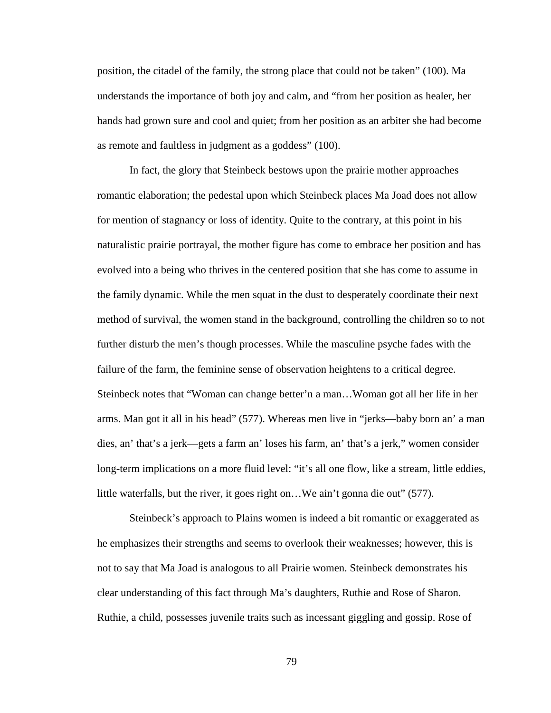position, the citadel of the family, the strong place that could not be taken" (100). Ma understands the importance of both joy and calm, and "from her position as healer, her hands had grown sure and cool and quiet; from her position as an arbiter she had become as remote and faultless in judgment as a goddess" (100).

In fact, the glory that Steinbeck bestows upon the prairie mother approaches romantic elaboration; the pedestal upon which Steinbeck places Ma Joad does not allow for mention of stagnancy or loss of identity. Quite to the contrary, at this point in his naturalistic prairie portrayal, the mother figure has come to embrace her position and has evolved into a being who thrives in the centered position that she has come to assume in the family dynamic. While the men squat in the dust to desperately coordinate their next method of survival, the women stand in the background, controlling the children so to not further disturb the men's though processes. While the masculine psyche fades with the failure of the farm, the feminine sense of observation heightens to a critical degree. Steinbeck notes that "Woman can change better'n a man…Woman got all her life in her arms. Man got it all in his head" (577). Whereas men live in "jerks—baby born an' a man dies, an' that's a jerk—gets a farm an' loses his farm, an' that's a jerk," women consider long-term implications on a more fluid level: "it's all one flow, like a stream, little eddies, little waterfalls, but the river, it goes right on…We ain't gonna die out" (577).

Steinbeck's approach to Plains women is indeed a bit romantic or exaggerated as he emphasizes their strengths and seems to overlook their weaknesses; however, this is not to say that Ma Joad is analogous to all Prairie women. Steinbeck demonstrates his clear understanding of this fact through Ma's daughters, Ruthie and Rose of Sharon. Ruthie, a child, possesses juvenile traits such as incessant giggling and gossip. Rose of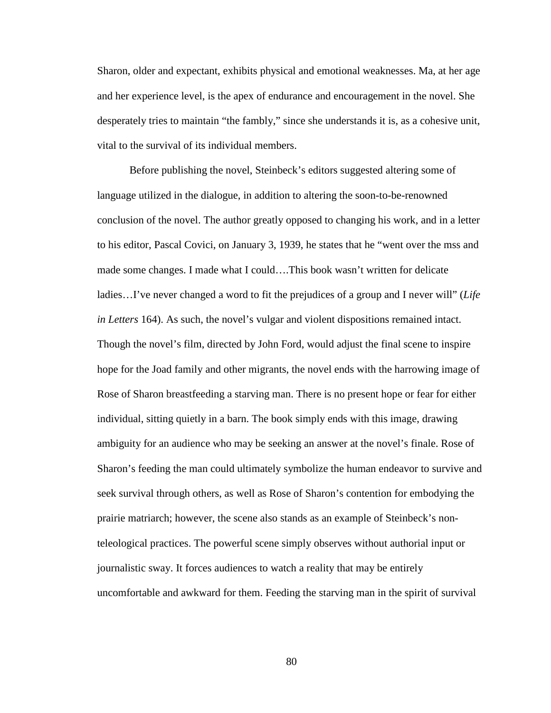Sharon, older and expectant, exhibits physical and emotional weaknesses. Ma, at her age and her experience level, is the apex of endurance and encouragement in the novel. She desperately tries to maintain "the fambly," since she understands it is, as a cohesive unit, vital to the survival of its individual members.

Before publishing the novel, Steinbeck's editors suggested altering some of language utilized in the dialogue, in addition to altering the soon-to-be-renowned conclusion of the novel. The author greatly opposed to changing his work, and in a letter to his editor, Pascal Covici, on January 3, 1939, he states that he "went over the mss and made some changes. I made what I could….This book wasn't written for delicate ladies…I've never changed a word to fit the prejudices of a group and I never will" (*Life in Letters* 164). As such, the novel's vulgar and violent dispositions remained intact. Though the novel's film, directed by John Ford, would adjust the final scene to inspire hope for the Joad family and other migrants, the novel ends with the harrowing image of Rose of Sharon breastfeeding a starving man. There is no present hope or fear for either individual, sitting quietly in a barn. The book simply ends with this image, drawing ambiguity for an audience who may be seeking an answer at the novel's finale. Rose of Sharon's feeding the man could ultimately symbolize the human endeavor to survive and seek survival through others, as well as Rose of Sharon's contention for embodying the prairie matriarch; however, the scene also stands as an example of Steinbeck's nonteleological practices. The powerful scene simply observes without authorial input or journalistic sway. It forces audiences to watch a reality that may be entirely uncomfortable and awkward for them. Feeding the starving man in the spirit of survival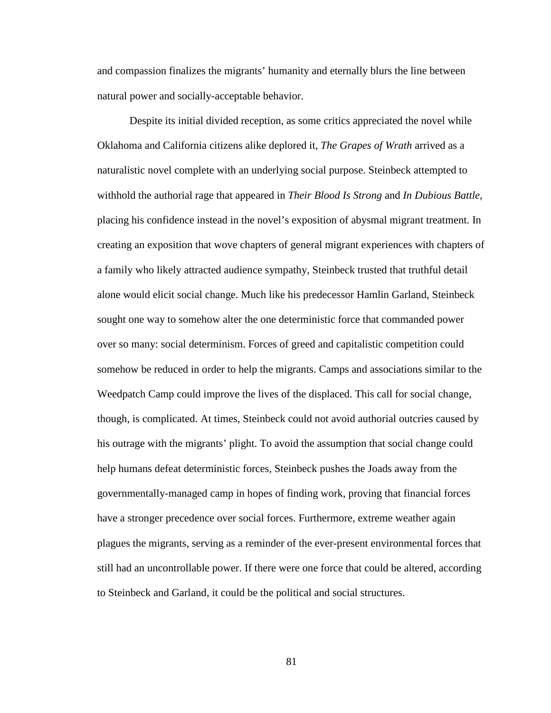and compassion finalizes the migrants' humanity and eternally blurs the line between natural power and socially-acceptable behavior.

Despite its initial divided reception, as some critics appreciated the novel while Oklahoma and California citizens alike deplored it, *The Grapes of Wrath* arrived as a naturalistic novel complete with an underlying social purpose. Steinbeck attempted to withhold the authorial rage that appeared in *Their Blood Is Strong* and *In Dubious Battle*, placing his confidence instead in the novel's exposition of abysmal migrant treatment. In creating an exposition that wove chapters of general migrant experiences with chapters of a family who likely attracted audience sympathy, Steinbeck trusted that truthful detail alone would elicit social change. Much like his predecessor Hamlin Garland, Steinbeck sought one way to somehow alter the one deterministic force that commanded power over so many: social determinism. Forces of greed and capitalistic competition could somehow be reduced in order to help the migrants. Camps and associations similar to the Weedpatch Camp could improve the lives of the displaced. This call for social change, though, is complicated. At times, Steinbeck could not avoid authorial outcries caused by his outrage with the migrants' plight. To avoid the assumption that social change could help humans defeat deterministic forces, Steinbeck pushes the Joads away from the governmentally-managed camp in hopes of finding work, proving that financial forces have a stronger precedence over social forces. Furthermore, extreme weather again plagues the migrants, serving as a reminder of the ever-present environmental forces that still had an uncontrollable power. If there were one force that could be altered, according to Steinbeck and Garland, it could be the political and social structures.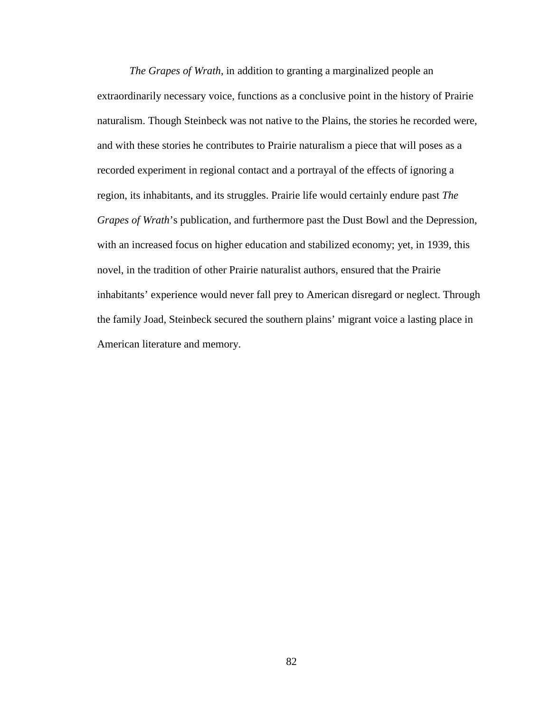*The Grapes of Wrath*, in addition to granting a marginalized people an extraordinarily necessary voice, functions as a conclusive point in the history of Prairie naturalism. Though Steinbeck was not native to the Plains, the stories he recorded were, and with these stories he contributes to Prairie naturalism a piece that will poses as a recorded experiment in regional contact and a portrayal of the effects of ignoring a region, its inhabitants, and its struggles. Prairie life would certainly endure past *The Grapes of Wrath*'s publication, and furthermore past the Dust Bowl and the Depression, with an increased focus on higher education and stabilized economy; yet, in 1939, this novel, in the tradition of other Prairie naturalist authors, ensured that the Prairie inhabitants' experience would never fall prey to American disregard or neglect. Through the family Joad, Steinbeck secured the southern plains' migrant voice a lasting place in American literature and memory.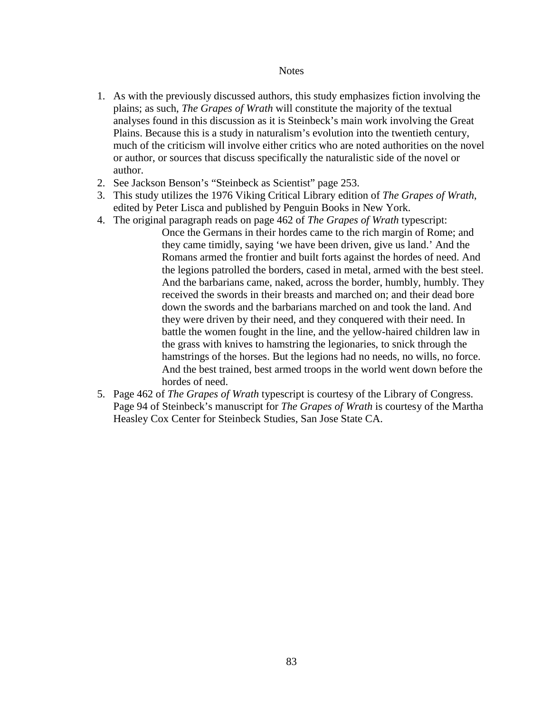## **Notes**

- 1. As with the previously discussed authors, this study emphasizes fiction involving the plains; as such, *The Grapes of Wrath* will constitute the majority of the textual analyses found in this discussion as it is Steinbeck's main work involving the Great Plains. Because this is a study in naturalism's evolution into the twentieth century, much of the criticism will involve either critics who are noted authorities on the novel or author, or sources that discuss specifically the naturalistic side of the novel or author.
- 2. See Jackson Benson's "Steinbeck as Scientist" page 253.
- 3. This study utilizes the 1976 Viking Critical Library edition of *The Grapes of Wrath*, edited by Peter Lisca and published by Penguin Books in New York.
- 4. The original paragraph reads on page 462 of *The Grapes of Wrath* typescript:
	- Once the Germans in their hordes came to the rich margin of Rome; and they came timidly, saying 'we have been driven, give us land.' And the Romans armed the frontier and built forts against the hordes of need. And the legions patrolled the borders, cased in metal, armed with the best steel. And the barbarians came, naked, across the border, humbly, humbly. They received the swords in their breasts and marched on; and their dead bore down the swords and the barbarians marched on and took the land. And they were driven by their need, and they conquered with their need. In battle the women fought in the line, and the yellow-haired children law in the grass with knives to hamstring the legionaries, to snick through the hamstrings of the horses. But the legions had no needs, no wills, no force. And the best trained, best armed troops in the world went down before the hordes of need.
- 5. Page 462 of *The Grapes of Wrath* typescript is courtesy of the Library of Congress. Page 94 of Steinbeck's manuscript for *The Grapes of Wrath* is courtesy of the Martha Heasley Cox Center for Steinbeck Studies, San Jose State CA.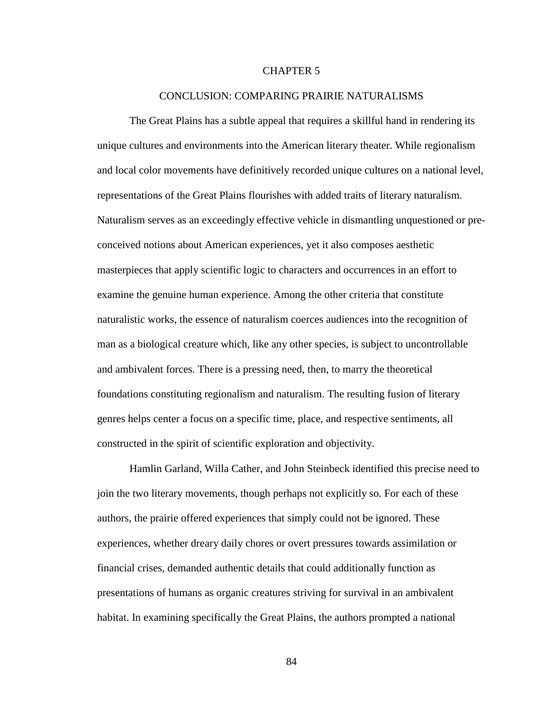## CHAPTER 5

## CONCLUSION: COMPARING PRAIRIE NATURALISMS

 The Great Plains has a subtle appeal that requires a skillful hand in rendering its unique cultures and environments into the American literary theater. While regionalism and local color movements have definitively recorded unique cultures on a national level, representations of the Great Plains flourishes with added traits of literary naturalism. Naturalism serves as an exceedingly effective vehicle in dismantling unquestioned or preconceived notions about American experiences, yet it also composes aesthetic masterpieces that apply scientific logic to characters and occurrences in an effort to examine the genuine human experience. Among the other criteria that constitute naturalistic works, the essence of naturalism coerces audiences into the recognition of man as a biological creature which, like any other species, is subject to uncontrollable and ambivalent forces. There is a pressing need, then, to marry the theoretical foundations constituting regionalism and naturalism. The resulting fusion of literary genres helps center a focus on a specific time, place, and respective sentiments, all constructed in the spirit of scientific exploration and objectivity.

 Hamlin Garland, Willa Cather, and John Steinbeck identified this precise need to join the two literary movements, though perhaps not explicitly so. For each of these authors, the prairie offered experiences that simply could not be ignored. These experiences, whether dreary daily chores or overt pressures towards assimilation or financial crises, demanded authentic details that could additionally function as presentations of humans as organic creatures striving for survival in an ambivalent habitat. In examining specifically the Great Plains, the authors prompted a national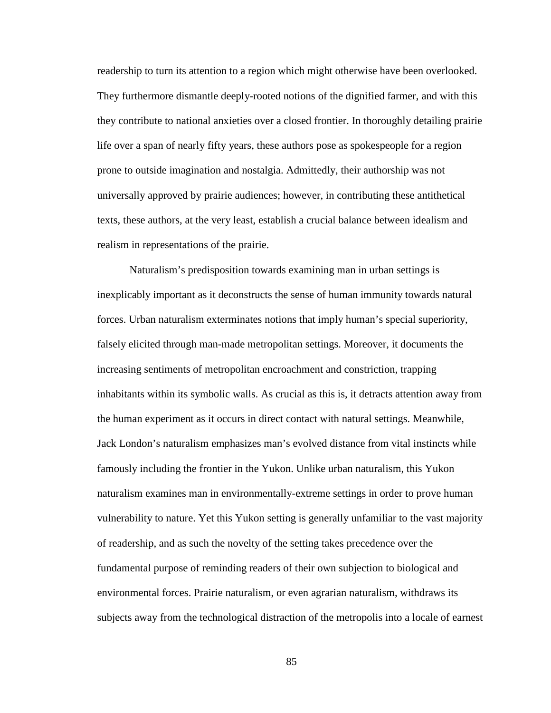readership to turn its attention to a region which might otherwise have been overlooked. They furthermore dismantle deeply-rooted notions of the dignified farmer, and with this they contribute to national anxieties over a closed frontier. In thoroughly detailing prairie life over a span of nearly fifty years, these authors pose as spokespeople for a region prone to outside imagination and nostalgia. Admittedly, their authorship was not universally approved by prairie audiences; however, in contributing these antithetical texts, these authors, at the very least, establish a crucial balance between idealism and realism in representations of the prairie.

Naturalism's predisposition towards examining man in urban settings is inexplicably important as it deconstructs the sense of human immunity towards natural forces. Urban naturalism exterminates notions that imply human's special superiority, falsely elicited through man-made metropolitan settings. Moreover, it documents the increasing sentiments of metropolitan encroachment and constriction, trapping inhabitants within its symbolic walls. As crucial as this is, it detracts attention away from the human experiment as it occurs in direct contact with natural settings. Meanwhile, Jack London's naturalism emphasizes man's evolved distance from vital instincts while famously including the frontier in the Yukon. Unlike urban naturalism, this Yukon naturalism examines man in environmentally-extreme settings in order to prove human vulnerability to nature. Yet this Yukon setting is generally unfamiliar to the vast majority of readership, and as such the novelty of the setting takes precedence over the fundamental purpose of reminding readers of their own subjection to biological and environmental forces. Prairie naturalism, or even agrarian naturalism, withdraws its subjects away from the technological distraction of the metropolis into a locale of earnest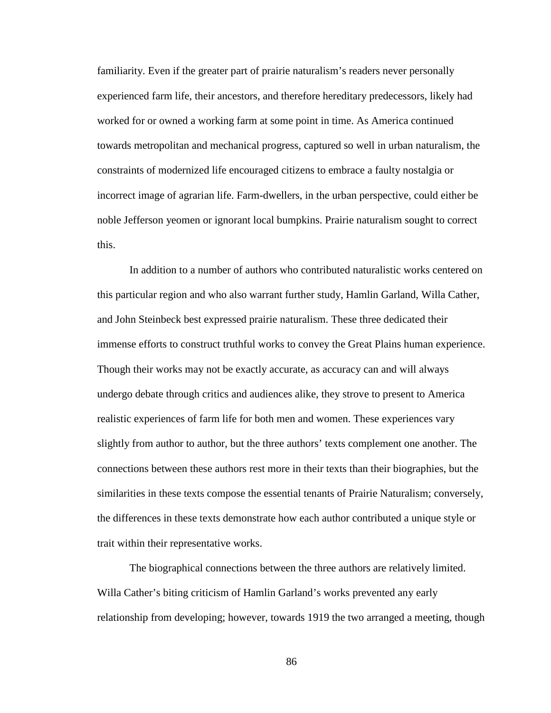familiarity. Even if the greater part of prairie naturalism's readers never personally experienced farm life, their ancestors, and therefore hereditary predecessors, likely had worked for or owned a working farm at some point in time. As America continued towards metropolitan and mechanical progress, captured so well in urban naturalism, the constraints of modernized life encouraged citizens to embrace a faulty nostalgia or incorrect image of agrarian life. Farm-dwellers, in the urban perspective, could either be noble Jefferson yeomen or ignorant local bumpkins. Prairie naturalism sought to correct this.

In addition to a number of authors who contributed naturalistic works centered on this particular region and who also warrant further study, Hamlin Garland, Willa Cather, and John Steinbeck best expressed prairie naturalism. These three dedicated their immense efforts to construct truthful works to convey the Great Plains human experience. Though their works may not be exactly accurate, as accuracy can and will always undergo debate through critics and audiences alike, they strove to present to America realistic experiences of farm life for both men and women. These experiences vary slightly from author to author, but the three authors' texts complement one another. The connections between these authors rest more in their texts than their biographies, but the similarities in these texts compose the essential tenants of Prairie Naturalism; conversely, the differences in these texts demonstrate how each author contributed a unique style or trait within their representative works.

The biographical connections between the three authors are relatively limited. Willa Cather's biting criticism of Hamlin Garland's works prevented any early relationship from developing; however, towards 1919 the two arranged a meeting, though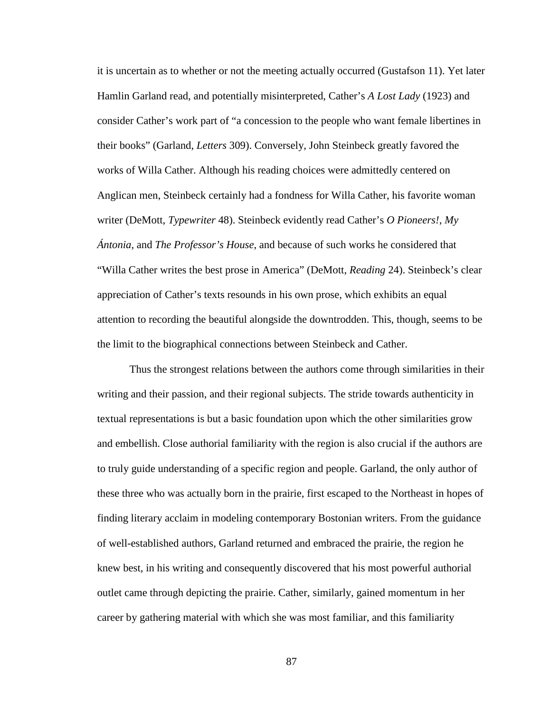it is uncertain as to whether or not the meeting actually occurred (Gustafson 11). Yet later Hamlin Garland read, and potentially misinterpreted, Cather's *A Lost Lady* (1923) and consider Cather's work part of "a concession to the people who want female libertines in their books" (Garland, *Letters* 309). Conversely, John Steinbeck greatly favored the works of Willa Cather. Although his reading choices were admittedly centered on Anglican men, Steinbeck certainly had a fondness for Willa Cather, his favorite woman writer (DeMott, *Typewriter* 48). Steinbeck evidently read Cather's *O Pioneers!*, *My Ántonia*, and *The Professor's House*, and because of such works he considered that "Willa Cather writes the best prose in America" (DeMott, *Reading* 24). Steinbeck's clear appreciation of Cather's texts resounds in his own prose, which exhibits an equal attention to recording the beautiful alongside the downtrodden. This, though, seems to be the limit to the biographical connections between Steinbeck and Cather.

Thus the strongest relations between the authors come through similarities in their writing and their passion, and their regional subjects. The stride towards authenticity in textual representations is but a basic foundation upon which the other similarities grow and embellish. Close authorial familiarity with the region is also crucial if the authors are to truly guide understanding of a specific region and people. Garland, the only author of these three who was actually born in the prairie, first escaped to the Northeast in hopes of finding literary acclaim in modeling contemporary Bostonian writers. From the guidance of well-established authors, Garland returned and embraced the prairie, the region he knew best, in his writing and consequently discovered that his most powerful authorial outlet came through depicting the prairie. Cather, similarly, gained momentum in her career by gathering material with which she was most familiar, and this familiarity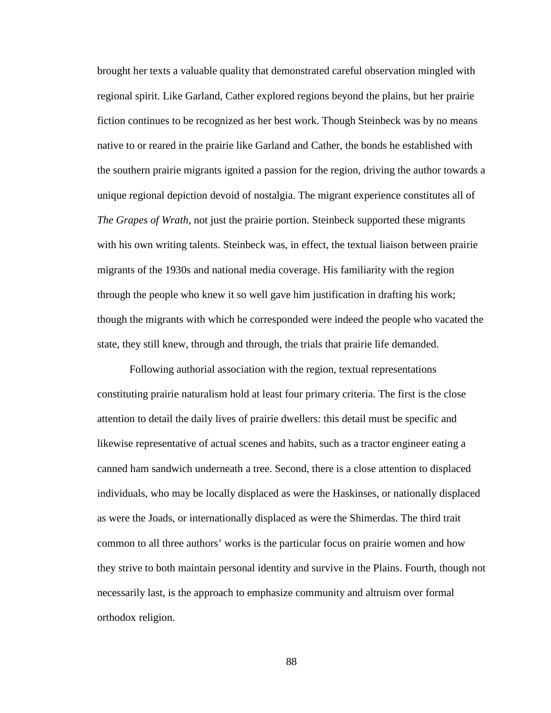brought her texts a valuable quality that demonstrated careful observation mingled with regional spirit. Like Garland, Cather explored regions beyond the plains, but her prairie fiction continues to be recognized as her best work. Though Steinbeck was by no means native to or reared in the prairie like Garland and Cather, the bonds he established with the southern prairie migrants ignited a passion for the region, driving the author towards a unique regional depiction devoid of nostalgia. The migrant experience constitutes all of *The Grapes of Wrath*, not just the prairie portion. Steinbeck supported these migrants with his own writing talents. Steinbeck was, in effect, the textual liaison between prairie migrants of the 1930s and national media coverage. His familiarity with the region through the people who knew it so well gave him justification in drafting his work; though the migrants with which he corresponded were indeed the people who vacated the state, they still knew, through and through, the trials that prairie life demanded.

Following authorial association with the region, textual representations constituting prairie naturalism hold at least four primary criteria. The first is the close attention to detail the daily lives of prairie dwellers: this detail must be specific and likewise representative of actual scenes and habits, such as a tractor engineer eating a canned ham sandwich underneath a tree. Second, there is a close attention to displaced individuals, who may be locally displaced as were the Haskinses, or nationally displaced as were the Joads, or internationally displaced as were the Shimerdas. The third trait common to all three authors' works is the particular focus on prairie women and how they strive to both maintain personal identity and survive in the Plains. Fourth, though not necessarily last, is the approach to emphasize community and altruism over formal orthodox religion.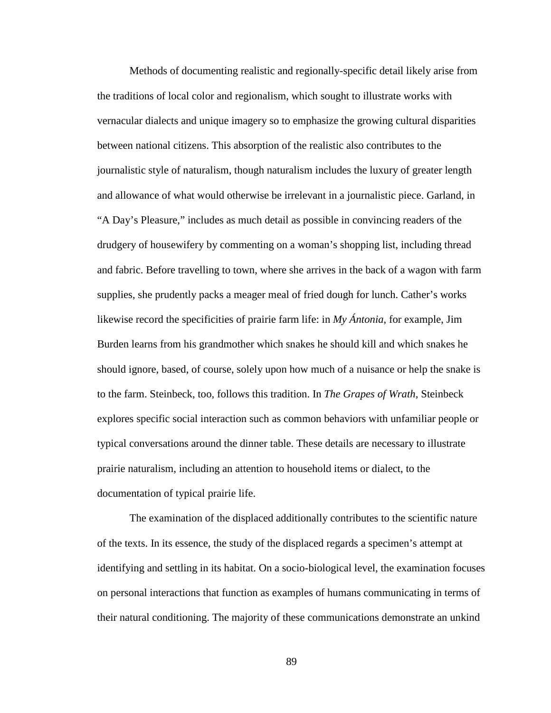Methods of documenting realistic and regionally-specific detail likely arise from the traditions of local color and regionalism, which sought to illustrate works with vernacular dialects and unique imagery so to emphasize the growing cultural disparities between national citizens. This absorption of the realistic also contributes to the journalistic style of naturalism, though naturalism includes the luxury of greater length and allowance of what would otherwise be irrelevant in a journalistic piece. Garland, in "A Day's Pleasure," includes as much detail as possible in convincing readers of the drudgery of housewifery by commenting on a woman's shopping list, including thread and fabric. Before travelling to town, where she arrives in the back of a wagon with farm supplies, she prudently packs a meager meal of fried dough for lunch. Cather's works likewise record the specificities of prairie farm life: in *My Ántonia*, for example, Jim Burden learns from his grandmother which snakes he should kill and which snakes he should ignore, based, of course, solely upon how much of a nuisance or help the snake is to the farm. Steinbeck, too, follows this tradition. In *The Grapes of Wrath*, Steinbeck explores specific social interaction such as common behaviors with unfamiliar people or typical conversations around the dinner table. These details are necessary to illustrate prairie naturalism, including an attention to household items or dialect, to the documentation of typical prairie life.

The examination of the displaced additionally contributes to the scientific nature of the texts. In its essence, the study of the displaced regards a specimen's attempt at identifying and settling in its habitat. On a socio-biological level, the examination focuses on personal interactions that function as examples of humans communicating in terms of their natural conditioning. The majority of these communications demonstrate an unkind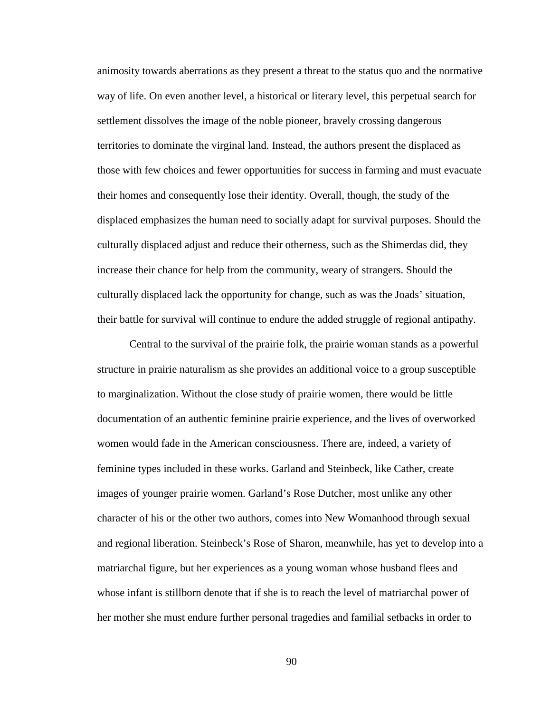animosity towards aberrations as they present a threat to the status quo and the normative way of life. On even another level, a historical or literary level, this perpetual search for settlement dissolves the image of the noble pioneer, bravely crossing dangerous territories to dominate the virginal land. Instead, the authors present the displaced as those with few choices and fewer opportunities for success in farming and must evacuate their homes and consequently lose their identity. Overall, though, the study of the displaced emphasizes the human need to socially adapt for survival purposes. Should the culturally displaced adjust and reduce their otherness, such as the Shimerdas did, they increase their chance for help from the community, weary of strangers. Should the culturally displaced lack the opportunity for change, such as was the Joads' situation, their battle for survival will continue to endure the added struggle of regional antipathy.

Central to the survival of the prairie folk, the prairie woman stands as a powerful structure in prairie naturalism as she provides an additional voice to a group susceptible to marginalization. Without the close study of prairie women, there would be little documentation of an authentic feminine prairie experience, and the lives of overworked women would fade in the American consciousness. There are, indeed, a variety of feminine types included in these works. Garland and Steinbeck, like Cather, create images of younger prairie women. Garland's Rose Dutcher, most unlike any other character of his or the other two authors, comes into New Womanhood through sexual and regional liberation. Steinbeck's Rose of Sharon, meanwhile, has yet to develop into a matriarchal figure, but her experiences as a young woman whose husband flees and whose infant is stillborn denote that if she is to reach the level of matriarchal power of her mother she must endure further personal tragedies and familial setbacks in order to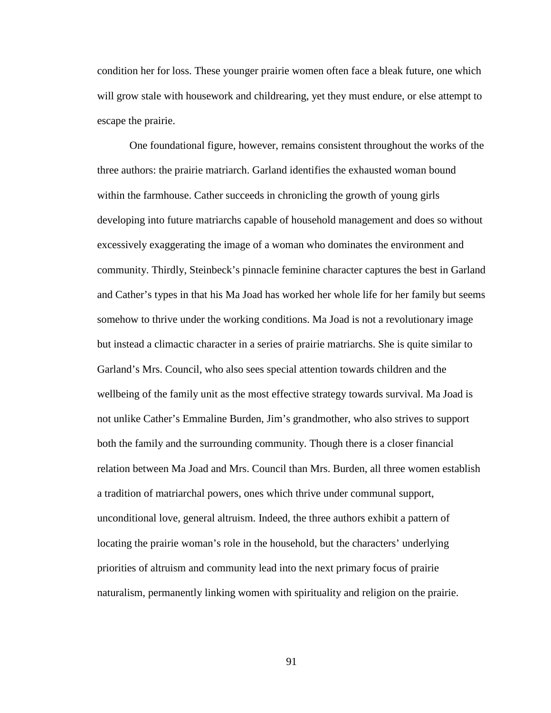condition her for loss. These younger prairie women often face a bleak future, one which will grow stale with housework and childrearing, yet they must endure, or else attempt to escape the prairie.

One foundational figure, however, remains consistent throughout the works of the three authors: the prairie matriarch. Garland identifies the exhausted woman bound within the farmhouse. Cather succeeds in chronicling the growth of young girls developing into future matriarchs capable of household management and does so without excessively exaggerating the image of a woman who dominates the environment and community. Thirdly, Steinbeck's pinnacle feminine character captures the best in Garland and Cather's types in that his Ma Joad has worked her whole life for her family but seems somehow to thrive under the working conditions. Ma Joad is not a revolutionary image but instead a climactic character in a series of prairie matriarchs. She is quite similar to Garland's Mrs. Council, who also sees special attention towards children and the wellbeing of the family unit as the most effective strategy towards survival. Ma Joad is not unlike Cather's Emmaline Burden, Jim's grandmother, who also strives to support both the family and the surrounding community. Though there is a closer financial relation between Ma Joad and Mrs. Council than Mrs. Burden, all three women establish a tradition of matriarchal powers, ones which thrive under communal support, unconditional love, general altruism. Indeed, the three authors exhibit a pattern of locating the prairie woman's role in the household, but the characters' underlying priorities of altruism and community lead into the next primary focus of prairie naturalism, permanently linking women with spirituality and religion on the prairie.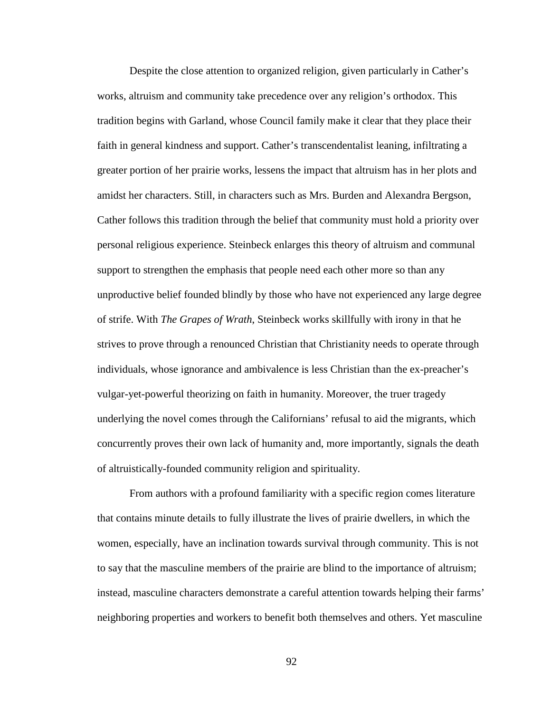Despite the close attention to organized religion, given particularly in Cather's works, altruism and community take precedence over any religion's orthodox. This tradition begins with Garland, whose Council family make it clear that they place their faith in general kindness and support. Cather's transcendentalist leaning, infiltrating a greater portion of her prairie works, lessens the impact that altruism has in her plots and amidst her characters. Still, in characters such as Mrs. Burden and Alexandra Bergson, Cather follows this tradition through the belief that community must hold a priority over personal religious experience. Steinbeck enlarges this theory of altruism and communal support to strengthen the emphasis that people need each other more so than any unproductive belief founded blindly by those who have not experienced any large degree of strife. With *The Grapes of Wrath*, Steinbeck works skillfully with irony in that he strives to prove through a renounced Christian that Christianity needs to operate through individuals, whose ignorance and ambivalence is less Christian than the ex-preacher's vulgar-yet-powerful theorizing on faith in humanity. Moreover, the truer tragedy underlying the novel comes through the Californians' refusal to aid the migrants, which concurrently proves their own lack of humanity and, more importantly, signals the death of altruistically-founded community religion and spirituality.

From authors with a profound familiarity with a specific region comes literature that contains minute details to fully illustrate the lives of prairie dwellers, in which the women, especially, have an inclination towards survival through community. This is not to say that the masculine members of the prairie are blind to the importance of altruism; instead, masculine characters demonstrate a careful attention towards helping their farms' neighboring properties and workers to benefit both themselves and others. Yet masculine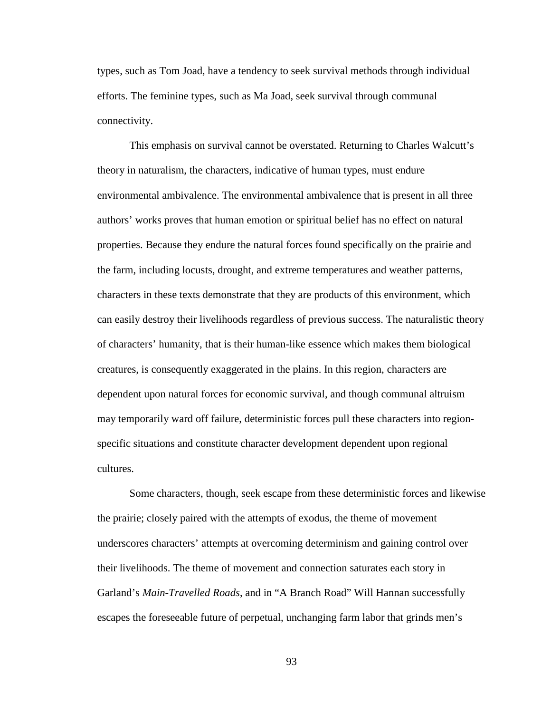types, such as Tom Joad, have a tendency to seek survival methods through individual efforts. The feminine types, such as Ma Joad, seek survival through communal connectivity.

This emphasis on survival cannot be overstated. Returning to Charles Walcutt's theory in naturalism, the characters, indicative of human types, must endure environmental ambivalence. The environmental ambivalence that is present in all three authors' works proves that human emotion or spiritual belief has no effect on natural properties. Because they endure the natural forces found specifically on the prairie and the farm, including locusts, drought, and extreme temperatures and weather patterns, characters in these texts demonstrate that they are products of this environment, which can easily destroy their livelihoods regardless of previous success. The naturalistic theory of characters' humanity, that is their human-like essence which makes them biological creatures, is consequently exaggerated in the plains. In this region, characters are dependent upon natural forces for economic survival, and though communal altruism may temporarily ward off failure, deterministic forces pull these characters into regionspecific situations and constitute character development dependent upon regional cultures.

Some characters, though, seek escape from these deterministic forces and likewise the prairie; closely paired with the attempts of exodus, the theme of movement underscores characters' attempts at overcoming determinism and gaining control over their livelihoods. The theme of movement and connection saturates each story in Garland's *Main-Travelled Roads*, and in "A Branch Road" Will Hannan successfully escapes the foreseeable future of perpetual, unchanging farm labor that grinds men's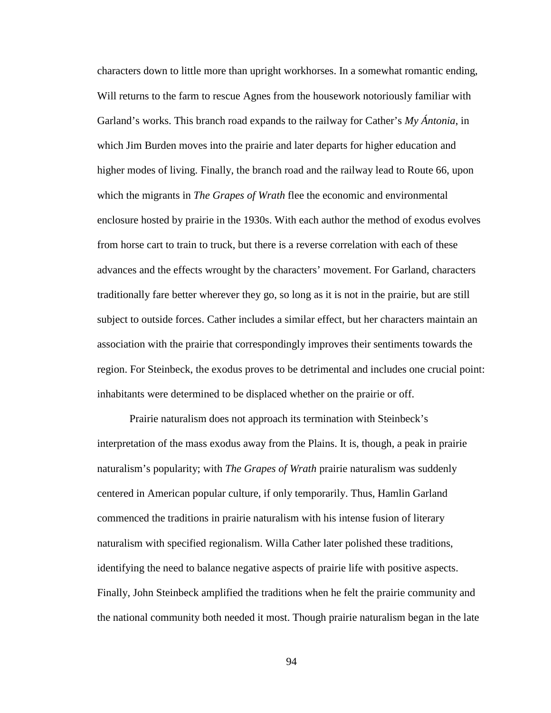characters down to little more than upright workhorses. In a somewhat romantic ending, Will returns to the farm to rescue Agnes from the housework notoriously familiar with Garland's works. This branch road expands to the railway for Cather's *My Ántonia*, in which Jim Burden moves into the prairie and later departs for higher education and higher modes of living. Finally, the branch road and the railway lead to Route 66, upon which the migrants in *The Grapes of Wrath* flee the economic and environmental enclosure hosted by prairie in the 1930s. With each author the method of exodus evolves from horse cart to train to truck, but there is a reverse correlation with each of these advances and the effects wrought by the characters' movement. For Garland, characters traditionally fare better wherever they go, so long as it is not in the prairie, but are still subject to outside forces. Cather includes a similar effect, but her characters maintain an association with the prairie that correspondingly improves their sentiments towards the region. For Steinbeck, the exodus proves to be detrimental and includes one crucial point: inhabitants were determined to be displaced whether on the prairie or off.

Prairie naturalism does not approach its termination with Steinbeck's interpretation of the mass exodus away from the Plains. It is, though, a peak in prairie naturalism's popularity; with *The Grapes of Wrath* prairie naturalism was suddenly centered in American popular culture, if only temporarily. Thus, Hamlin Garland commenced the traditions in prairie naturalism with his intense fusion of literary naturalism with specified regionalism. Willa Cather later polished these traditions, identifying the need to balance negative aspects of prairie life with positive aspects. Finally, John Steinbeck amplified the traditions when he felt the prairie community and the national community both needed it most. Though prairie naturalism began in the late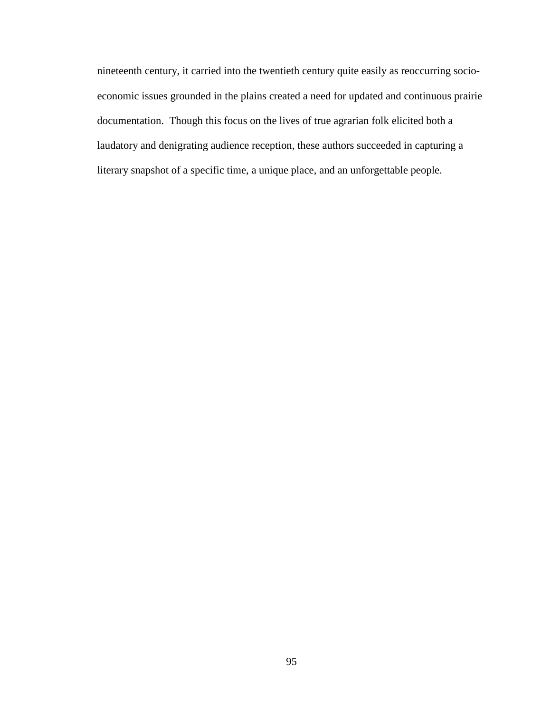nineteenth century, it carried into the twentieth century quite easily as reoccurring socioeconomic issues grounded in the plains created a need for updated and continuous prairie documentation. Though this focus on the lives of true agrarian folk elicited both a laudatory and denigrating audience reception, these authors succeeded in capturing a literary snapshot of a specific time, a unique place, and an unforgettable people.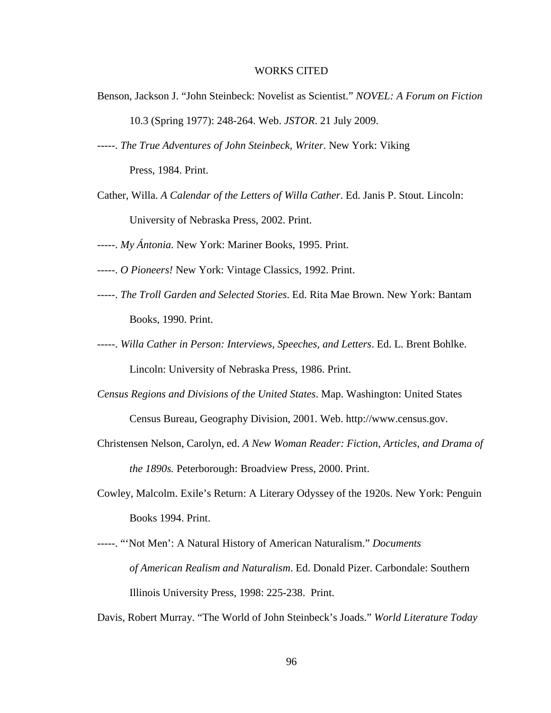## WORKS CITED

Benson, Jackson J. "John Steinbeck: Novelist as Scientist." *NOVEL: A Forum on Fiction*

10.3 (Spring 1977): 248-264. Web. *JSTOR*. 21 July 2009.

- -----. *The True Adventures of John Steinbeck, Writer*. New York: Viking Press, 1984. Print.
- Cather, Willa. *A Calendar of the Letters of Willa Cather*. Ed. Janis P. Stout. Lincoln: University of Nebraska Press, 2002. Print.
- -----. *My Ántonia*. New York: Mariner Books, 1995. Print.
- -----. *O Pioneers!* New York: Vintage Classics, 1992. Print.
- -----. *The Troll Garden and Selected Stories*. Ed. Rita Mae Brown. New York: Bantam Books, 1990. Print.
- -----. *Willa Cather in Person: Interviews, Speeches, and Letters*. Ed. L. Brent Bohlke. Lincoln: University of Nebraska Press, 1986. Print.
- *Census Regions and Divisions of the United States*. Map. Washington: United States Census Bureau, Geography Division, 2001. Web. http://www.census.gov.
- Christensen Nelson, Carolyn, ed. *A New Woman Reader: Fiction, Articles, and Drama of the 1890s.* Peterborough: Broadview Press, 2000. Print.
- Cowley, Malcolm. Exile's Return: A Literary Odyssey of the 1920s. New York: Penguin Books 1994. Print.
- -----. "'Not Men': A Natural History of American Naturalism." *Documents of American Realism and Naturalism*. Ed. Donald Pizer. Carbondale: Southern Illinois University Press, 1998: 225-238. Print.

Davis, Robert Murray. "The World of John Steinbeck's Joads." *World Literature Today*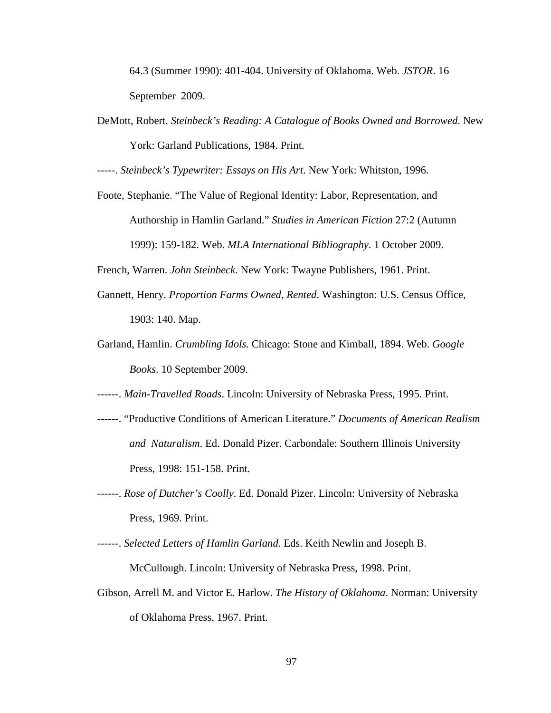64.3 (Summer 1990): 401-404. University of Oklahoma. Web. *JSTOR*. 16 September 2009.

DeMott, Robert. *Steinbeck's Reading: A Catalogue of Books Owned and Borrowed*. New York: Garland Publications, 1984. Print.

-----. *Steinbeck's Typewriter: Essays on His Art*. New York: Whitston, 1996.

Foote, Stephanie. "The Value of Regional Identity: Labor, Representation, and Authorship in Hamlin Garland." *Studies in American Fiction* 27:2 (Autumn 1999): 159-182. Web. *MLA International Bibliography*. 1 October 2009.

French, Warren. *John Steinbeck*. New York: Twayne Publishers, 1961. Print.

- Gannett, Henry. *Proportion Farms Owned, Rented*. Washington: U.S. Census Office, 1903: 140. Map.
- Garland, Hamlin. *Crumbling Idols.* Chicago: Stone and Kimball, 1894. Web. *Google Books*. 10 September 2009.

------. *Main-Travelled Roads*. Lincoln: University of Nebraska Press, 1995. Print.

- ------. "Productive Conditions of American Literature." *Documents of American Realism and Naturalism*. Ed. Donald Pizer. Carbondale: Southern Illinois University Press, 1998: 151-158. Print.
- ------. *Rose of Dutcher's Coolly*. Ed. Donald Pizer. Lincoln: University of Nebraska Press, 1969. Print.
- ------. *Selected Letters of Hamlin Garland*. Eds. Keith Newlin and Joseph B. McCullough. Lincoln: University of Nebraska Press, 1998. Print.
- Gibson, Arrell M. and Victor E. Harlow. *The History of Oklahoma*. Norman: University of Oklahoma Press, 1967. Print.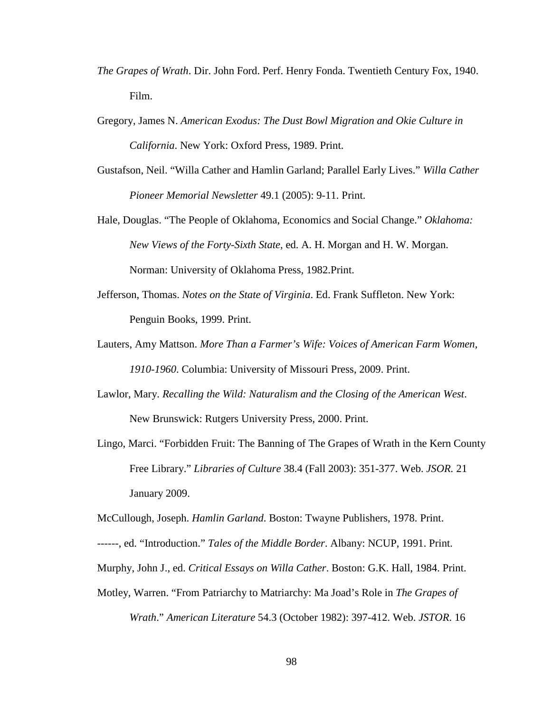- *The Grapes of Wrath*. Dir. John Ford. Perf. Henry Fonda. Twentieth Century Fox, 1940. Film.
- Gregory, James N. *American Exodus: The Dust Bowl Migration and Okie Culture in California*. New York: Oxford Press, 1989. Print.
- Gustafson, Neil. "Willa Cather and Hamlin Garland; Parallel Early Lives." *Willa Cather Pioneer Memorial Newsletter* 49.1 (2005): 9-11. Print.
- Hale, Douglas. "The People of Oklahoma, Economics and Social Change." *Oklahoma: New Views of the Forty-Sixth State*, ed. A. H. Morgan and H. W. Morgan. Norman: University of Oklahoma Press, 1982.Print.
- Jefferson, Thomas. *Notes on the State of Virginia*. Ed. Frank Suffleton. New York: Penguin Books, 1999. Print.
- Lauters, Amy Mattson. *More Than a Farmer's Wife: Voices of American Farm Women, 1910-1960*. Columbia: University of Missouri Press, 2009. Print.
- Lawlor, Mary. *Recalling the Wild: Naturalism and the Closing of the American West*. New Brunswick: Rutgers University Press, 2000. Print.
- Lingo, Marci. "Forbidden Fruit: The Banning of The Grapes of Wrath in the Kern County Free Library." *Libraries of Culture* 38.4 (Fall 2003): 351-377. Web. *JSOR.* 21 January 2009.

McCullough, Joseph. *Hamlin Garland*. Boston: Twayne Publishers, 1978. Print.

- ------, ed. "Introduction." *Tales of the Middle Border*. Albany: NCUP, 1991. Print.
- Murphy, John J., ed. *Critical Essays on Willa Cather*. Boston: G.K. Hall, 1984. Print.
- Motley, Warren. "From Patriarchy to Matriarchy: Ma Joad's Role in *The Grapes of Wrath*." *American Literature* 54.3 (October 1982): 397-412. Web. *JSTOR*. 16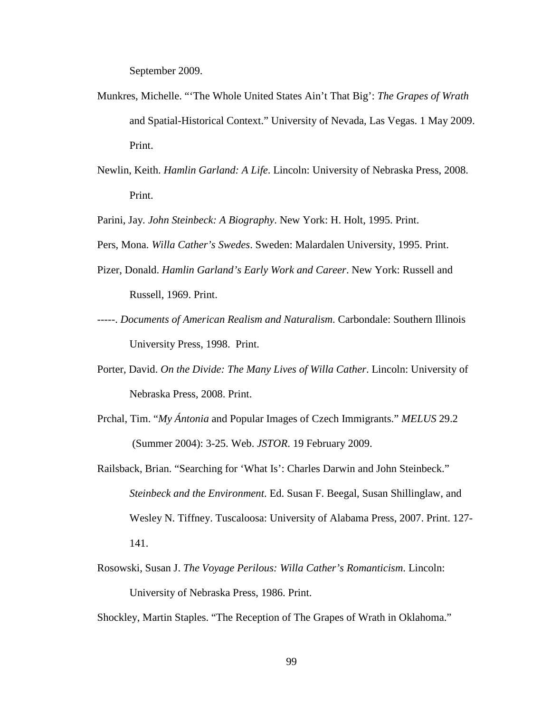September 2009.

- Munkres, Michelle. "'The Whole United States Ain't That Big': *The Grapes of Wrath* and Spatial-Historical Context." University of Nevada, Las Vegas. 1 May 2009. Print.
- Newlin, Keith. *Hamlin Garland: A Life*. Lincoln: University of Nebraska Press, 2008. Print.

Parini, Jay. *John Steinbeck: A Biography*. New York: H. Holt, 1995. Print.

- Pers, Mona. *Willa Cather's Swedes*. Sweden: Malardalen University, 1995. Print.
- Pizer, Donald. *Hamlin Garland's Early Work and Career*. New York: Russell and Russell, 1969. Print.
- -----. *Documents of American Realism and Naturalism*. Carbondale: Southern Illinois University Press, 1998. Print.
- Porter, David. *On the Divide: The Many Lives of Willa Cather*. Lincoln: University of Nebraska Press, 2008. Print.
- Prchal, Tim. "*My Ántonia* and Popular Images of Czech Immigrants." *MELUS* 29.2 (Summer 2004): 3-25. Web. *JSTOR*. 19 February 2009.
- Railsback, Brian. "Searching for 'What Is': Charles Darwin and John Steinbeck." *Steinbeck and the Environment*. Ed. Susan F. Beegal, Susan Shillinglaw, and Wesley N. Tiffney. Tuscaloosa: University of Alabama Press, 2007. Print. 127- 141.
- Rosowski, Susan J. *The Voyage Perilous: Willa Cather's Romanticism*. Lincoln: University of Nebraska Press, 1986. Print.
- Shockley, Martin Staples. "The Reception of The Grapes of Wrath in Oklahoma."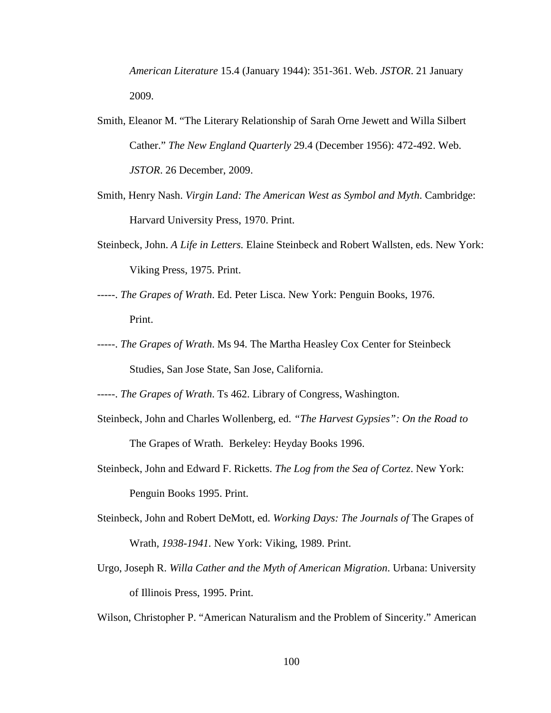*American Literature* 15.4 (January 1944): 351-361. Web. *JSTOR*. 21 January 2009.

- Smith, Eleanor M. "The Literary Relationship of Sarah Orne Jewett and Willa Silbert Cather." *The New England Quarterly* 29.4 (December 1956): 472-492. Web. *JSTOR*. 26 December, 2009.
- Smith, Henry Nash. *Virgin Land: The American West as Symbol and Myth*. Cambridge: Harvard University Press, 1970. Print.
- Steinbeck, John. *A Life in Letters.* Elaine Steinbeck and Robert Wallsten, eds. New York: Viking Press, 1975. Print.
- -----. *The Grapes of Wrath*. Ed. Peter Lisca. New York: Penguin Books, 1976. Print.
- -----. *The Grapes of Wrath*. Ms 94. The Martha Heasley Cox Center for Steinbeck Studies, San Jose State, San Jose, California.

-----. *The Grapes of Wrath*. Ts 462. Library of Congress, Washington.

- Steinbeck, John and Charles Wollenberg, ed. *"The Harvest Gypsies": On the Road to*  The Grapes of Wrath. Berkeley: Heyday Books 1996.
- Steinbeck, John and Edward F. Ricketts. *The Log from the Sea of Cortez*. New York: Penguin Books 1995. Print.
- Steinbeck, John and Robert DeMott, ed. *Working Days: The Journals of* The Grapes of Wrath*, 1938-1941.* New York: Viking, 1989. Print.
- Urgo, Joseph R. *Willa Cather and the Myth of American Migration*. Urbana: University of Illinois Press, 1995. Print.

Wilson, Christopher P. "American Naturalism and the Problem of Sincerity." American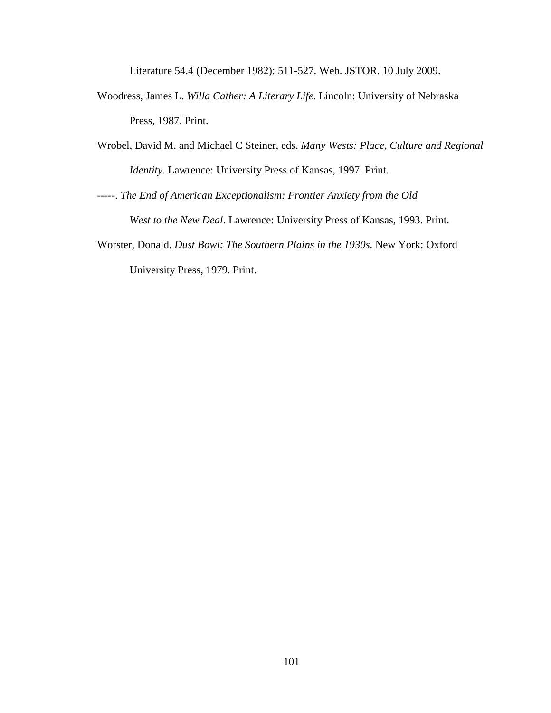Literature 54.4 (December 1982): 511-527. Web. JSTOR. 10 July 2009.

- Woodress, James L. *Willa Cather: A Literary Life*. Lincoln: University of Nebraska Press, 1987. Print.
- Wrobel, David M. and Michael C Steiner, eds. *Many Wests: Place, Culture and Regional Identity*. Lawrence: University Press of Kansas, 1997. Print.
- -----. *The End of American Exceptionalism: Frontier Anxiety from the Old West to the New Deal*. Lawrence: University Press of Kansas, 1993. Print.
- Worster, Donald. *Dust Bowl: The Southern Plains in the 1930s*. New York: Oxford University Press, 1979. Print.